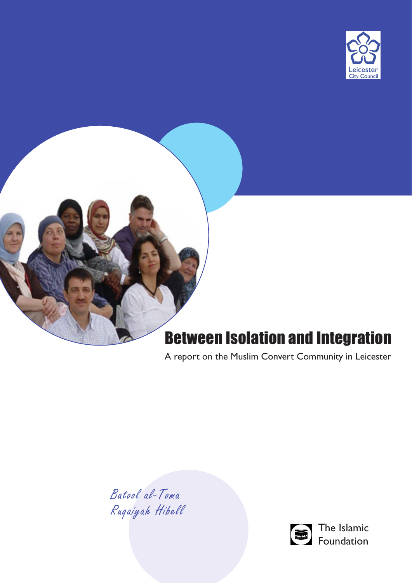



# Between Isolation and Integration

A report on the Muslim Convert Community in Leicester

Batool al-Toma Ruqaiyah Hibell



The Islamic Foundation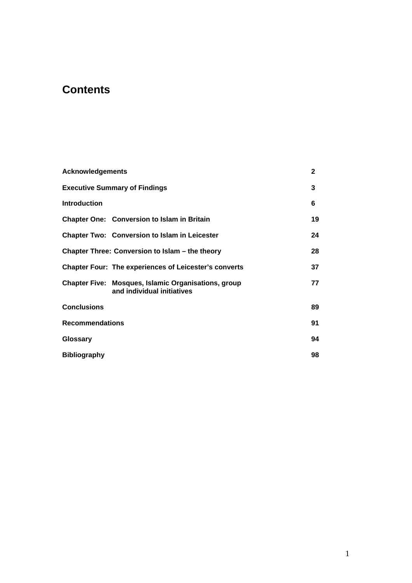# **Contents**

| <b>Acknowledgements</b>              |                                                                                          | $\mathbf{2}$ |
|--------------------------------------|------------------------------------------------------------------------------------------|--------------|
| <b>Executive Summary of Findings</b> |                                                                                          | 3            |
| <b>Introduction</b>                  |                                                                                          | 6            |
|                                      | <b>Chapter One: Conversion to Islam in Britain</b>                                       | 19           |
|                                      | <b>Chapter Two: Conversion to Islam in Leicester</b>                                     | 24           |
|                                      | Chapter Three: Conversion to Islam – the theory                                          | 28           |
|                                      | <b>Chapter Four: The experiences of Leicester's converts</b>                             | 37           |
|                                      | <b>Chapter Five: Mosques, Islamic Organisations, group</b><br>and individual initiatives | 77           |
| <b>Conclusions</b>                   |                                                                                          | 89           |
| <b>Recommendations</b>               |                                                                                          | 91           |
| Glossary                             |                                                                                          | 94           |
| <b>Bibliography</b>                  |                                                                                          | 98           |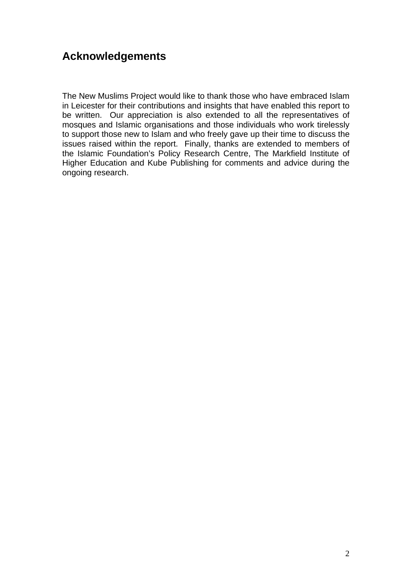# **Acknowledgements**

The New Muslims Project would like to thank those who have embraced Islam in Leicester for their contributions and insights that have enabled this report to be written. Our appreciation is also extended to all the representatives of mosques and Islamic organisations and those individuals who work tirelessly to support those new to Islam and who freely gave up their time to discuss the issues raised within the report. Finally, thanks are extended to members of the Islamic Foundation's Policy Research Centre, The Markfield Institute of Higher Education and Kube Publishing for comments and advice during the ongoing research.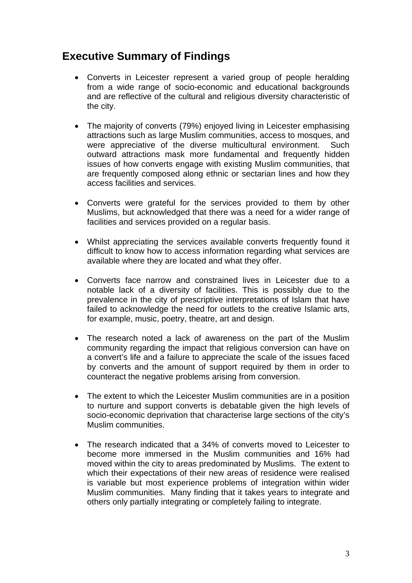# **Executive Summary of Findings**

- Converts in Leicester represent a varied group of people heralding from a wide range of socio-economic and educational backgrounds and are reflective of the cultural and religious diversity characteristic of the city.
- The majority of converts (79%) enjoyed living in Leicester emphasising attractions such as large Muslim communities, access to mosques, and were appreciative of the diverse multicultural environment. Such outward attractions mask more fundamental and frequently hidden issues of how converts engage with existing Muslim communities, that are frequently composed along ethnic or sectarian lines and how they access facilities and services.
- Converts were grateful for the services provided to them by other Muslims, but acknowledged that there was a need for a wider range of facilities and services provided on a regular basis.
- Whilst appreciating the services available converts frequently found it difficult to know how to access information regarding what services are available where they are located and what they offer.
- Converts face narrow and constrained lives in Leicester due to a notable lack of a diversity of facilities. This is possibly due to the prevalence in the city of prescriptive interpretations of Islam that have failed to acknowledge the need for outlets to the creative Islamic arts, for example, music, poetry, theatre, art and design.
- The research noted a lack of awareness on the part of the Muslim community regarding the impact that religious conversion can have on a convert's life and a failure to appreciate the scale of the issues faced by converts and the amount of support required by them in order to counteract the negative problems arising from conversion.
- The extent to which the Leicester Muslim communities are in a position to nurture and support converts is debatable given the high levels of socio-economic deprivation that characterise large sections of the city's Muslim communities.
- The research indicated that a 34% of converts moved to Leicester to become more immersed in the Muslim communities and 16% had moved within the city to areas predominated by Muslims. The extent to which their expectations of their new areas of residence were realised is variable but most experience problems of integration within wider Muslim communities. Many finding that it takes years to integrate and others only partially integrating or completely failing to integrate.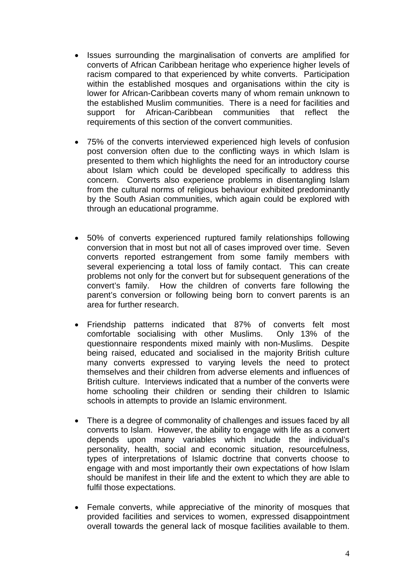- Issues surrounding the marginalisation of converts are amplified for converts of African Caribbean heritage who experience higher levels of racism compared to that experienced by white converts. Participation within the established mosques and organisations within the city is lower for African-Caribbean coverts many of whom remain unknown to the established Muslim communities. There is a need for facilities and support for African-Caribbean communities that reflect the requirements of this section of the convert communities.
- 75% of the converts interviewed experienced high levels of confusion post conversion often due to the conflicting ways in which Islam is presented to them which highlights the need for an introductory course about Islam which could be developed specifically to address this concern. Converts also experience problems in disentangling Islam from the cultural norms of religious behaviour exhibited predominantly by the South Asian communities, which again could be explored with through an educational programme.
- 50% of converts experienced ruptured family relationships following conversion that in most but not all of cases improved over time. Seven converts reported estrangement from some family members with several experiencing a total loss of family contact. This can create problems not only for the convert but for subsequent generations of the convert's family. How the children of converts fare following the parent's conversion or following being born to convert parents is an area for further research.
- Friendship patterns indicated that 87% of converts felt most comfortable socialising with other Muslims. Only 13% of the questionnaire respondents mixed mainly with non-Muslims. Despite being raised, educated and socialised in the majority British culture many converts expressed to varying levels the need to protect themselves and their children from adverse elements and influences of British culture. Interviews indicated that a number of the converts were home schooling their children or sending their children to Islamic schools in attempts to provide an Islamic environment.
- There is a degree of commonality of challenges and issues faced by all converts to Islam. However, the ability to engage with life as a convert depends upon many variables which include the individual's personality, health, social and economic situation, resourcefulness, types of interpretations of Islamic doctrine that converts choose to engage with and most importantly their own expectations of how Islam should be manifest in their life and the extent to which they are able to fulfil those expectations.
- Female converts, while appreciative of the minority of mosques that provided facilities and services to women, expressed disappointment overall towards the general lack of mosque facilities available to them.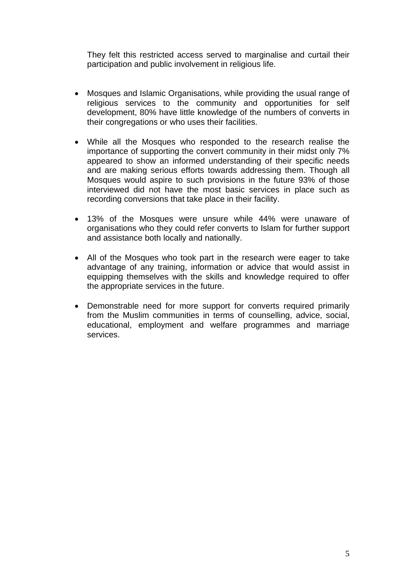They felt this restricted access served to marginalise and curtail their participation and public involvement in religious life.

- Mosques and Islamic Organisations, while providing the usual range of religious services to the community and opportunities for self development, 80% have little knowledge of the numbers of converts in their congregations or who uses their facilities.
- While all the Mosques who responded to the research realise the importance of supporting the convert community in their midst only 7% appeared to show an informed understanding of their specific needs and are making serious efforts towards addressing them. Though all Mosques would aspire to such provisions in the future 93% of those interviewed did not have the most basic services in place such as recording conversions that take place in their facility.
- 13% of the Mosques were unsure while 44% were unaware of organisations who they could refer converts to Islam for further support and assistance both locally and nationally.
- All of the Mosques who took part in the research were eager to take advantage of any training, information or advice that would assist in equipping themselves with the skills and knowledge required to offer the appropriate services in the future.
- Demonstrable need for more support for converts required primarily from the Muslim communities in terms of counselling, advice, social, educational, employment and welfare programmes and marriage services.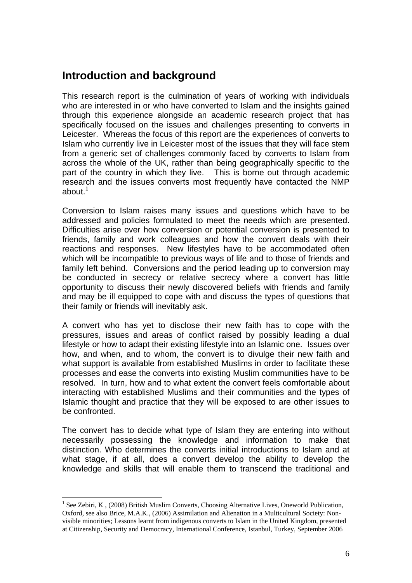# **Introduction and background**

This research report is the culmination of years of working with individuals who are interested in or who have converted to Islam and the insights gained through this experience alongside an academic research project that has specifically focused on the issues and challenges presenting to converts in Leicester. Whereas the focus of this report are the experiences of converts to Islam who currently live in Leicester most of the issues that they will face stem from a generic set of challenges commonly faced by converts to Islam from across the whole of the UK, rather than being geographically specific to the part of the country in which they live. This is borne out through academic research and the issues converts most frequently have contacted the NMP about. $1$ 

Conversion to Islam raises many issues and questions which have to be addressed and policies formulated to meet the needs which are presented. Difficulties arise over how conversion or potential conversion is presented to friends, family and work colleagues and how the convert deals with their reactions and responses. New lifestyles have to be accommodated often which will be incompatible to previous ways of life and to those of friends and family left behind. Conversions and the period leading up to conversion may be conducted in secrecy or relative secrecy where a convert has little opportunity to discuss their newly discovered beliefs with friends and family and may be ill equipped to cope with and discuss the types of questions that their family or friends will inevitably ask.

A convert who has yet to disclose their new faith has to cope with the pressures, issues and areas of conflict raised by possibly leading a dual lifestyle or how to adapt their existing lifestyle into an Islamic one. Issues over how, and when, and to whom, the convert is to divulge their new faith and what support is available from established Muslims in order to facilitate these processes and ease the converts into existing Muslim communities have to be resolved. In turn, how and to what extent the convert feels comfortable about interacting with established Muslims and their communities and the types of Islamic thought and practice that they will be exposed to are other issues to be confronted.

The convert has to decide what type of Islam they are entering into without necessarily possessing the knowledge and information to make that distinction. Who determines the converts initial introductions to Islam and at what stage, if at all, does a convert develop the ability to develop the knowledge and skills that will enable them to transcend the traditional and

<sup>&</sup>lt;sup>1</sup> See Zebiri, K, (2008) British Muslim Converts, Choosing Alternative Lives, Oneworld Publication, Oxford, see also Brice, M.A.K., (2006) Assimilation and Alienation in a Multicultural Society: Nonvisible minorities; Lessons learnt from indigenous converts to Islam in the United Kingdom, presented at Citizenship, Security and Democracy, International Conference, Istanbul, Turkey, September 2006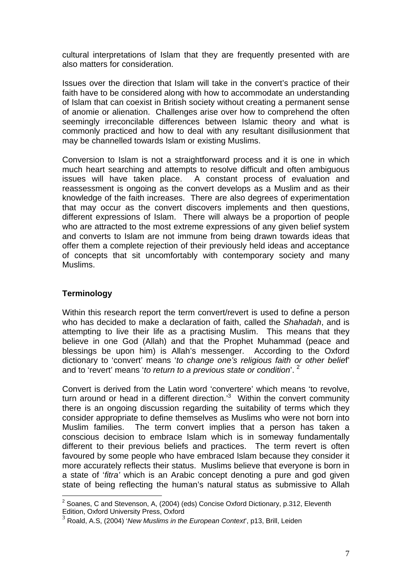cultural interpretations of Islam that they are frequently presented with are also matters for consideration.

Issues over the direction that Islam will take in the convert's practice of their faith have to be considered along with how to accommodate an understanding of Islam that can coexist in British society without creating a permanent sense of anomie or alienation. Challenges arise over how to comprehend the often seemingly irreconcilable differences between Islamic theory and what is commonly practiced and how to deal with any resultant disillusionment that may be channelled towards Islam or existing Muslims.

Conversion to Islam is not a straightforward process and it is one in which much heart searching and attempts to resolve difficult and often ambiguous issues will have taken place. A constant process of evaluation and reassessment is ongoing as the convert develops as a Muslim and as their knowledge of the faith increases. There are also degrees of experimentation that may occur as the convert discovers implements and then questions, different expressions of Islam. There will always be a proportion of people who are attracted to the most extreme expressions of any given belief system and converts to Islam are not immune from being drawn towards ideas that offer them a complete rejection of their previously held ideas and acceptance of concepts that sit uncomfortably with contemporary society and many Muslims.

#### **Terminology**

Within this research report the term convert/revert is used to define a person who has decided to make a declaration of faith, called the *Shahadah*, and is attempting to live their life as a practising Muslim. This means that they believe in one God (Allah) and that the Prophet Muhammad (peace and blessings be upon him) is Allah's messenger. According to the Oxford dictionary to 'convert' means '*to change one's religious faith or other belie*f' and to 'revert' means '*to return to a previous state or condition*'. <sup>2</sup>

Convert is derived from the Latin word 'convertere' which means 'to revolve, turn around or head in a different direction. $3$  Within the convert community there is an ongoing discussion regarding the suitability of terms which they consider appropriate to define themselves as Muslims who were not born into Muslim families. The term convert implies that a person has taken a conscious decision to embrace Islam which is in someway fundamentally different to their previous beliefs and practices. The term revert is often favoured by some people who have embraced Islam because they consider it more accurately reflects their status. Muslims believe that everyone is born in a state of '*fitra'* which is an Arabic concept denoting a pure and god given state of being reflecting the human's natural status as submissive to Allah

 2 Soanes, C and Stevenson, A, (2004) (eds) Concise Oxford Dictionary, p.312, Eleventh Edition, Oxford University Press, Oxford

<sup>3</sup> Roald, A.S, (2004) '*New Muslims in the European Context*', p13, Brill, Leiden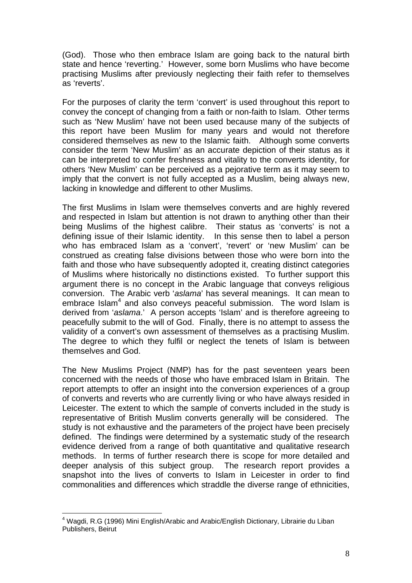(God). Those who then embrace Islam are going back to the natural birth state and hence 'reverting.' However, some born Muslims who have become practising Muslims after previously neglecting their faith refer to themselves as 'reverts'.

For the purposes of clarity the term 'convert' is used throughout this report to convey the concept of changing from a faith or non-faith to Islam. Other terms such as 'New Muslim' have not been used because many of the subjects of this report have been Muslim for many years and would not therefore considered themselves as new to the Islamic faith. Although some converts consider the term 'New Muslim' as an accurate depiction of their status as it can be interpreted to confer freshness and vitality to the converts identity, for others 'New Muslim' can be perceived as a pejorative term as it may seem to imply that the convert is not fully accepted as a Muslim, being always new, lacking in knowledge and different to other Muslims.

The first Muslims in Islam were themselves converts and are highly revered and respected in Islam but attention is not drawn to anything other than their being Muslims of the highest calibre. Their status as 'converts' is not a defining issue of their Islamic identity. In this sense then to label a person who has embraced Islam as a 'convert', 'revert' or 'new Muslim' can be construed as creating false divisions between those who were born into the faith and those who have subsequently adopted it, creating distinct categories of Muslims where historically no distinctions existed. To further support this argument there is no concept in the Arabic language that conveys religious conversion. The Arabic verb '*aslama*' has several meanings. It can mean to embrace Islam<sup>4</sup> and also conveys peaceful submission. The word Islam is derived from '*aslama*.' A person accepts 'Islam' and is therefore agreeing to peacefully submit to the will of God. Finally, there is no attempt to assess the validity of a convert's own assessment of themselves as a practising Muslim. The degree to which they fulfil or neglect the tenets of Islam is between themselves and God.

The New Muslims Project (NMP) has for the past seventeen years been concerned with the needs of those who have embraced Islam in Britain. The report attempts to offer an insight into the conversion experiences of a group of converts and reverts who are currently living or who have always resided in Leicester. The extent to which the sample of converts included in the study is representative of British Muslim converts generally will be considered. The study is not exhaustive and the parameters of the project have been precisely defined. The findings were determined by a systematic study of the research evidence derived from a range of both quantitative and qualitative research methods. In terms of further research there is scope for more detailed and deeper analysis of this subject group. The research report provides a snapshot into the lives of converts to Islam in Leicester in order to find commonalities and differences which straddle the diverse range of ethnicities,

<sup>&</sup>lt;u>.</u> <sup>4</sup> Wagdi, R.G (1996) Mini English/Arabic and Arabic/English Dictionary, Librairie du Liban Publishers, Beirut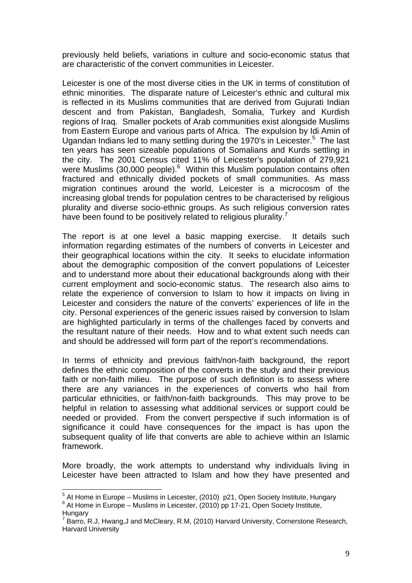previously held beliefs, variations in culture and socio-economic status that are characteristic of the convert communities in Leicester.

Leicester is one of the most diverse cities in the UK in terms of constitution of ethnic minorities. The disparate nature of Leicester's ethnic and cultural mix is reflected in its Muslims communities that are derived from Gujurati Indian descent and from Pakistan, Bangladesh, Somalia, Turkey and Kurdish regions of Iraq. Smaller pockets of Arab communities exist alongside Muslims from Eastern Europe and various parts of Africa. The expulsion by Idi Amin of Ugandan Indians led to many settling during the 1970's in Leicester.<sup>5</sup> The last ten years has seen sizeable populations of Somalians and Kurds settling in the city. The 2001 Census cited 11% of Leicester's population of 279,921 were Muslims (30,000 people).<sup>6</sup> Within this Muslim population contains often fractured and ethnically divided pockets of small communities. As mass migration continues around the world, Leicester is a microcosm of the increasing global trends for population centres to be characterised by religious plurality and diverse socio-ethnic groups. As such religious conversion rates have been found to be positively related to religious plurality.<sup>7</sup>

The report is at one level a basic mapping exercise. It details such information regarding estimates of the numbers of converts in Leicester and their geographical locations within the city. It seeks to elucidate information about the demographic composition of the convert populations of Leicester and to understand more about their educational backgrounds along with their current employment and socio-economic status. The research also aims to relate the experience of conversion to Islam to how it impacts on living in Leicester and considers the nature of the converts' experiences of life in the city. Personal experiences of the generic issues raised by conversion to Islam are highlighted particularly in terms of the challenges faced by converts and the resultant nature of their needs. How and to what extent such needs can and should be addressed will form part of the report's recommendations.

In terms of ethnicity and previous faith/non-faith background, the report defines the ethnic composition of the converts in the study and their previous faith or non-faith milieu. The purpose of such definition is to assess where there are any variances in the experiences of converts who hail from particular ethnicities, or faith/non-faith backgrounds. This may prove to be helpful in relation to assessing what additional services or support could be needed or provided. From the convert perspective if such information is of significance it could have consequences for the impact is has upon the subsequent quality of life that converts are able to achieve within an Islamic framework.

More broadly, the work attempts to understand why individuals living in Leicester have been attracted to Islam and how they have presented and

<u>.</u>

 $^5$  At Home in Europe – Muslims in Leicester, (2010) p21, Open Society Institute, Hungary<br> $^6$  At Hame in Europe – Muslims in Leicester, (2010) pp. 17.21, Open Society Institute  $6$  At Home in Europe – Muslims in Leicester, (2010) pp 17-21, Open Society Institute, **Hungary** 

 $7$  Barro, R.J, Hwang,J and McCleary, R.M, (2010) Harvard University, Cornerstone Research, Harvard University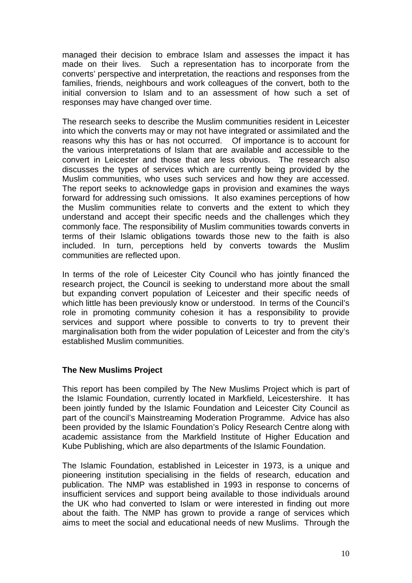managed their decision to embrace Islam and assesses the impact it has made on their lives. Such a representation has to incorporate from the converts' perspective and interpretation, the reactions and responses from the families, friends, neighbours and work colleagues of the convert, both to the initial conversion to Islam and to an assessment of how such a set of responses may have changed over time.

The research seeks to describe the Muslim communities resident in Leicester into which the converts may or may not have integrated or assimilated and the reasons why this has or has not occurred. Of importance is to account for the various interpretations of Islam that are available and accessible to the convert in Leicester and those that are less obvious. The research also discusses the types of services which are currently being provided by the Muslim communities, who uses such services and how they are accessed. The report seeks to acknowledge gaps in provision and examines the ways forward for addressing such omissions. It also examines perceptions of how the Muslim communities relate to converts and the extent to which they understand and accept their specific needs and the challenges which they commonly face. The responsibility of Muslim communities towards converts in terms of their Islamic obligations towards those new to the faith is also included. In turn, perceptions held by converts towards the Muslim communities are reflected upon.

In terms of the role of Leicester City Council who has jointly financed the research project, the Council is seeking to understand more about the small but expanding convert population of Leicester and their specific needs of which little has been previously know or understood. In terms of the Council's role in promoting community cohesion it has a responsibility to provide services and support where possible to converts to try to prevent their marginalisation both from the wider population of Leicester and from the city's established Muslim communities.

#### **The New Muslims Project**

This report has been compiled by The New Muslims Project which is part of the Islamic Foundation, currently located in Markfield, Leicestershire. It has been jointly funded by the Islamic Foundation and Leicester City Council as part of the council's Mainstreaming Moderation Programme. Advice has also been provided by the Islamic Foundation's Policy Research Centre along with academic assistance from the Markfield Institute of Higher Education and Kube Publishing, which are also departments of the Islamic Foundation.

The Islamic Foundation, established in Leicester in 1973, is a unique and pioneering institution specialising in the fields of research, education and publication. The NMP was established in 1993 in response to concerns of insufficient services and support being available to those individuals around the UK who had converted to Islam or were interested in finding out more about the faith. The NMP has grown to provide a range of services which aims to meet the social and educational needs of new Muslims. Through the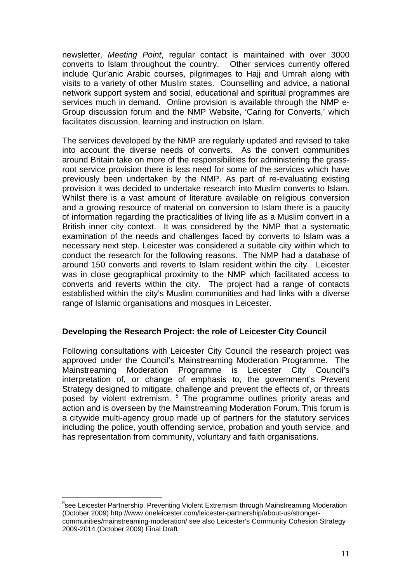newsletter, *Meeting Point*, regular contact is maintained with over 3000 converts to Islam throughout the country. Other services currently offered include Qur'anic Arabic courses, pilgrimages to Hajj and Umrah along with visits to a variety of other Muslim states. Counselling and advice, a national network support system and social, educational and spiritual programmes are services much in demand. Online provision is available through the NMP e-Group discussion forum and the NMP Website, 'Caring for Converts,' which facilitates discussion, learning and instruction on Islam.

The services developed by the NMP are regularly updated and revised to take into account the diverse needs of converts. As the convert communities around Britain take on more of the responsibilities for administering the grassroot service provision there is less need for some of the services which have previously been undertaken by the NMP. As part of re-evaluating existing provision it was decided to undertake research into Muslim converts to Islam. Whilst there is a vast amount of literature available on religious conversion and a growing resource of material on conversion to Islam there is a paucity of information regarding the practicalities of living life as a Muslim convert in a British inner city context. It was considered by the NMP that a systematic examination of the needs and challenges faced by converts to Islam was a necessary next step. Leicester was considered a suitable city within which to conduct the research for the following reasons. The NMP had a database of around 150 converts and reverts to Islam resident within the city. Leicester was in close geographical proximity to the NMP which facilitated access to converts and reverts within the city. The project had a range of contacts established within the city's Muslim communities and had links with a diverse range of Islamic organisations and mosques in Leicester.

#### **Developing the Research Project: the role of Leicester City Council**

Following consultations with Leicester City Council the research project was approved under the Council's Mainstreaming Moderation Programme. The Mainstreaming Moderation Programme is Leicester City Council's interpretation of, or change of emphasis to, the government's Prevent Strategy designed to mitigate, challenge and prevent the effects of, or threats posed by violent extremism. <sup>8</sup> The programme outlines priority areas and action and is overseen by the Mainstreaming Moderation Forum. This forum is a citywide multi-agency group made up of partners for the statutory services including the police, youth offending service, probation and youth service, and has representation from community, voluntary and faith organisations.

<sup>&</sup>lt;sup>8</sup>see Leicester Partnership. Preventing Violent Extremism through Mainstreaming Moderation (October 2009) http://www.oneleicester.com/leicester-partnership/about-us/strongercommunities/mainstreaming-moderation/ see also Leicester's Community Cohesion Strategy 2009-2014 (October 2009) Final Draft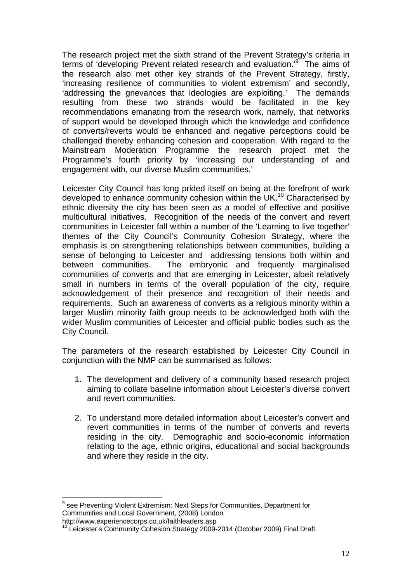The research project met the sixth strand of the Prevent Strategy's criteria in terms of 'developing Prevent related research and evaluation.<sup>99</sup> The aims of the research also met other key strands of the Prevent Strategy, firstly, 'increasing resilience of communities to violent extremism' and secondly, 'addressing the grievances that ideologies are exploiting.' The demands resulting from these two strands would be facilitated in the key recommendations emanating from the research work, namely, that networks of support would be developed through which the knowledge and confidence of converts/reverts would be enhanced and negative perceptions could be challenged thereby enhancing cohesion and cooperation. With regard to the Mainstream Moderation Programme the research project met the Programme's fourth priority by 'increasing our understanding of and engagement with, our diverse Muslim communities.'

Leicester City Council has long prided itself on being at the forefront of work developed to enhance community cohesion within the UK.<sup>10</sup> Characterised by ethnic diversity the city has been seen as a model of effective and positive multicultural initiatives. Recognition of the needs of the convert and revert communities in Leicester fall within a number of the 'Learning to live together' themes of the City Council's Community Cohesion Strategy, where the emphasis is on strengthening relationships between communities, building a sense of belonging to Leicester and addressing tensions both within and between communities. The embryonic and frequently marginalised communities of converts and that are emerging in Leicester, albeit relatively small in numbers in terms of the overall population of the city, require acknowledgement of their presence and recognition of their needs and requirements. Such an awareness of converts as a religious minority within a larger Muslim minority faith group needs to be acknowledged both with the wider Muslim communities of Leicester and official public bodies such as the City Council.

The parameters of the research established by Leicester City Council in conjunction with the NMP can be summarised as follows:

- 1. The development and delivery of a community based research project aiming to collate baseline information about Leicester's diverse convert and revert communities.
- 2. To understand more detailed information about Leicester's convert and revert communities in terms of the number of converts and reverts residing in the city. Demographic and socio-economic information relating to the age, ethnic origins, educational and social backgrounds and where they reside in the city.

http://www.experiencecorps.co.uk/faithleaders.asp

<sup>&</sup>lt;sup>9</sup> see Preventing Violent Extremism: Next Steps for Communities, Department for Communities and Local Government, (2008) London

<sup>&</sup>lt;sup>10</sup> Leicester's Community Cohesion Strategy 2009-2014 (October 2009) Final Draft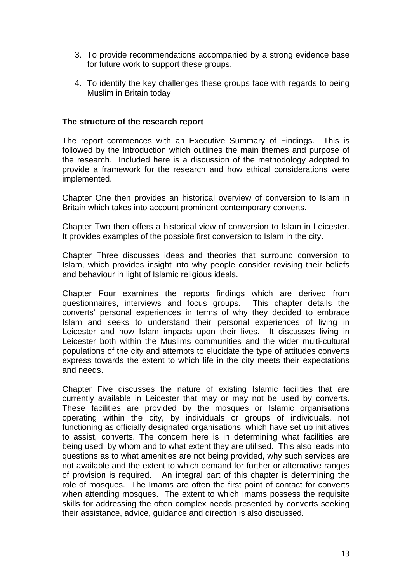- 3. To provide recommendations accompanied by a strong evidence base for future work to support these groups.
- 4. To identify the key challenges these groups face with regards to being Muslim in Britain today

#### **The structure of the research report**

The report commences with an Executive Summary of Findings. This is followed by the Introduction which outlines the main themes and purpose of the research. Included here is a discussion of the methodology adopted to provide a framework for the research and how ethical considerations were implemented.

Chapter One then provides an historical overview of conversion to Islam in Britain which takes into account prominent contemporary converts.

Chapter Two then offers a historical view of conversion to Islam in Leicester. It provides examples of the possible first conversion to Islam in the city.

Chapter Three discusses ideas and theories that surround conversion to Islam, which provides insight into why people consider revising their beliefs and behaviour in light of Islamic religious ideals.

Chapter Four examines the reports findings which are derived from questionnaires, interviews and focus groups. This chapter details the converts' personal experiences in terms of why they decided to embrace Islam and seeks to understand their personal experiences of living in Leicester and how Islam impacts upon their lives. It discusses living in Leicester both within the Muslims communities and the wider multi-cultural populations of the city and attempts to elucidate the type of attitudes converts express towards the extent to which life in the city meets their expectations and needs.

Chapter Five discusses the nature of existing Islamic facilities that are currently available in Leicester that may or may not be used by converts. These facilities are provided by the mosques or Islamic organisations operating within the city, by individuals or groups of individuals, not functioning as officially designated organisations, which have set up initiatives to assist, converts. The concern here is in determining what facilities are being used, by whom and to what extent they are utilised. This also leads into questions as to what amenities are not being provided, why such services are not available and the extent to which demand for further or alternative ranges of provision is required. An integral part of this chapter is determining the role of mosques. The Imams are often the first point of contact for converts when attending mosques. The extent to which Imams possess the requisite skills for addressing the often complex needs presented by converts seeking their assistance, advice, guidance and direction is also discussed.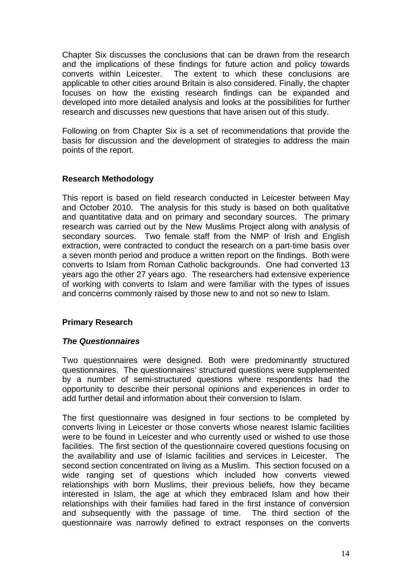Chapter Six discusses the conclusions that can be drawn from the research and the implications of these findings for future action and policy towards converts within Leicester. The extent to which these conclusions are applicable to other cities around Britain is also considered. Finally, the chapter focuses on how the existing research findings can be expanded and developed into more detailed analysis and looks at the possibilities for further research and discusses new questions that have arisen out of this study.

Following on from Chapter Six is a set of recommendations that provide the basis for discussion and the development of strategies to address the main points of the report.

#### **Research Methodology**

This report is based on field research conducted in Leicester between May and October 2010. The analysis for this study is based on both qualitative and quantitative data and on primary and secondary sources. The primary research was carried out by the New Muslims Project along with analysis of secondary sources. Two female staff from the NMP of Irish and English extraction, were contracted to conduct the research on a part-time basis over a seven month period and produce a written report on the findings. Both were converts to Islam from Roman Catholic backgrounds. One had converted 13 years ago the other 27 years ago. The researchers had extensive experience of working with converts to Islam and were familiar with the types of issues and concerns commonly raised by those new to and not so new to Islam.

#### **Primary Research**

#### *The Questionnaires*

Two questionnaires were designed. Both were predominantly structured questionnaires. The questionnaires' structured questions were supplemented by a number of semi-structured questions where respondents had the opportunity to describe their personal opinions and experiences in order to add further detail and information about their conversion to Islam.

The first questionnaire was designed in four sections to be completed by converts living in Leicester or those converts whose nearest Islamic facilities were to be found in Leicester and who currently used or wished to use those facilities. The first section of the questionnaire covered questions focusing on the availability and use of Islamic facilities and services in Leicester. The second section concentrated on living as a Muslim. This section focused on a wide ranging set of questions which included how converts viewed relationships with born Muslims, their previous beliefs, how they became interested in Islam, the age at which they embraced Islam and how their relationships with their families had fared in the first instance of conversion and subsequently with the passage of time. The third section of the questionnaire was narrowly defined to extract responses on the converts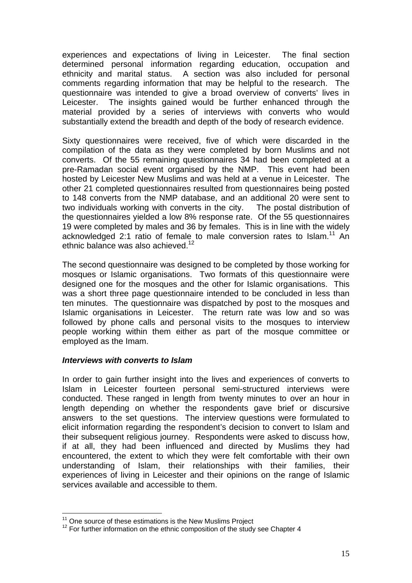experiences and expectations of living in Leicester. The final section determined personal information regarding education, occupation and ethnicity and marital status. A section was also included for personal comments regarding information that may be helpful to the research. The questionnaire was intended to give a broad overview of converts' lives in Leicester. The insights gained would be further enhanced through the material provided by a series of interviews with converts who would substantially extend the breadth and depth of the body of research evidence.

Sixty questionnaires were received, five of which were discarded in the compilation of the data as they were completed by born Muslims and not converts. Of the 55 remaining questionnaires 34 had been completed at a pre-Ramadan social event organised by the NMP. This event had been hosted by Leicester New Muslims and was held at a venue in Leicester. The other 21 completed questionnaires resulted from questionnaires being posted to 148 converts from the NMP database, and an additional 20 were sent to two individuals working with converts in the city. The postal distribution of the questionnaires yielded a low 8% response rate. Of the 55 questionnaires 19 were completed by males and 36 by females. This is in line with the widely acknowledged 2:1 ratio of female to male conversion rates to Islam.<sup>11</sup> An ethnic balance was also achieved.<sup>12</sup>

The second questionnaire was designed to be completed by those working for mosques or Islamic organisations. Two formats of this questionnaire were designed one for the mosques and the other for Islamic organisations. This was a short three page questionnaire intended to be concluded in less than ten minutes. The questionnaire was dispatched by post to the mosques and Islamic organisations in Leicester. The return rate was low and so was followed by phone calls and personal visits to the mosques to interview people working within them either as part of the mosque committee or employed as the Imam.

#### *Interviews with converts to Islam*

In order to gain further insight into the lives and experiences of converts to Islam in Leicester fourteen personal semi-structured interviews were conducted. These ranged in length from twenty minutes to over an hour in length depending on whether the respondents gave brief or discursive answers to the set questions. The interview questions were formulated to elicit information regarding the respondent's decision to convert to Islam and their subsequent religious journey. Respondents were asked to discuss how, if at all, they had been influenced and directed by Muslims they had encountered, the extent to which they were felt comfortable with their own understanding of Islam, their relationships with their families, their experiences of living in Leicester and their opinions on the range of Islamic services available and accessible to them.

<sup>&</sup>lt;u>.</u>

<sup>&</sup>lt;sup>11</sup> One source of these estimations is the New Muslims Project  $12$  For further information on the ethnic composition of the study see Chapter 4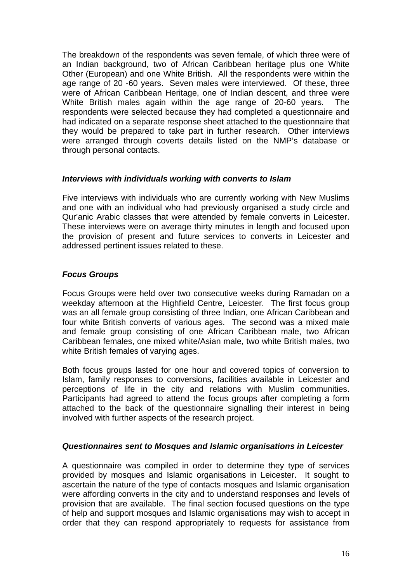The breakdown of the respondents was seven female, of which three were of an Indian background, two of African Caribbean heritage plus one White Other (European) and one White British. All the respondents were within the age range of 20 -60 years. Seven males were interviewed. Of these, three were of African Caribbean Heritage, one of Indian descent, and three were White British males again within the age range of 20-60 years. The respondents were selected because they had completed a questionnaire and had indicated on a separate response sheet attached to the questionnaire that they would be prepared to take part in further research. Other interviews were arranged through coverts details listed on the NMP's database or through personal contacts.

#### *Interviews with individuals working with converts to Islam*

Five interviews with individuals who are currently working with New Muslims and one with an individual who had previously organised a study circle and Qur'anic Arabic classes that were attended by female converts in Leicester. These interviews were on average thirty minutes in length and focused upon the provision of present and future services to converts in Leicester and addressed pertinent issues related to these.

#### *Focus Groups*

Focus Groups were held over two consecutive weeks during Ramadan on a weekday afternoon at the Highfield Centre, Leicester. The first focus group was an all female group consisting of three Indian, one African Caribbean and four white British converts of various ages. The second was a mixed male and female group consisting of one African Caribbean male, two African Caribbean females, one mixed white/Asian male, two white British males, two white British females of varying ages.

Both focus groups lasted for one hour and covered topics of conversion to Islam, family responses to conversions, facilities available in Leicester and perceptions of life in the city and relations with Muslim communities. Participants had agreed to attend the focus groups after completing a form attached to the back of the questionnaire signalling their interest in being involved with further aspects of the research project.

#### *Questionnaires sent to Mosques and Islamic organisations in Leicester*

A questionnaire was compiled in order to determine they type of services provided by mosques and Islamic organisations in Leicester. It sought to ascertain the nature of the type of contacts mosques and Islamic organisation were affording converts in the city and to understand responses and levels of provision that are available. The final section focused questions on the type of help and support mosques and Islamic organisations may wish to accept in order that they can respond appropriately to requests for assistance from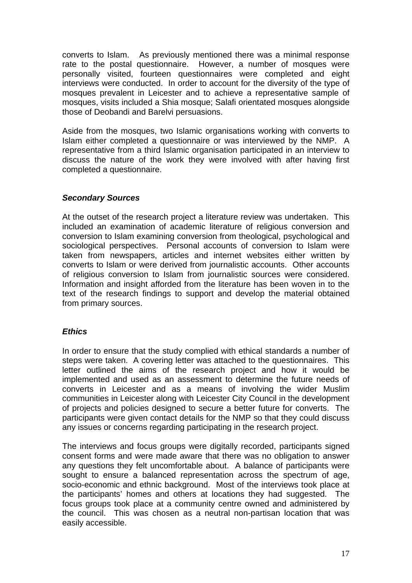converts to Islam. As previously mentioned there was a minimal response rate to the postal questionnaire. However, a number of mosques were personally visited, fourteen questionnaires were completed and eight interviews were conducted. In order to account for the diversity of the type of mosques prevalent in Leicester and to achieve a representative sample of mosques, visits included a Shia mosque; Salafi orientated mosques alongside those of Deobandi and Barelvi persuasions.

Aside from the mosques, two Islamic organisations working with converts to Islam either completed a questionnaire or was interviewed by the NMP. A representative from a third Islamic organisation participated in an interview to discuss the nature of the work they were involved with after having first completed a questionnaire.

#### *Secondary Sources*

At the outset of the research project a literature review was undertaken. This included an examination of academic literature of religious conversion and conversion to Islam examining conversion from theological, psychological and sociological perspectives. Personal accounts of conversion to Islam were taken from newspapers, articles and internet websites either written by converts to Islam or were derived from journalistic accounts. Other accounts of religious conversion to Islam from journalistic sources were considered. Information and insight afforded from the literature has been woven in to the text of the research findings to support and develop the material obtained from primary sources.

#### *Ethics*

In order to ensure that the study complied with ethical standards a number of steps were taken. A covering letter was attached to the questionnaires. This letter outlined the aims of the research project and how it would be implemented and used as an assessment to determine the future needs of converts in Leicester and as a means of involving the wider Muslim communities in Leicester along with Leicester City Council in the development of projects and policies designed to secure a better future for converts. The participants were given contact details for the NMP so that they could discuss any issues or concerns regarding participating in the research project.

The interviews and focus groups were digitally recorded, participants signed consent forms and were made aware that there was no obligation to answer any questions they felt uncomfortable about. A balance of participants were sought to ensure a balanced representation across the spectrum of age, socio-economic and ethnic background. Most of the interviews took place at the participants' homes and others at locations they had suggested. The focus groups took place at a community centre owned and administered by the council. This was chosen as a neutral non-partisan location that was easily accessible.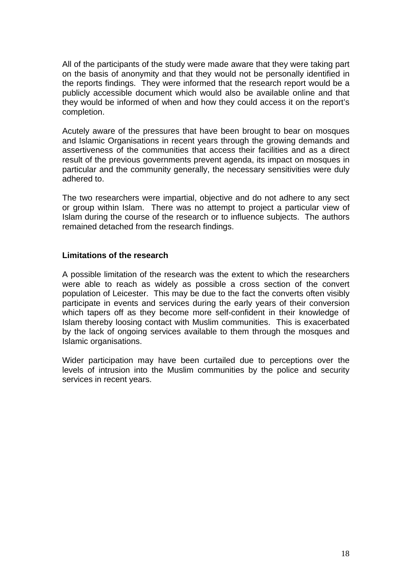All of the participants of the study were made aware that they were taking part on the basis of anonymity and that they would not be personally identified in the reports findings. They were informed that the research report would be a publicly accessible document which would also be available online and that they would be informed of when and how they could access it on the report's completion.

Acutely aware of the pressures that have been brought to bear on mosques and Islamic Organisations in recent years through the growing demands and assertiveness of the communities that access their facilities and as a direct result of the previous governments prevent agenda, its impact on mosques in particular and the community generally, the necessary sensitivities were duly adhered to.

The two researchers were impartial, objective and do not adhere to any sect or group within Islam. There was no attempt to project a particular view of Islam during the course of the research or to influence subjects. The authors remained detached from the research findings.

#### **Limitations of the research**

A possible limitation of the research was the extent to which the researchers were able to reach as widely as possible a cross section of the convert population of Leicester. This may be due to the fact the converts often visibly participate in events and services during the early years of their conversion which tapers off as they become more self-confident in their knowledge of Islam thereby loosing contact with Muslim communities. This is exacerbated by the lack of ongoing services available to them through the mosques and Islamic organisations.

Wider participation may have been curtailed due to perceptions over the levels of intrusion into the Muslim communities by the police and security services in recent years.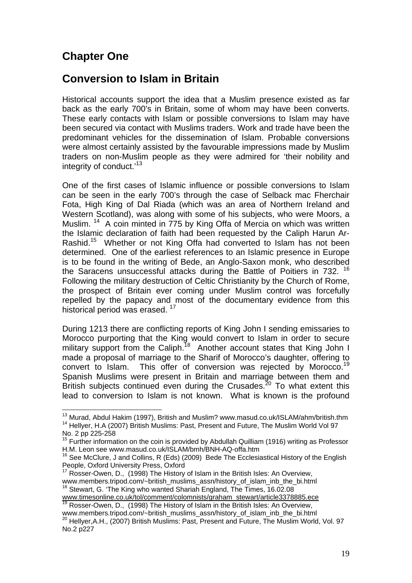# **Chapter One**

1

# **Conversion to Islam in Britain**

Historical accounts support the idea that a Muslim presence existed as far back as the early 700's in Britain, some of whom may have been converts. These early contacts with Islam or possible conversions to Islam may have been secured via contact with Muslims traders. Work and trade have been the predominant vehicles for the dissemination of Islam. Probable conversions were almost certainly assisted by the favourable impressions made by Muslim traders on non-Muslim people as they were admired for 'their nobility and integrity of conduct.<sup>'13</sup>

One of the first cases of Islamic influence or possible conversions to Islam can be seen in the early 700's through the case of Selback mac Fherchair Fota, High King of Dal Riada (which was an area of Northern Ireland and Western Scotland), was along with some of his subjects, who were Moors, a Muslim. <sup>14</sup> A coin minted in 775 by King Offa of Mercia on which was written the Islamic declaration of faith had been requested by the Caliph Harun Ar-Rashid.<sup>15</sup> Whether or not King Offa had converted to Islam has not been determined. One of the earliest references to an Islamic presence in Europe is to be found in the writing of Bede, an Anglo-Saxon monk, who described the Saracens unsuccessful attacks during the Battle of Poitiers in 732.<sup>16</sup> Following the military destruction of Celtic Christianity by the Church of Rome, the prospect of Britain ever coming under Muslim control was forcefully repelled by the papacy and most of the documentary evidence from this historical period was erased.<sup>17</sup>

During 1213 there are conflicting reports of King John I sending emissaries to Morocco purporting that the King would convert to Islam in order to secure military support from the Caliph.<sup>18</sup> Another account states that King John I made a proposal of marriage to the Sharif of Morocco's daughter, offering to convert to Islam. This offer of conversion was rejected by Morocco.<sup>19</sup> Spanish Muslims were present in Britain and marriage between them and British subjects continued even during the Crusades.<sup>20</sup> To what extent this lead to conversion to Islam is not known. What is known is the profound

<sup>&</sup>lt;sup>13</sup> Murad, Abdul Hakim (1997), British and Muslim? www.masud.co.uk/ISLAM/ahm/british.thm <sup>14</sup> Hellyer, H.A (2007) British Muslims: Past, Present and Future, The Muslim World Vol 97 No. 2 pp 225-258<br><sup>15</sup> F .....

 $^5$  Further information on the coin is provided by Abdullah Quilliam (1916) writing as Professor H.M. Leon see www.masud.co.uk/ISLAM/bmh/BNH-AQ-offa.htm

 $16$  See McClure, J and Collins, R (Eds) (2009) Bede The Ecclesiastical History of the English People, Oxford University Press, Oxford

<sup>&</sup>lt;sup>17</sup> Rosser-Owen, D., (1998) The History of Islam in the British Isles: An Overview, www.members.tripod.com/~british\_muslims\_assn/history\_of\_islam\_inb\_the\_bi.html<br><sup>18</sup> Stewart, G. 'The King who wanted Shariah England, The Times, 16.02.08<br>www.timesonline.co.uk/tol/comment/colomnists/graham\_stewart/article33

www.members.tripod.com/~british muslims assn/history of islam in the British Isles: An Overview,<br>www.members.tripod.com/~british muslims assn/history of islam inb the bi.html

<sup>&</sup>lt;sup>20</sup> Hellver.A.H., (2007) British Muslims: Past, Present and Future, The Muslim World, Vol. 97 No.2 p227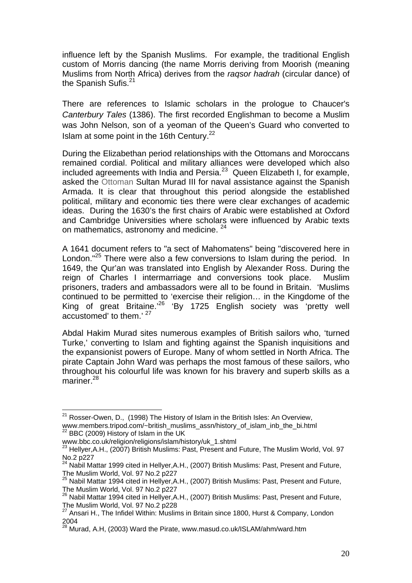influence left by the Spanish Muslims. For example, the traditional English custom of Morris dancing (the name Morris deriving from Moorish (meaning Muslims from North Africa) derives from the *raqsor hadrah* (circular dance) of the Spanish Sufis.<sup>21</sup>

There are references to Islamic scholars in the prologue to Chaucer's *Canterbury Tales* (1386). The first recorded Englishman to become a Muslim was John Nelson, son of a yeoman of the Queen's Guard who converted to Islam at some point in the 16th Century.<sup>22</sup>

During the Elizabethan period relationships with the Ottomans and Moroccans remained cordial. Political and military alliances were developed which also included agreements with India and Persia. $23$  Queen Elizabeth I, for example, asked the Ottoman Sultan Murad III for naval assistance against the Spanish Armada. It is clear that throughout this period alongside the established political, military and economic ties there were clear exchanges of academic ideas. During the 1630's the first chairs of Arabic were established at Oxford and Cambridge Universities where scholars were influenced by Arabic texts on mathematics, astronomy and medicine. <sup>24</sup>

A 1641 document refers to "a sect of Mahomatens" being "discovered here in London."<sup>25</sup> There were also a few conversions to Islam during the period. In 1649, the Qur'an was translated into English by Alexander Ross. During the reign of Charles I intermarriage and conversions took place. Muslim prisoners, traders and ambassadors were all to be found in Britain. 'Muslims continued to be permitted to 'exercise their religion… in the Kingdome of the King of great Britaine.<sup>26</sup> 'By 1725 English society was 'pretty well accustomed' to them.' 27

Abdal Hakim Murad sites numerous examples of British sailors who, 'turned Turke,' converting to Islam and fighting against the Spanish inquisitions and the expansionist powers of Europe. Many of whom settled in North Africa. The pirate Captain John Ward was perhaps the most famous of these sailors, who throughout his colourful life was known for his bravery and superb skills as a mariner.<sup>28</sup>

 $21$  Rosser-Owen, D., (1998) The History of Islam in the British Isles: An Overview, www.members.tripod.com/~british\_muslims\_assn/history\_of\_islam\_inb\_the\_bi.html 22 BBC (2009) History of Islam in the UK

www.bbc.co.uk/religion/religions/islam/history/uk\_1.shtml<br><sup>23</sup> Hellyer,A.H., (2007) British Muslims: Past, Present and Future, The Muslim World, Vol. 97 No.2 p227

 $24$  Nabil Mattar 1999 cited in Hellyer, A.H., (2007) British Muslims: Past, Present and Future, The Muslim World, Vol. 97 No.2 p227

 $25$  Nabil Mattar 1994 cited in Hellyer, A.H., (2007) British Muslims: Past, Present and Future, The Muslim World, Vol. 97 No.2 p227

<sup>&</sup>lt;sup>26</sup> Nabil Mattar 1994 cited in Hellyer, A.H., (2007) British Muslims: Past, Present and Future, The Muslim World, Vol. 97 No.2 p228

<sup>&</sup>lt;sup>27</sup> Ansari H., The Infidel Within: Muslims in Britain since 1800, Hurst & Company, London 2004

<sup>28</sup> Murad, A.H, (2003) Ward the Pirate, www.masud.co.uk/ISLAM/ahm/ward.htm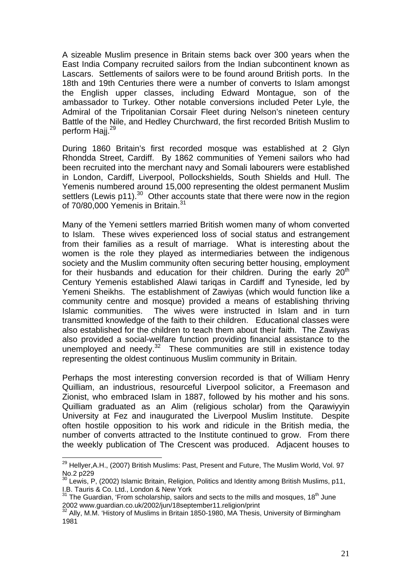A sizeable Muslim presence in Britain stems back over 300 years when the East India Company recruited sailors from the Indian subcontinent known as Lascars. Settlements of sailors were to be found around British ports. In the 18th and 19th Centuries there were a number of converts to Islam amongst the English upper classes, including Edward Montague, son of the ambassador to Turkey. Other notable conversions included Peter Lyle, the Admiral of the Tripolitanian Corsair Fleet during Nelson's nineteen century Battle of the Nile, and Hedley Churchward, the first recorded British Muslim to perform Hajj.<sup>29</sup>

During 1860 Britain's first recorded mosque was established at 2 Glyn Rhondda Street, Cardiff. By 1862 communities of Yemeni sailors who had been recruited into the merchant navy and Somali labourers were established in London, Cardiff, Liverpool, Pollockshields, South Shields and Hull. The Yemenis numbered around 15,000 representing the oldest permanent Muslim settlers (Lewis p11).<sup>30</sup> Other accounts state that there were now in the region of 70/80,000 Yemenis in Britain.<sup>31</sup>

Many of the Yemeni settlers married British women many of whom converted to Islam. These wives experienced loss of social status and estrangement from their families as a result of marriage. What is interesting about the women is the role they played as intermediaries between the indigenous society and the Muslim community often securing better housing, employment for their husbands and education for their children. During the early 20<sup>th</sup> Century Yemenis established Alawi tariqas in Cardiff and Tyneside, led by Yemeni Sheikhs. The establishment of Zawiyas (which would function like a community centre and mosque) provided a means of establishing thriving Islamic communities. The wives were instructed in Islam and in turn transmitted knowledge of the faith to their children. Educational classes were also established for the children to teach them about their faith. The Zawiyas also provided a social-welfare function providing financial assistance to the unemployed and needy. $32$  These communities are still in existence today representing the oldest continuous Muslim community in Britain.

Perhaps the most interesting conversion recorded is that of William Henry Quilliam, an industrious, resourceful Liverpool solicitor, a Freemason and Zionist, who embraced Islam in 1887, followed by his mother and his sons. Quilliam graduated as an Alim (religious scholar) from the Qarawiyyin University at Fez and inaugurated the Liverpool Muslim Institute. Despite often hostile opposition to his work and ridicule in the British media, the number of converts attracted to the Institute continued to grow. From there the weekly publication of The Crescent was produced. Adjacent houses to

<sup>1</sup>  $29$  Hellyer, A.H., (2007) British Muslims: Past, Present and Future, The Muslim World, Vol. 97 No.2 p229

 $30$  Lewis, P, (2002) Islamic Britain, Religion, Politics and Identity among British Muslims, p11, I.B. Tauris & Co. Ltd., London & New York

 $31$  The Guardian, 'From scholarship, sailors and sects to the mills and mosques, 18<sup>th</sup> June 2002 www.guardian.co.uk/2002/jun/18september11.religion/print<br><sup>32</sup> Ally, M.M. 'History of Muslims in Britain 1850-1980, MA Thesis, University of Birmingham

<sup>1981</sup>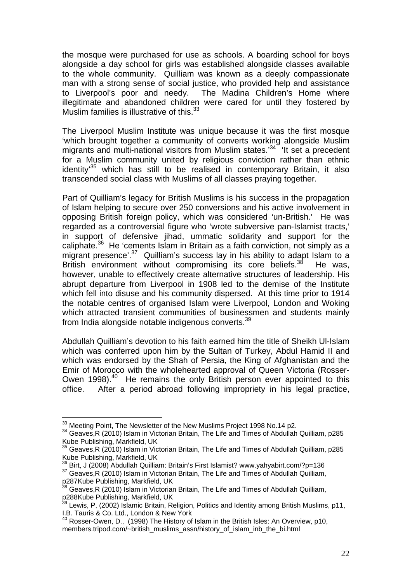the mosque were purchased for use as schools. A boarding school for boys alongside a day school for girls was established alongside classes available to the whole community. Quilliam was known as a deeply compassionate man with a strong sense of social justice, who provided help and assistance to Liverpool's poor and needy. The Madina Children's Home where illegitimate and abandoned children were cared for until they fostered by Muslim families is illustrative of this. $33$ 

The Liverpool Muslim Institute was unique because it was the first mosque 'which brought together a community of converts working alongside Muslim might straght tegenter is community of the limit states.<sup>34</sup> 'It set a precedent for a Muslim community united by religious conviction rather than ethnic identity'35 which has still to be realised in contemporary Britain, it also transcended social class with Muslims of all classes praying together.

Part of Quilliam's legacy for British Muslims is his success in the propagation of Islam helping to secure over 250 conversions and his active involvement in opposing British foreign policy, which was considered 'un-British.' He was regarded as a controversial figure who 'wrote subversive pan-Islamist tracts,' in support of defensive jihad, ummatic solidarity and support for the caliphate. $36$  He 'cements Islam in Britain as a faith conviction, not simply as a migrant presence'.<sup>37</sup> Quilliam's success lay in his ability to adapt Islam to a British environment without compromising its core beliefs.<sup>38</sup> He was, however, unable to effectively create alternative structures of leadership. His abrupt departure from Liverpool in 1908 led to the demise of the Institute which fell into disuse and his community dispersed. At this time prior to 1914 the notable centres of organised Islam were Liverpool, London and Woking which attracted transient communities of businessmen and students mainly from India alongside notable indigenous converts.39

Abdullah Quilliam's devotion to his faith earned him the title of Sheikh Ul-Islam which was conferred upon him by the Sultan of Turkey, Abdul Hamid II and which was endorsed by the Shah of Persia, the King of Afghanistan and the Emir of Morocco with the wholehearted approval of Queen Victoria (Rosser-Owen 1998).<sup>40</sup> He remains the only British person ever appointed to this office. After a period abroad following impropriety in his legal practice,

<sup>&</sup>lt;sup>33</sup> Meeting Point. The Newsletter of the New Muslims Project 1998 No.14 p2.

 $34$  Geaves, R (2010) Islam in Victorian Britain, The Life and Times of Abdullah Quilliam, p285 Kube Publishing, Markfield, UK

<sup>35</sup> Geaves,R (2010) Islam in Victorian Britain, The Life and Times of Abdullah Quilliam, p285

Kube Publishing, Markfield, UK<br><sup>36</sup> Birt, J (2008) Abdullah Quilliam: Britain's First Islamist? www.yahyabirt.com/?p=136  $37$  Geaves,R (2010) Islam in Victorian Britain, The Life and Times of Abdullah Quilliam,

p287Kube Publishing, Markfield, UK

Geaves,R (2010) Islam in Victorian Britain, The Life and Times of Abdullah Quilliam, p288Kube Publishing, Markfield, UK

<sup>39</sup> Lewis, P, (2002) Islamic Britain, Religion, Politics and Identity among British Muslims, p11, I.B. Tauris & Co. Ltd., London & New York

 $40$  Rosser-Owen, D.,  $(1998)$  The History of Islam in the British Isles: An Overview, p10, members.tripod.com/~british\_muslims\_assn/history\_of\_islam\_inb\_the\_bi.html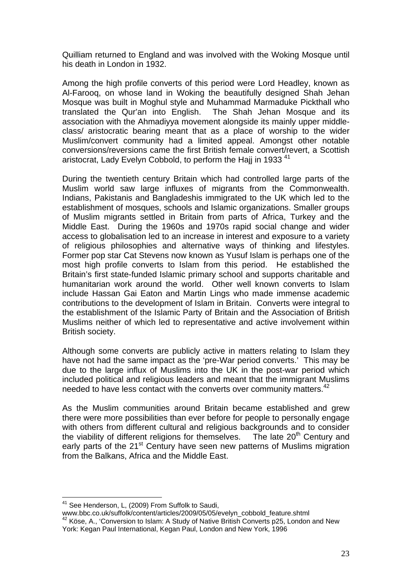Quilliam returned to England and was involved with the Woking Mosque until his death in London in 1932.

Among the high profile converts of this period were Lord Headley, known as Al-Farooq, on whose land in Woking the beautifully designed Shah Jehan Mosque was built in Moghul style and Muhammad Marmaduke Pickthall who translated the Qur'an into English. The Shah Jehan Mosque and its association with the Ahmadiyya movement alongside its mainly upper middleclass/ aristocratic bearing meant that as a place of worship to the wider Muslim/convert community had a limited appeal. Amongst other notable conversions/reversions came the first British female convert/revert, a Scottish aristocrat, Lady Evelyn Cobbold, to perform the Hajj in 1933<sup>41</sup>

During the twentieth century Britain which had controlled large parts of the Muslim world saw large influxes of migrants from the Commonwealth. Indians, Pakistanis and Bangladeshis immigrated to the UK which led to the establishment of mosques, schools and Islamic organizations. Smaller groups of Muslim migrants settled in Britain from parts of Africa, Turkey and the Middle East. During the 1960s and 1970s rapid social change and wider access to globalisation led to an increase in interest and exposure to a variety of religious philosophies and alternative ways of thinking and lifestyles. Former pop star Cat Stevens now known as Yusuf Islam is perhaps one of the most high profile converts to Islam from this period. He established the Britain's first state-funded Islamic primary school and supports charitable and humanitarian work around the world. Other well known converts to Islam include Hassan Gai Eaton and Martin Lings who made immense academic contributions to the development of Islam in Britain. Converts were integral to the establishment of the Islamic Party of Britain and the Association of British Muslims neither of which led to representative and active involvement within British society.

Although some converts are publicly active in matters relating to Islam they have not had the same impact as the 'pre-War period converts.' This may be due to the large influx of Muslims into the UK in the post-war period which included political and religious leaders and meant that the immigrant Muslims needed to have less contact with the converts over community matters.<sup>42</sup>

As the Muslim communities around Britain became established and grew there were more possibilities than ever before for people to personally engage with others from different cultural and religious backgrounds and to consider the viability of different religions for themselves. The late  $20<sup>th</sup>$  Century and early parts of the 21<sup>st</sup> Century have seen new patterns of Muslims migration from the Balkans, Africa and the Middle East.

<sup>&</sup>lt;sup>41</sup> See Henderson, L, (2009) From Suffolk to Saudi,<br>www.bbc.co.uk/suffolk/content/articles/2009/05/05/evelyn cobbold feature.shtml  $\frac{42}{4}$  Köse, A., 'Conversion to Islam: A Study of Native British Converts p25, London and New York: Kegan Paul International, Kegan Paul, London and New York, 1996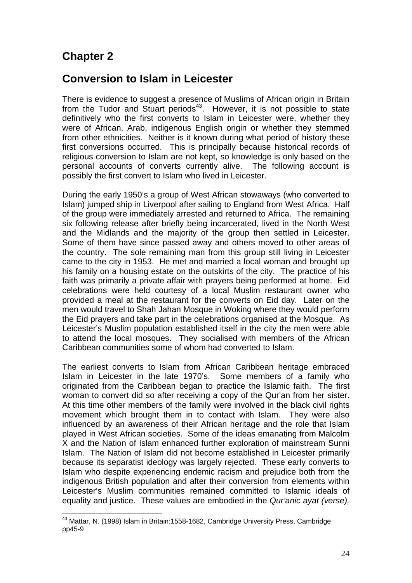# **Chapter 2**

# **Conversion to Islam in Leicester**

There is evidence to suggest a presence of Muslims of African origin in Britain from the Tudor and Stuart periods $43$ . However, it is not possible to state definitively who the first converts to Islam in Leicester were, whether they were of African, Arab, indigenous English origin or whether they stemmed from other ethnicities. Neither is it known during what period of history these first conversions occurred. This is principally because historical records of religious conversion to Islam are not kept, so knowledge is only based on the personal accounts of converts currently alive. The following account is possibly the first convert to Islam who lived in Leicester.

During the early 1950's a group of West African stowaways (who converted to Islam) jumped ship in Liverpool after sailing to England from West Africa. Half of the group were immediately arrested and returned to Africa. The remaining six following release after briefly being incarcerated, lived in the North West and the Midlands and the majority of the group then settled in Leicester. Some of them have since passed away and others moved to other areas of the country. The sole remaining man from this group still living in Leicester came to the city in 1953. He met and married a local woman and brought up his family on a housing estate on the outskirts of the city. The practice of his faith was primarily a private affair with prayers being performed at home. Eid celebrations were held courtesy of a local Muslim restaurant owner who provided a meal at the restaurant for the converts on Eid day. Later on the men would travel to Shah Jahan Mosque in Woking where they would perform the Eid prayers and take part in the celebrations organised at the Mosque. As Leicester's Muslim population established itself in the city the men were able to attend the local mosques. They socialised with members of the African Caribbean communities some of whom had converted to Islam.

The earliest converts to Islam from African Caribbean heritage embraced Islam in Leicester in the late 1970's. Some members of a family who originated from the Caribbean began to practice the Islamic faith. The first woman to convert did so after receiving a copy of the Qur'an from her sister. At this time other members of the family were involved in the black civil rights movement which brought them in to contact with Islam. They were also influenced by an awareness of their African heritage and the role that Islam played in West African societies. Some of the ideas emanating from Malcolm X and the Nation of Islam enhanced further exploration of mainstream Sunni Islam. The Nation of Islam did not become established in Leicester primarily because its separatist ideology was largely rejected. These early converts to Islam who despite experiencing endemic racism and prejudice both from the indigenous British population and after their conversion from elements within Leicester's Muslim communities remained committed to Islamic ideals of equality and justice. These values are embodied in the *Qur'anic ayat (verse),* 

<sup>&</sup>lt;u>.</u> 43 Mattar, N. (1998) Islam in Britain:1558-1682, Cambridge University Press, Cambridge pp45-9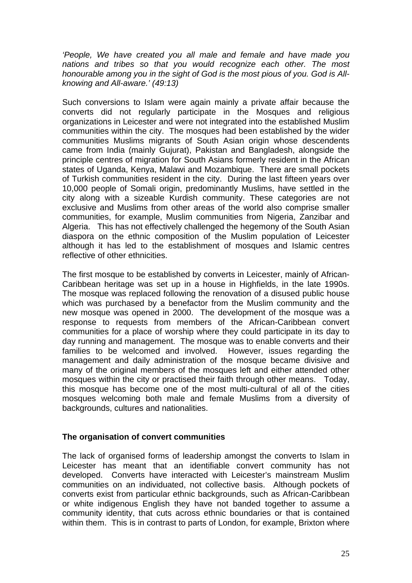*'People, We have created you all male and female and have made you nations and tribes so that you would recognize each other. The most honourable among you in the sight of God is the most pious of you. God is Allknowing and All-aware.' (49:13)*

Such conversions to Islam were again mainly a private affair because the converts did not regularly participate in the Mosques and religious organizations in Leicester and were not integrated into the established Muslim communities within the city. The mosques had been established by the wider communities Muslims migrants of South Asian origin whose descendents came from India (mainly Gujurat), Pakistan and Bangladesh, alongside the principle centres of migration for South Asians formerly resident in the African states of Uganda, Kenya, Malawi and Mozambique. There are small pockets of Turkish communities resident in the city. During the last fifteen years over 10,000 people of Somali origin, predominantly Muslims, have settled in the city along with a sizeable Kurdish community. These categories are not exclusive and Muslims from other areas of the world also comprise smaller communities, for example, Muslim communities from Nigeria, Zanzibar and Algeria. This has not effectively challenged the hegemony of the South Asian diaspora on the ethnic composition of the Muslim population of Leicester although it has led to the establishment of mosques and Islamic centres reflective of other ethnicities.

The first mosque to be established by converts in Leicester, mainly of African-Caribbean heritage was set up in a house in Highfields, in the late 1990s. The mosque was replaced following the renovation of a disused public house which was purchased by a benefactor from the Muslim community and the new mosque was opened in 2000. The development of the mosque was a response to requests from members of the African-Caribbean convert communities for a place of worship where they could participate in its day to day running and management. The mosque was to enable converts and their families to be welcomed and involved. However, issues regarding the management and daily administration of the mosque became divisive and many of the original members of the mosques left and either attended other mosques within the city or practised their faith through other means. Today, this mosque has become one of the most multi-cultural of all of the cities mosques welcoming both male and female Muslims from a diversity of backgrounds, cultures and nationalities.

#### **The organisation of convert communities**

The lack of organised forms of leadership amongst the converts to Islam in Leicester has meant that an identifiable convert community has not developed. Converts have interacted with Leicester's mainstream Muslim communities on an individuated, not collective basis. Although pockets of converts exist from particular ethnic backgrounds, such as African-Caribbean or white indigenous English they have not banded together to assume a community identity, that cuts across ethnic boundaries or that is contained within them. This is in contrast to parts of London, for example, Brixton where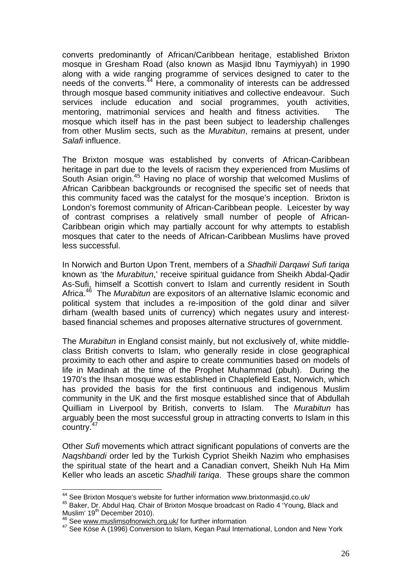converts predominantly of African/Caribbean heritage, established Brixton mosque in Gresham Road (also known as Masjid Ibnu Taymiyyah) in 1990 along with a wide ranging programme of services designed to cater to the needs of the converts. $44 \text{ Here}$ , a commonality of interests can be addressed through mosque based community initiatives and collective endeavour. Such services include education and social programmes, youth activities, mentoring, matrimonial services and health and fitness activities. The mosque which itself has in the past been subject to leadership challenges from other Muslim sects, such as the *Murabitun*, remains at present, under *Salafi* influence.

The Brixton mosque was established by converts of African-Caribbean heritage in part due to the levels of racism they experienced from Muslims of South Asian origin.45 Having no place of worship that welcomed Muslims of African Caribbean backgrounds or recognised the specific set of needs that this community faced was the catalyst for the mosque's inception. Brixton is London's foremost community of African-Caribbean people. Leicester by way of contrast comprises a relatively small number of people of African-Caribbean origin which may partially account for why attempts to establish mosques that cater to the needs of African-Caribbean Muslims have proved less successful.

In Norwich and Burton Upon Trent, members of a *Shadhili Darqawi Sufi tariqa* known as 'the *Murabitun*,' receive spiritual guidance from Sheikh Abdal-Qadir As-Sufi, himself a Scottish convert to Islam and currently resident in South Africa.46 The *Murabitun* are expositors of an alternative Islamic economic and political system that includes a re-imposition of the gold dinar and silver dirham (wealth based units of currency) which negates usury and interestbased financial schemes and proposes alternative structures of government.

The *Murabitun* in England consist mainly, but not exclusively of, white middleclass British converts to Islam, who generally reside in close geographical proximity to each other and aspire to create communities based on models of life in Madinah at the time of the Prophet Muhammad (pbuh). During the 1970's the Ihsan mosque was established in Chaplefield East, Norwich, which has provided the basis for the first continuous and indigenous Muslim community in the UK and the first mosque established since that of Abdullah Quilliam in Liverpool by British, converts to Islam. The *Murabitun* has arguably been the most successful group in attracting converts to Islam in this country.47

Other *Sufi* movements which attract significant populations of converts are the *Naqshbandi* order led by the Turkish Cypriot Sheikh Nazim who emphasises the spiritual state of the heart and a Canadian convert, Sheikh Nuh Ha Mim Keller who leads an ascetic *Shadhili tariqa*. These groups share the common

<sup>&</sup>lt;sup>44</sup> See Brixton Mosque's website for further information www.brixtonmasjid.co.uk/

<sup>45</sup> Baker, Dr. Abdul Haq. Chair of Brixton Mosque broadcast on Radio 4 'Young, Black and<br>Muslim' 19<sup>th</sup> December 2010).

 $46$  See www.muslimsofnorwich.org.uk/ for further information

<sup>&</sup>lt;sup>47</sup> See Köse A (1996) Conversion to Islam, Kegan Paul International, London and New York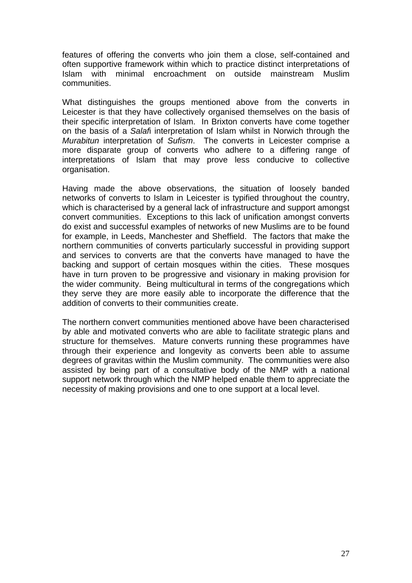features of offering the converts who join them a close, self-contained and often supportive framework within which to practice distinct interpretations of Islam with minimal encroachment on outside mainstream Muslim communities.

What distinguishes the groups mentioned above from the converts in Leicester is that they have collectively organised themselves on the basis of their specific interpretation of Islam. In Brixton converts have come together on the basis of a *Salaf*i interpretation of Islam whilst in Norwich through the *Murabitun* interpretation of *Sufism*. The converts in Leicester comprise a more disparate group of converts who adhere to a differing range of interpretations of Islam that may prove less conducive to collective organisation.

Having made the above observations, the situation of loosely banded networks of converts to Islam in Leicester is typified throughout the country, which is characterised by a general lack of infrastructure and support amongst convert communities. Exceptions to this lack of unification amongst converts do exist and successful examples of networks of new Muslims are to be found for example, in Leeds, Manchester and Sheffield. The factors that make the northern communities of converts particularly successful in providing support and services to converts are that the converts have managed to have the backing and support of certain mosques within the cities. These mosques have in turn proven to be progressive and visionary in making provision for the wider community. Being multicultural in terms of the congregations which they serve they are more easily able to incorporate the difference that the addition of converts to their communities create.

The northern convert communities mentioned above have been characterised by able and motivated converts who are able to facilitate strategic plans and structure for themselves. Mature converts running these programmes have through their experience and longevity as converts been able to assume degrees of gravitas within the Muslim community. The communities were also assisted by being part of a consultative body of the NMP with a national support network through which the NMP helped enable them to appreciate the necessity of making provisions and one to one support at a local level.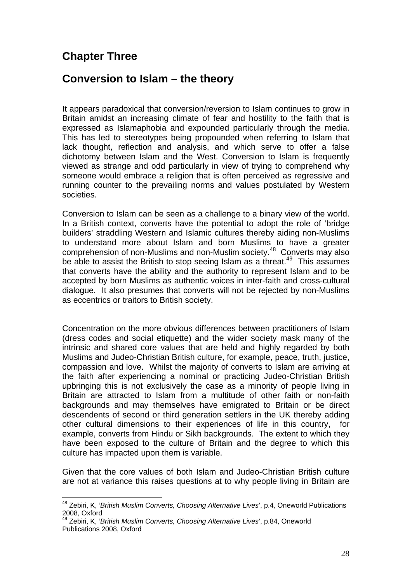# **Chapter Three**

1

### **Conversion to Islam – the theory**

It appears paradoxical that conversion/reversion to Islam continues to grow in Britain amidst an increasing climate of fear and hostility to the faith that is expressed as Islamaphobia and expounded particularly through the media. This has led to stereotypes being propounded when referring to Islam that lack thought, reflection and analysis, and which serve to offer a false dichotomy between Islam and the West. Conversion to Islam is frequently viewed as strange and odd particularly in view of trying to comprehend why someone would embrace a religion that is often perceived as regressive and running counter to the prevailing norms and values postulated by Western societies.

Conversion to Islam can be seen as a challenge to a binary view of the world. In a British context, converts have the potential to adopt the role of 'bridge builders' straddling Western and Islamic cultures thereby aiding non-Muslims to understand more about Islam and born Muslims to have a greater comprehension of non-Muslims and non-Muslim society.48 Converts may also be able to assist the British to stop seeing Islam as a threat.<sup>49</sup> This assumes that converts have the ability and the authority to represent Islam and to be accepted by born Muslims as authentic voices in inter-faith and cross-cultural dialogue. It also presumes that converts will not be rejected by non-Muslims as eccentrics or traitors to British society.

Concentration on the more obvious differences between practitioners of Islam (dress codes and social etiquette) and the wider society mask many of the intrinsic and shared core values that are held and highly regarded by both Muslims and Judeo-Christian British culture, for example, peace, truth, justice, compassion and love. Whilst the majority of converts to Islam are arriving at the faith after experiencing a nominal or practicing Judeo-Christian British upbringing this is not exclusively the case as a minority of people living in Britain are attracted to Islam from a multitude of other faith or non-faith backgrounds and may themselves have emigrated to Britain or be direct descendents of second or third generation settlers in the UK thereby adding other cultural dimensions to their experiences of life in this country, for example, converts from Hindu or Sikh backgrounds. The extent to which they have been exposed to the culture of Britain and the degree to which this culture has impacted upon them is variable.

Given that the core values of both Islam and Judeo-Christian British culture are not at variance this raises questions at to why people living in Britain are

<sup>48</sup> Zebiri, K, '*British Muslim Converts, Choosing Alternative Lives*', p.4, Oneworld Publications 2008, Oxford

<sup>49</sup> Zebiri, K, '*British Muslim Converts, Choosing Alternative Lives*', p.84, Oneworld Publications 2008, Oxford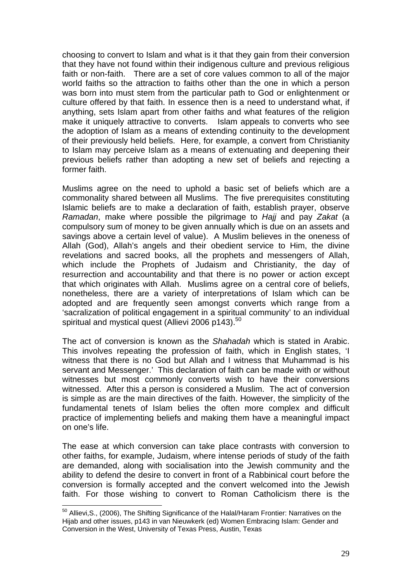choosing to convert to Islam and what is it that they gain from their conversion that they have not found within their indigenous culture and previous religious faith or non-faith. There are a set of core values common to all of the major world faiths so the attraction to faiths other than the one in which a person was born into must stem from the particular path to God or enlightenment or culture offered by that faith. In essence then is a need to understand what, if anything, sets Islam apart from other faiths and what features of the religion make it uniquely attractive to converts. Islam appeals to converts who see the adoption of Islam as a means of extending continuity to the development of their previously held beliefs. Here, for example, a convert from Christianity to Islam may perceive Islam as a means of extenuating and deepening their previous beliefs rather than adopting a new set of beliefs and rejecting a former faith.

Muslims agree on the need to uphold a basic set of beliefs which are a commonality shared between all Muslims. The five prerequisites constituting Islamic beliefs are to make a declaration of faith, establish prayer, observe *Ramadan*, make where possible the pilgrimage to *Hajj* and pay *Zakat* (a compulsory sum of money to be given annually which is due on an assets and savings above a certain level of value). A Muslim believes in the oneness of Allah (God), Allah's angels and their obedient service to Him, the divine revelations and sacred books, all the prophets and messengers of Allah, which include the Prophets of Judaism and Christianity, the day of resurrection and accountability and that there is no power or action except that which originates with Allah. Muslims agree on a central core of beliefs, nonetheless, there are a variety of interpretations of Islam which can be adopted and are frequently seen amongst converts which range from a 'sacralization of political engagement in a spiritual community' to an individual spiritual and mystical quest (Allievi 2006 p143).<sup>50</sup>

The act of conversion is known as the *Shahadah* which is stated in Arabic. This involves repeating the profession of faith, which in English states, 'I witness that there is no God but Allah and I witness that Muhammad is his servant and Messenger.' This declaration of faith can be made with or without witnesses but most commonly converts wish to have their conversions witnessed. After this a person is considered a Muslim. The act of conversion is simple as are the main directives of the faith. However, the simplicity of the fundamental tenets of Islam belies the often more complex and difficult practice of implementing beliefs and making them have a meaningful impact on one's life.

The ease at which conversion can take place contrasts with conversion to other faiths, for example, Judaism, where intense periods of study of the faith are demanded, along with socialisation into the Jewish community and the ability to defend the desire to convert in front of a Rabbinical court before the conversion is formally accepted and the convert welcomed into the Jewish faith. For those wishing to convert to Roman Catholicism there is the

<sup>&</sup>lt;sup>50</sup> Allievi, S., (2006). The Shifting Significance of the Halal/Haram Frontier: Narratives on the Hijab and other issues, p143 in van Nieuwkerk (ed) Women Embracing Islam: Gender and Conversion in the West, University of Texas Press, Austin, Texas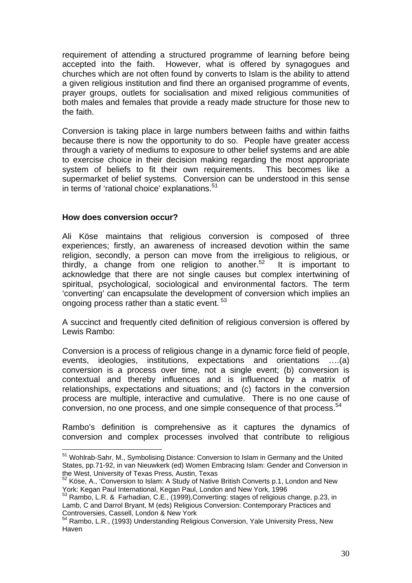requirement of attending a structured programme of learning before being accepted into the faith. However, what is offered by synagogues and churches which are not often found by converts to Islam is the ability to attend a given religious institution and find there an organised programme of events, prayer groups, outlets for socialisation and mixed religious communities of both males and females that provide a ready made structure for those new to the faith.

Conversion is taking place in large numbers between faiths and within faiths because there is now the opportunity to do so. People have greater access through a variety of mediums to exposure to other belief systems and are able to exercise choice in their decision making regarding the most appropriate system of beliefs to fit their own requirements. This becomes like a supermarket of belief systems. Conversion can be understood in this sense in terms of 'rational choice' explanations.<sup>51</sup>

#### **How does conversion occur?**

1

Ali Köse maintains that religious conversion is composed of three experiences; firstly, an awareness of increased devotion within the same religion, secondly, a person can move from the irreligious to religious, or thirdly, a change from one religion to another.<sup>52</sup> It is important to acknowledge that there are not single causes but complex intertwining of spiritual, psychological, sociological and environmental factors. The term 'converting' can encapsulate the development of conversion which implies an ongoing process rather than a static event.<sup>53</sup>

A succinct and frequently cited definition of religious conversion is offered by Lewis Rambo:

Conversion is a process of religious change in a dynamic force field of people, events, ideologies, institutions, expectations and orientations ….(a) conversion is a process over time, not a single event; (b) conversion is contextual and thereby influences and is influenced by a matrix of relationships, expectations and situations; and (c) factors in the conversion process are multiple, interactive and cumulative. There is no one cause of conversion, no one process, and one simple consequence of that process.<sup>54</sup>

Rambo's definition is comprehensive as it captures the dynamics of conversion and complex processes involved that contribute to religious

<sup>&</sup>lt;sup>51</sup> Wohlrab-Sahr, M., Symbolising Distance: Conversion to Islam in Germany and the United States, pp.71-92, in van Nieuwkerk (ed) Women Embracing Islam: Gender and Conversion in the West, University of Texas Press, Austin, Texas

<sup>52</sup> Köse, A., 'Conversion to Islam: A Study of Native British Converts p.1, London and New York: Kegan Paul International, Kegan Paul, London and New York, 1996

<sup>53</sup> Rambo, L.R. & Farhadian, C.E., (1999),Converting: stages of religious change, p.23, in Lamb, C and Darrol Bryant, M (eds) Religious Conversion: Contemporary Practices and Controversies, Cassell, London & New York

<sup>54</sup> Rambo, L.R., (1993) Understanding Religious Conversion, Yale University Press, New Haven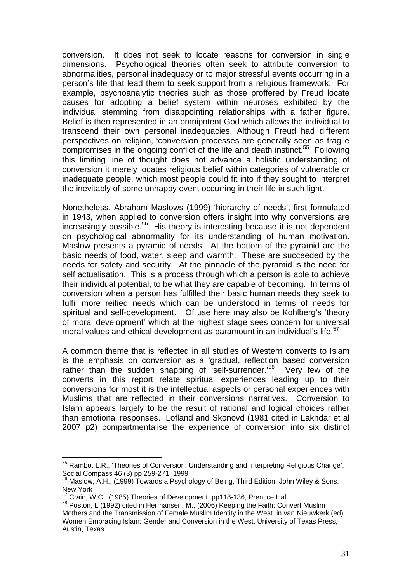conversion. It does not seek to locate reasons for conversion in single dimensions. Psychological theories often seek to attribute conversion to abnormalities, personal inadequacy or to major stressful events occurring in a person's life that lead them to seek support from a religious framework. For example, psychoanalytic theories such as those proffered by Freud locate causes for adopting a belief system within neuroses exhibited by the individual stemming from disappointing relationships with a father figure. Belief is then represented in an omnipotent God which allows the individual to transcend their own personal inadequacies. Although Freud had different perspectives on religion, 'conversion processes are generally seen as fragile compromises in the ongoing conflict of the life and death instinct.<sup>55</sup> Following this limiting line of thought does not advance a holistic understanding of conversion it merely locates religious belief within categories of vulnerable or inadequate people, which most people could fit into if they sought to interpret the inevitably of some unhappy event occurring in their life in such light.

Nonetheless, Abraham Maslows (1999) 'hierarchy of needs', first formulated in 1943, when applied to conversion offers insight into why conversions are increasingly possible.<sup>56</sup> His theory is interesting because it is not dependent on psychological abnormality for its understanding of human motivation. Maslow presents a pyramid of needs. At the bottom of the pyramid are the basic needs of food, water, sleep and warmth. These are succeeded by the needs for safety and security. At the pinnacle of the pyramid is the need for self actualisation. This is a process through which a person is able to achieve their individual potential, to be what they are capable of becoming. In terms of conversion when a person has fulfilled their basic human needs they seek to fulfil more reified needs which can be understood in terms of needs for spiritual and self-development. Of use here may also be Kohlberg's 'theory of moral development' which at the highest stage sees concern for universal moral values and ethical development as paramount in an individual's life.<sup>57</sup>

A common theme that is reflected in all studies of Western converts to Islam is the emphasis on conversion as a 'gradual, reflection based conversion rather than the sudden snapping of 'self-surrender.'<sup>58</sup> Very few of the converts in this report relate spiritual experiences leading up to their conversions for most it is the intellectual aspects or personal experiences with Muslims that are reflected in their conversions narratives. Conversion to Islam appears largely to be the result of rational and logical choices rather than emotional responses. Lofland and Skonovd (1981 cited in Lakhdar et al 2007 p2) compartmentalise the experience of conversion into six distinct

<sup>1</sup> 55 Rambo, L.R., 'Theories of Conversion: Understanding and Interpreting Religious Change', Social Compass 46 (3) pp 259-271, 1999

 $56$  Maslow, A.H., (1999) Towards a Psychology of Being, Third Edition, John Wiley & Sons, New York<br><sup>57</sup> Crain, W.C., (1985) Theories of Development, pp118-136, Prentice Hall

<sup>&</sup>lt;sup>58</sup> Poston, L (1992) cited in Hermansen, M., (2006) Keeping the Faith: Convert Muslim Mothers and the Transmission of Female Muslim Identity in the West in van Nieuwkerk (ed) Women Embracing Islam: Gender and Conversion in the West, University of Texas Press, Austin, Texas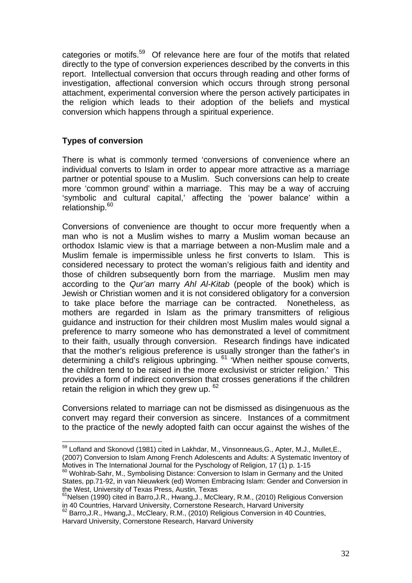categories or motifs.<sup>59</sup> Of relevance here are four of the motifs that related directly to the type of conversion experiences described by the converts in this report. Intellectual conversion that occurs through reading and other forms of investigation, affectional conversion which occurs through strong personal attachment, experimental conversion where the person actively participates in the religion which leads to their adoption of the beliefs and mystical conversion which happens through a spiritual experience.

#### **Types of conversion**

There is what is commonly termed 'conversions of convenience where an individual converts to Islam in order to appear more attractive as a marriage partner or potential spouse to a Muslim. Such conversions can help to create more 'common ground' within a marriage. This may be a way of accruing 'symbolic and cultural capital,' affecting the 'power balance' within a relationship.<sup>60</sup>

Conversions of convenience are thought to occur more frequently when a man who is not a Muslim wishes to marry a Muslim woman because an orthodox Islamic view is that a marriage between a non-Muslim male and a Muslim female is impermissible unless he first converts to Islam. This is considered necessary to protect the woman's religious faith and identity and those of children subsequently born from the marriage. Muslim men may according to the *Qur'an* marry *Ahl Al-Kitab* (people of the book) which is Jewish or Christian women and it is not considered obligatory for a conversion to take place before the marriage can be contracted. Nonetheless, as mothers are regarded in Islam as the primary transmitters of religious guidance and instruction for their children most Muslim males would signal a preference to marry someone who has demonstrated a level of commitment to their faith, usually through conversion. Research findings have indicated that the mother's religious preference is usually stronger than the father's in determining a child's religious upbringing. 61 'When neither spouse converts, the children tend to be raised in the more exclusivist or stricter religion.' This provides a form of indirect conversion that crosses generations if the children retain the religion in which they grew up.  $62$ 

Conversions related to marriage can not be dismissed as disingenuous as the convert may regard their conversion as sincere. Instances of a commitment to the practice of the newly adopted faith can occur against the wishes of the

<sup>&</sup>lt;u>.</u> <sup>59</sup> Lofland and Skonovd (1981) cited in Lakhdar, M., Vinsonneaus, G., Apter, M.J., Mullet, E., (2007) Conversion to Islam Among French Adolescents and Adults: A Systematic Inventory of Motives in The International Journal for the Pyschology of Religion, 17 (1) p. 1-15

<sup>&</sup>lt;sup>60</sup> Wohlrab-Sahr, M., Symbolising Distance: Conversion to Islam in Germany and the United States, pp.71-92, in van Nieuwkerk (ed) Women Embracing Islam: Gender and Conversion in the West, University of Texas Press, Austin, Texas

 $61$ Nelsen (1990) cited in Barro, J.R., Hwang, J., McCleary, R.M., (2010) Religious Conversion in 40 Countries, Harvard University, Cornerstone Research, Harvard University<br><sup>62</sup> Barro,J.R., Hwang,J., McCleary, R.M., (2010) Religious Conversion in 40 Countries,

Harvard University, Cornerstone Research, Harvard University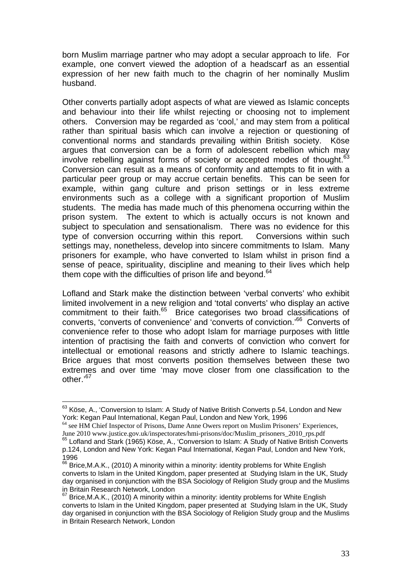born Muslim marriage partner who may adopt a secular approach to life. For example, one convert viewed the adoption of a headscarf as an essential expression of her new faith much to the chagrin of her nominally Muslim husband.

Other converts partially adopt aspects of what are viewed as Islamic concepts and behaviour into their life whilst rejecting or choosing not to implement others. Conversion may be regarded as 'cool,' and may stem from a political rather than spiritual basis which can involve a rejection or questioning of conventional norms and standards prevailing within British society. Köse argues that conversion can be a form of adolescent rebellion which may involve rebelling against forms of society or accepted modes of thought.<sup>63</sup> Conversion can result as a means of conformity and attempts to fit in with a particular peer group or may accrue certain benefits. This can be seen for example, within gang culture and prison settings or in less extreme environments such as a college with a significant proportion of Muslim students. The media has made much of this phenomena occurring within the prison system. The extent to which is actually occurs is not known and subject to speculation and sensationalism. There was no evidence for this type of conversion occurring within this report. Conversions within such settings may, nonetheless, develop into sincere commitments to Islam. Many prisoners for example, who have converted to Islam whilst in prison find a sense of peace, spirituality, discipline and meaning to their lives which help them cope with the difficulties of prison life and beyond. $64$ 

Lofland and Stark make the distinction between 'verbal converts' who exhibit limited involvement in a new religion and 'total converts' who display an active commitment to their faith.<sup>65</sup> Brice categorises two broad classifications of converts, 'converts of convenience' and 'converts of conviction.'66 Converts of convenience refer to those who adopt Islam for marriage purposes with little intention of practising the faith and converts of conviction who convert for intellectual or emotional reasons and strictly adhere to Islamic teachings. Brice argues that most converts position themselves between these two extremes and over time 'may move closer from one classification to the other.'67

 $^{63}$  Köse, A., 'Conversion to Islam: A Study of Native British Converts p.54, London and New York: Kegan Paul International, Kegan Paul, London and New York, 1996

<sup>&</sup>lt;sup>64</sup> see HM Chief Inspector of Prisons, Dame Anne Owers report on Muslim Prisoners' Experiences, June 2010 www.justice.gov.uk/inspectorates/hmi-prisons/doc/Muslim\_prisoners\_2010\_rps.pdf

<sup>65</sup> Lofland and Stark (1965) Köse, A., 'Conversion to Islam: A Study of Native British Converts p.124, London and New York: Kegan Paul International, Kegan Paul, London and New York, 1996

 $66$  Brice, M.A.K., (2010) A minority within a minority: identity problems for White English converts to Islam in the United Kingdom, paper presented at Studying Islam in the UK, Study day organised in conjunction with the BSA Sociology of Religion Study group and the Muslims in Britain Research Network, London

 $67$  Brice, M.A.K., (2010) A minority within a minority: identity problems for White English converts to Islam in the United Kingdom, paper presented at Studying Islam in the UK, Study day organised in conjunction with the BSA Sociology of Religion Study group and the Muslims in Britain Research Network, London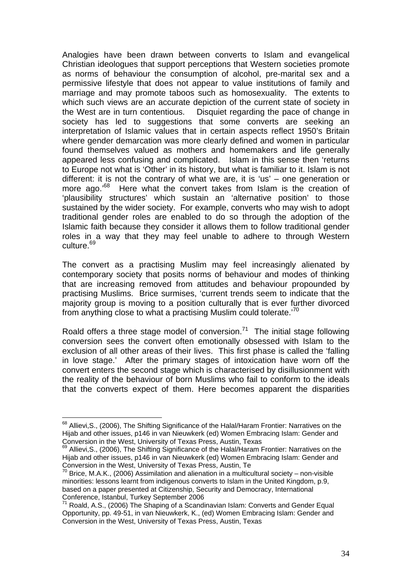Analogies have been drawn between converts to Islam and evangelical Christian ideologues that support perceptions that Western societies promote as norms of behaviour the consumption of alcohol, pre-marital sex and a permissive lifestyle that does not appear to value institutions of family and marriage and may promote taboos such as homosexuality. The extents to which such views are an accurate depiction of the current state of society in the West are in turn contentious. Disquiet regarding the pace of change in society has led to suggestions that some converts are seeking an interpretation of Islamic values that in certain aspects reflect 1950's Britain where gender demarcation was more clearly defined and women in particular found themselves valued as mothers and homemakers and life generally appeared less confusing and complicated. Islam in this sense then 'returns to Europe not what is 'Other' in its history, but what is familiar to it. Islam is not different: it is not the contrary of what we are, it is 'us' – one generation or more ago.<sup>68</sup> Here what the convert takes from Islam is the creation of 'plausibility structures' which sustain an 'alternative position' to those sustained by the wider society. For example, converts who may wish to adopt traditional gender roles are enabled to do so through the adoption of the Islamic faith because they consider it allows them to follow traditional gender roles in a way that they may feel unable to adhere to through Western culture.<sup>69</sup>

The convert as a practising Muslim may feel increasingly alienated by contemporary society that posits norms of behaviour and modes of thinking that are increasing removed from attitudes and behaviour propounded by practising Muslims. Brice surmises, 'current trends seem to indicate that the majority group is moving to a position culturally that is ever further divorced from anything close to what a practising Muslim could tolerate.<sup>70</sup>

Roald offers a three stage model of conversion.<sup>71</sup> The initial stage following conversion sees the convert often emotionally obsessed with Islam to the exclusion of all other areas of their lives. This first phase is called the 'falling in love stage.' After the primary stages of intoxication have worn off the convert enters the second stage which is characterised by disillusionment with the reality of the behaviour of born Muslims who fail to conform to the ideals that the converts expect of them. Here becomes apparent the disparities

<sup>&</sup>lt;u>.</u> <sup>68</sup> Allievi, S., (2006), The Shifting Significance of the Halal/Haram Frontier: Narratives on the Hijab and other issues, p146 in van Nieuwkerk (ed) Women Embracing Islam: Gender and Conversion in the West, University of Texas Press, Austin, Texas

<sup>&</sup>lt;sup>69</sup> Allievi, S., (2006), The Shifting Significance of the Halal/Haram Frontier: Narratives on the Hijab and other issues, p146 in van Nieuwkerk (ed) Women Embracing Islam: Gender and Conversion in the West, University of Texas Press, Austin, Te

 $70$  Brice, M.A.K., (2006) Assimilation and alienation in a multicultural society – non-visible minorities: lessons learnt from indigenous converts to Islam in the United Kingdom, p.9, based on a paper presented at Citizenship, Security and Democracy, International Conference, Istanbul, Turkey September 2006

 $71$  Roald, A.S., (2006) The Shaping of a Scandinavian Islam: Converts and Gender Equal Opportunity, pp. 49-51, in van Nieuwkerk, K., (ed) Women Embracing Islam: Gender and Conversion in the West, University of Texas Press, Austin, Texas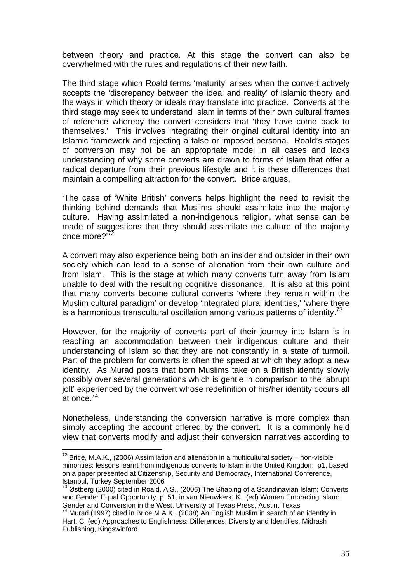between theory and practice. At this stage the convert can also be overwhelmed with the rules and regulations of their new faith.

The third stage which Roald terms 'maturity' arises when the convert actively accepts the 'discrepancy between the ideal and reality' of Islamic theory and the ways in which theory or ideals may translate into practice. Converts at the third stage may seek to understand Islam in terms of their own cultural frames of reference whereby the convert considers that 'they have come back to themselves.' This involves integrating their original cultural identity into an Islamic framework and rejecting a false or imposed persona. Roald's stages of conversion may not be an appropriate model in all cases and lacks understanding of why some converts are drawn to forms of Islam that offer a radical departure from their previous lifestyle and it is these differences that maintain a compelling attraction for the convert. Brice argues,

'The case of 'White British' converts helps highlight the need to revisit the thinking behind demands that Muslims should assimilate into the majority culture. Having assimilated a non-indigenous religion, what sense can be made of suggestions that they should assimilate the culture of the majority once more?<sup>72</sup>

A convert may also experience being both an insider and outsider in their own society which can lead to a sense of alienation from their own culture and from Islam. This is the stage at which many converts turn away from Islam unable to deal with the resulting cognitive dissonance. It is also at this point that many converts become cultural converts 'where they remain within the Muslim cultural paradigm' or develop 'integrated plural identities,' 'where there is a harmonious transcultural oscillation among various patterns of identity.<sup>73</sup>

However, for the majority of converts part of their journey into Islam is in reaching an accommodation between their indigenous culture and their understanding of Islam so that they are not constantly in a state of turmoil. Part of the problem for converts is often the speed at which they adopt a new identity. As Murad posits that born Muslims take on a British identity slowly possibly over several generations which is gentle in comparison to the 'abrupt jolt' experienced by the convert whose redefinition of his/her identity occurs all at once.74

Nonetheless, understanding the conversion narrative is more complex than simply accepting the account offered by the convert. It is a commonly held view that converts modify and adjust their conversion narratives according to

 $72$  Brice, M.A.K., (2006) Assimilation and alienation in a multicultural society – non-visible minorities: lessons learnt from indigenous converts to Islam in the United Kingdom p1, based on a paper presented at Citizenship, Security and Democracy, International Conference, Istanbul, Turkey September 2006

 $^{73}$  Østberg (2000) cited in Roald, A.S., (2006) The Shaping of a Scandinavian Islam: Converts and Gender Equal Opportunity, p. 51, in van Nieuwkerk, K., (ed) Women Embracing Islam: Gender and Conversion in the West, University of Texas Press, Austin, Texas

<sup>74</sup> Murad (1997) cited in Brice,M.A.K., (2008) An English Muslim in search of an identity in Hart, C, (ed) Approaches to Englishness: Differences, Diversity and Identities, Midrash Publishing, Kingswinford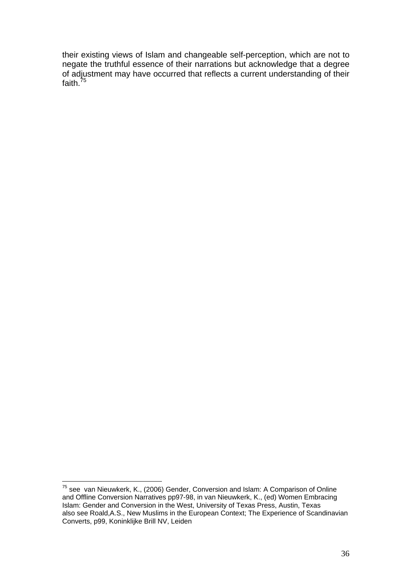their existing views of Islam and changeable self-perception, which are not to negate the truthful essence of their narrations but acknowledge that a degree of adjustment may have occurred that reflects a current understanding of their faith.<sup>75</sup>

 $75$  see van Nieuwkerk, K., (2006) Gender, Conversion and Islam: A Comparison of Online and Offline Conversion Narratives pp97-98, in van Nieuwkerk, K., (ed) Women Embracing Islam: Gender and Conversion in the West, University of Texas Press, Austin, Texas also see Roald,A.S., New Muslims in the European Context; The Experience of Scandinavian Converts, p99, Koninklijke Brill NV, Leiden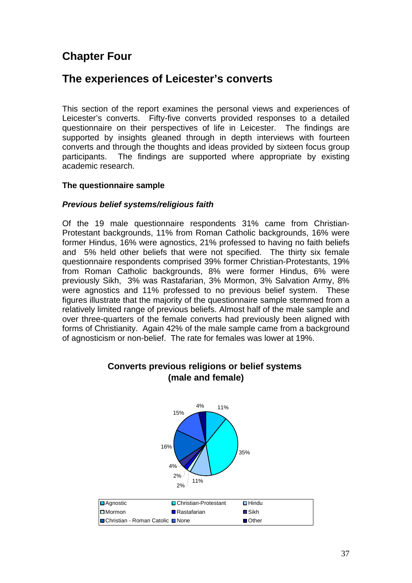# **Chapter Four**

# **The experiences of Leicester's converts**

This section of the report examines the personal views and experiences of Leicester's converts. Fifty-five converts provided responses to a detailed questionnaire on their perspectives of life in Leicester. The findings are supported by insights gleaned through in depth interviews with fourteen converts and through the thoughts and ideas provided by sixteen focus group participants. The findings are supported where appropriate by existing academic research.

### **The questionnaire sample**

### *Previous belief systems/religious faith*

Of the 19 male questionnaire respondents 31% came from Christian-Protestant backgrounds, 11% from Roman Catholic backgrounds, 16% were former Hindus, 16% were agnostics, 21% professed to having no faith beliefs and 5% held other beliefs that were not specified. The thirty six female questionnaire respondents comprised 39% former Christian-Protestants, 19% from Roman Catholic backgrounds, 8% were former Hindus, 6% were previously Sikh, 3% was Rastafarian, 3% Mormon, 3% Salvation Army, 8% were agnostics and 11% professed to no previous belief system. These figures illustrate that the majority of the questionnaire sample stemmed from a relatively limited range of previous beliefs. Almost half of the male sample and over three-quarters of the female converts had previously been aligned with forms of Christianity. Again 42% of the male sample came from a background of agnosticism or non-belief. The rate for females was lower at 19%.



### **Converts previous religions or belief systems (male and female)**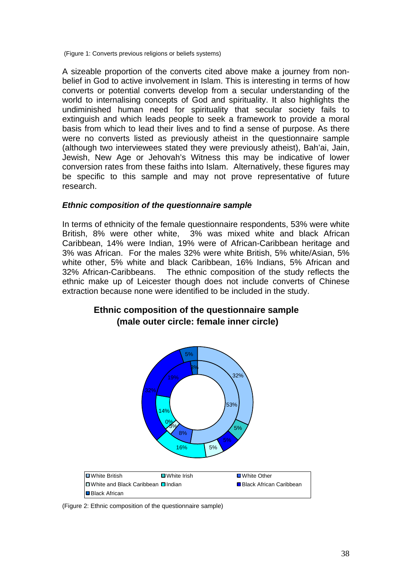(Figure 1: Converts previous religions or beliefs systems)

A sizeable proportion of the converts cited above make a journey from nonbelief in God to active involvement in Islam. This is interesting in terms of how converts or potential converts develop from a secular understanding of the world to internalising concepts of God and spirituality. It also highlights the undiminished human need for spirituality that secular society fails to extinguish and which leads people to seek a framework to provide a moral basis from which to lead their lives and to find a sense of purpose. As there were no converts listed as previously atheist in the questionnaire sample (although two interviewees stated they were previously atheist), Bah'ai, Jain, Jewish, New Age or Jehovah's Witness this may be indicative of lower conversion rates from these faiths into Islam. Alternatively, these figures may be specific to this sample and may not prove representative of future research.

#### *Ethnic composition of the questionnaire sample*

In terms of ethnicity of the female questionnaire respondents, 53% were white British, 8% were other white, 3% was mixed white and black African Caribbean, 14% were Indian, 19% were of African-Caribbean heritage and 3% was African. For the males 32% were white British, 5% white/Asian, 5% white other, 5% white and black Caribbean, 16% Indians, 5% African and 32% African-Caribbeans. The ethnic composition of the study reflects the ethnic make up of Leicester though does not include converts of Chinese extraction because none were identified to be included in the study.

## **Ethnic composition of the questionnaire sample (male outer circle: female inner circle)**



(Figure 2: Ethnic composition of the questionnaire sample)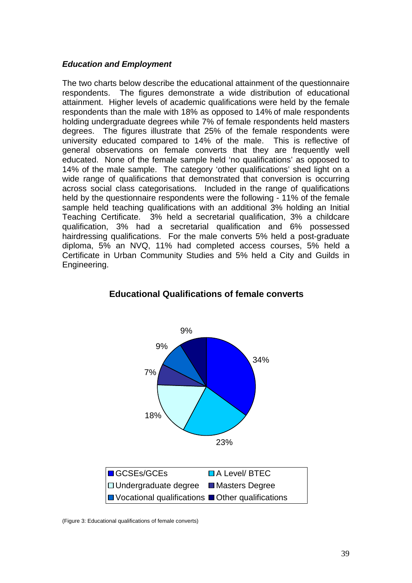#### *Education and Employment*

The two charts below describe the educational attainment of the questionnaire respondents. The figures demonstrate a wide distribution of educational attainment. Higher levels of academic qualifications were held by the female respondents than the male with 18% as opposed to 14% of male respondents holding undergraduate degrees while 7% of female respondents held masters degrees. The figures illustrate that 25% of the female respondents were university educated compared to 14% of the male. This is reflective of general observations on female converts that they are frequently well educated. None of the female sample held 'no qualifications' as opposed to 14% of the male sample. The category 'other qualifications' shed light on a wide range of qualifications that demonstrated that conversion is occurring across social class categorisations. Included in the range of qualifications held by the questionnaire respondents were the following - 11% of the female sample held teaching qualifications with an additional 3% holding an Initial Teaching Certificate. 3% held a secretarial qualification, 3% a childcare qualification, 3% had a secretarial qualification and 6% possessed hairdressing qualifications. For the male converts 5% held a post-graduate diploma, 5% an NVQ, 11% had completed access courses, 5% held a Certificate in Urban Community Studies and 5% held a City and Guilds in Engineering.



#### **Educational Qualifications of female converts**

(Figure 3: Educational qualifications of female converts)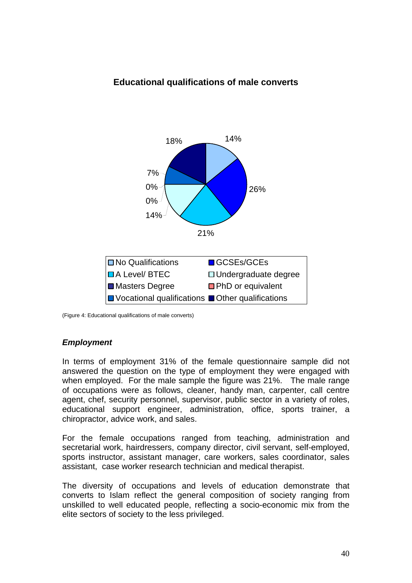## **Educational qualifications of male converts**



(Figure 4: Educational qualifications of male converts)

## *Employment*

In terms of employment 31% of the female questionnaire sample did not answered the question on the type of employment they were engaged with when employed. For the male sample the figure was 21%. The male range of occupations were as follows, cleaner, handy man, carpenter, call centre agent, chef, security personnel, supervisor, public sector in a variety of roles, educational support engineer, administration, office, sports trainer, a chiropractor, advice work, and sales.

For the female occupations ranged from teaching, administration and secretarial work, hairdressers, company director, civil servant, self-employed, sports instructor, assistant manager, care workers, sales coordinator, sales assistant, case worker research technician and medical therapist.

The diversity of occupations and levels of education demonstrate that converts to Islam reflect the general composition of society ranging from unskilled to well educated people, reflecting a socio-economic mix from the elite sectors of society to the less privileged.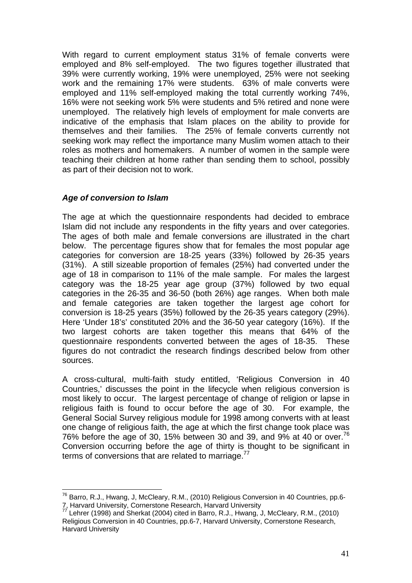With regard to current employment status 31% of female converts were employed and 8% self-employed. The two figures together illustrated that 39% were currently working, 19% were unemployed, 25% were not seeking work and the remaining 17% were students. 63% of male converts were employed and 11% self-employed making the total currently working 74%, 16% were not seeking work 5% were students and 5% retired and none were unemployed. The relatively high levels of employment for male converts are indicative of the emphasis that Islam places on the ability to provide for themselves and their families. The 25% of female converts currently not seeking work may reflect the importance many Muslim women attach to their roles as mothers and homemakers. A number of women in the sample were teaching their children at home rather than sending them to school, possibly as part of their decision not to work.

### *Age of conversion to Islam*

The age at which the questionnaire respondents had decided to embrace Islam did not include any respondents in the fifty years and over categories. The ages of both male and female conversions are illustrated in the chart below. The percentage figures show that for females the most popular age categories for conversion are 18-25 years (33%) followed by 26-35 years (31%). A still sizeable proportion of females (25%) had converted under the age of 18 in comparison to 11% of the male sample. For males the largest category was the 18-25 year age group (37%) followed by two equal categories in the 26-35 and 36-50 (both 26%) age ranges. When both male and female categories are taken together the largest age cohort for conversion is 18-25 years (35%) followed by the 26-35 years category (29%). Here 'Under 18's' constituted 20% and the 36-50 year category (16%). If the two largest cohorts are taken together this means that 64% of the questionnaire respondents converted between the ages of 18-35. These figures do not contradict the research findings described below from other sources.

A cross-cultural, multi-faith study entitled, 'Religious Conversion in 40 Countries,' discusses the point in the lifecycle when religious conversion is most likely to occur. The largest percentage of change of religion or lapse in religious faith is found to occur before the age of 30. For example, the General Social Survey religious module for 1998 among converts with at least one change of religious faith, the age at which the first change took place was 76% before the age of 30, 15% between 30 and 39, and 9% at 40 or over.<sup>76</sup> Conversion occurring before the age of thirty is thought to be significant in terms of conversions that are related to marriage.<sup>77</sup>

<sup>&</sup>lt;u>.</u>  $76$  Barro, R.J., Hwang, J, McCleary, R.M., (2010) Religious Conversion in 40 Countries, pp.6-<br>7. Harvard University, Cornerstone Research, Harvard University

<sup>77</sup> Lehrer (1998) and Sherkat (2004) cited in Barro, R.J., Hwang, J, McCleary, R.M., (2010) Religious Conversion in 40 Countries, pp.6-7, Harvard University, Cornerstone Research, Harvard University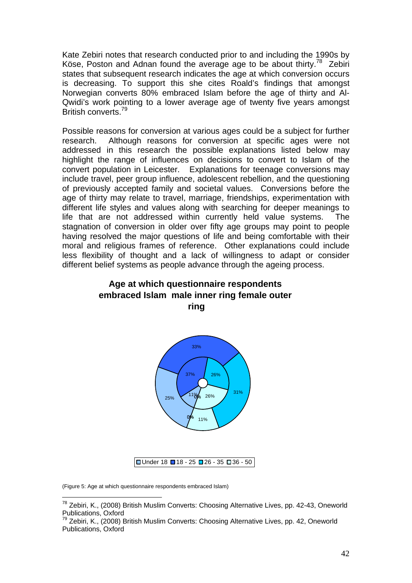Kate Zebiri notes that research conducted prior to and including the 1990s by Köse, Poston and Adnan found the average age to be about thirty.<sup>78</sup> Zebiri states that subsequent research indicates the age at which conversion occurs is decreasing. To support this she cites Roald's findings that amongst Norwegian converts 80% embraced Islam before the age of thirty and Al-Qwidi's work pointing to a lower average age of twenty five years amongst British converts.79

Possible reasons for conversion at various ages could be a subject for further research. Although reasons for conversion at specific ages were not addressed in this research the possible explanations listed below may highlight the range of influences on decisions to convert to Islam of the convert population in Leicester. Explanations for teenage conversions may include travel, peer group influence, adolescent rebellion, and the questioning of previously accepted family and societal values. Conversions before the age of thirty may relate to travel, marriage, friendships, experimentation with different life styles and values along with searching for deeper meanings to life that are not addressed within currently held value systems. The stagnation of conversion in older over fifty age groups may point to people having resolved the major questions of life and being comfortable with their moral and religious frames of reference. Other explanations could include less flexibility of thought and a lack of willingness to adapt or consider different belief systems as people advance through the ageing process.





(Figure 5: Age at which questionnaire respondents embraced Islam)

<sup>1</sup>  $^{78}$  Zebiri, K., (2008) British Muslim Converts: Choosing Alternative Lives, pp. 42-43, Oneworld Publications, Oxford

 $79$  Zebiri, K., (2008) British Muslim Converts: Choosing Alternative Lives, pp. 42, Oneworld Publications, Oxford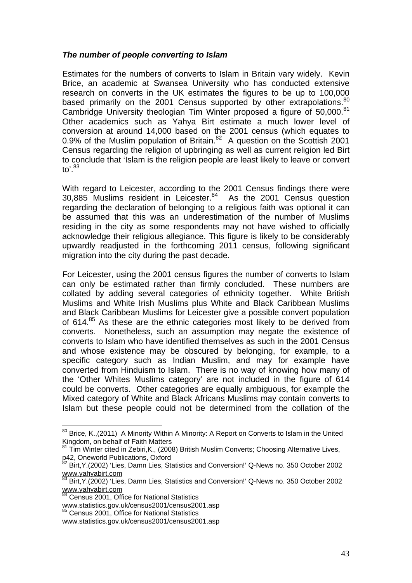#### *The number of people converting to Islam*

Estimates for the numbers of converts to Islam in Britain vary widely. Kevin Brice, an academic at Swansea University who has conducted extensive research on converts in the UK estimates the figures to be up to 100,000 based primarily on the 2001 Census supported by other extrapolations.<sup>80</sup> Cambridge University theologian Tim Winter proposed a figure of 50,000.<sup>81</sup> Other academics such as Yahya Birt estimate a much lower level of conversion at around 14,000 based on the 2001 census (which equates to 0.9% of the Muslim population of Britain. $82$  A question on the Scottish 2001 Census regarding the religion of upbringing as well as current religion led Birt to conclude that 'Islam is the religion people are least likely to leave or convert to $^{\prime}$ .<sup>83</sup>

With regard to Leicester, according to the 2001 Census findings there were 30,885 Muslims resident in Leicester.<sup>84</sup> As the 2001 Census question regarding the declaration of belonging to a religious faith was optional it can be assumed that this was an underestimation of the number of Muslims residing in the city as some respondents may not have wished to officially acknowledge their religious allegiance. This figure is likely to be considerably upwardly readjusted in the forthcoming 2011 census, following significant migration into the city during the past decade.

For Leicester, using the 2001 census figures the number of converts to Islam can only be estimated rather than firmly concluded. These numbers are collated by adding several categories of ethnicity together. White British Muslims and White Irish Muslims plus White and Black Caribbean Muslims and Black Caribbean Muslims for Leicester give a possible convert population of 614. $85$  As these are the ethnic categories most likely to be derived from converts. Nonetheless, such an assumption may negate the existence of converts to Islam who have identified themselves as such in the 2001 Census and whose existence may be obscured by belonging, for example, to a specific category such as Indian Muslim, and may for example have converted from Hinduism to Islam. There is no way of knowing how many of the 'Other Whites Muslims category' are not included in the figure of 614 could be converts. Other categories are equally ambiguous, for example the Mixed category of White and Black Africans Muslims may contain converts to Islam but these people could not be determined from the collation of the

 $80$  Brice, K.,(2011) A Minority Within A Minority: A Report on Converts to Islam in the United Kingdom, on behalf of Faith Matters

<sup>81</sup> Tim Winter cited in Zebiri, K., (2008) British Muslim Converts; Choosing Alternative Lives, p42, Oneworld Publications, Oxford

<sup>&</sup>lt;sup>82</sup> Birt, Y. (2002) 'Lies, Damn Lies, Statistics and Conversion!' Q-News no. 350 October 2002 www.yahyabirt.com

<sup>83</sup> Birt, Y. (2002) 'Lies, Damn Lies, Statistics and Conversion!' Q-News no. 350 October 2002 www.yahyabirt.com

<sup>84</sup> Census 2001, Office for National Statistics

www.statistics.gov.uk/census2001/census2001.asp 85 Census 2001, Office for National Statistics

www.statistics.gov.uk/census2001/census2001.asp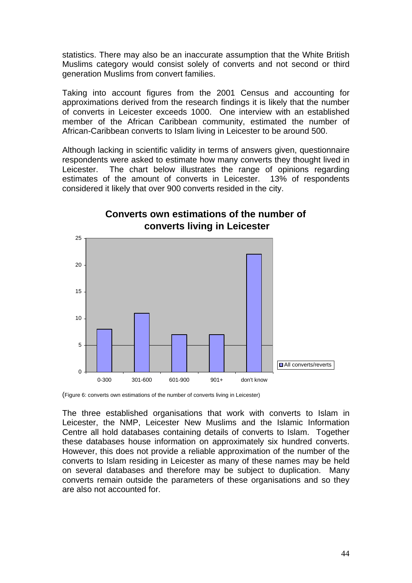statistics. There may also be an inaccurate assumption that the White British Muslims category would consist solely of converts and not second or third generation Muslims from convert families.

Taking into account figures from the 2001 Census and accounting for approximations derived from the research findings it is likely that the number of converts in Leicester exceeds 1000. One interview with an established member of the African Caribbean community, estimated the number of African-Caribbean converts to Islam living in Leicester to be around 500.

Although lacking in scientific validity in terms of answers given, questionnaire respondents were asked to estimate how many converts they thought lived in Leicester. The chart below illustrates the range of opinions regarding estimates of the amount of converts in Leicester. 13% of respondents considered it likely that over 900 converts resided in the city.



## **Converts own estimations of the number of converts living in Leicester**

(Figure 6: converts own estimations of the number of converts living in Leicester)

The three established organisations that work with converts to Islam in Leicester, the NMP, Leicester New Muslims and the Islamic Information Centre all hold databases containing details of converts to Islam. Together these databases house information on approximately six hundred converts. However, this does not provide a reliable approximation of the number of the converts to Islam residing in Leicester as many of these names may be held on several databases and therefore may be subject to duplication. Many converts remain outside the parameters of these organisations and so they are also not accounted for.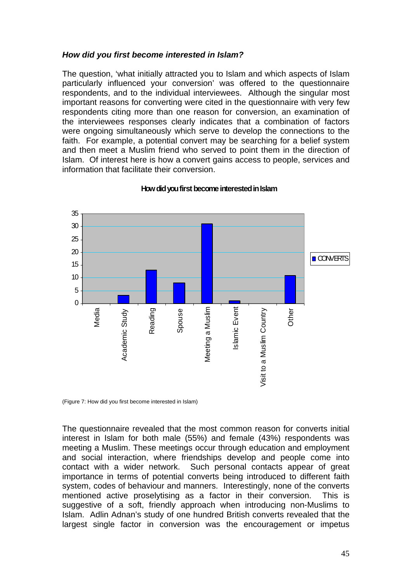#### *How did you first become interested in Islam?*

The question, 'what initially attracted you to Islam and which aspects of Islam particularly influenced your conversion' was offered to the questionnaire respondents, and to the individual interviewees. Although the singular most important reasons for converting were cited in the questionnaire with very few respondents citing more than one reason for conversion, an examination of the interviewees responses clearly indicates that a combination of factors were ongoing simultaneously which serve to develop the connections to the faith. For example, a potential convert may be searching for a belief system and then meet a Muslim friend who served to point them in the direction of Islam. Of interest here is how a convert gains access to people, services and information that facilitate their conversion.



#### **How did you first become interested in Islam**

(Figure 7: How did you first become interested in Islam)

The questionnaire revealed that the most common reason for converts initial interest in Islam for both male (55%) and female (43%) respondents was meeting a Muslim. These meetings occur through education and employment and social interaction, where friendships develop and people come into contact with a wider network. Such personal contacts appear of great importance in terms of potential converts being introduced to different faith system, codes of behaviour and manners. Interestingly, none of the converts mentioned active proselytising as a factor in their conversion. This is suggestive of a soft, friendly approach when introducing non-Muslims to Islam. Adlin Adnan's study of one hundred British converts revealed that the largest single factor in conversion was the encouragement or impetus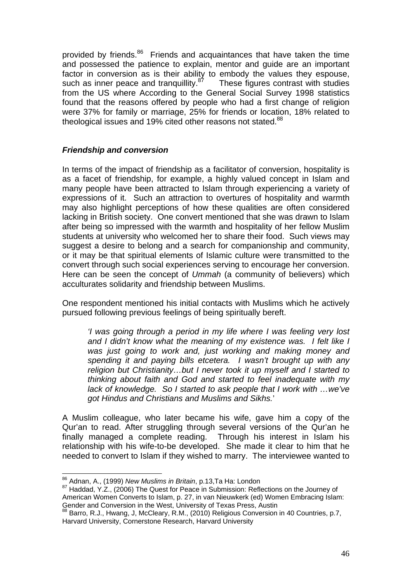provided by friends.<sup>86</sup> Friends and acquaintances that have taken the time and possessed the patience to explain, mentor and guide are an important factor in conversion as is their ability to embody the values they espouse, such as inner peace and tranquillity. $87$  These figures contrast with studies from the US where According to the General Social Survey 1998 statistics found that the reasons offered by people who had a first change of religion were 37% for family or marriage, 25% for friends or location, 18% related to theological issues and 19% cited other reasons not stated.<sup>88</sup>

## *Friendship and conversion*

In terms of the impact of friendship as a facilitator of conversion, hospitality is as a facet of friendship, for example, a highly valued concept in Islam and many people have been attracted to Islam through experiencing a variety of expressions of it. Such an attraction to overtures of hospitality and warmth may also highlight perceptions of how these qualities are often considered lacking in British society. One convert mentioned that she was drawn to Islam after being so impressed with the warmth and hospitality of her fellow Muslim students at university who welcomed her to share their food. Such views may suggest a desire to belong and a search for companionship and community, or it may be that spiritual elements of Islamic culture were transmitted to the convert through such social experiences serving to encourage her conversion. Here can be seen the concept of *Ummah* (a community of believers) which acculturates solidarity and friendship between Muslims.

One respondent mentioned his initial contacts with Muslims which he actively pursued following previous feelings of being spiritually bereft.

*'I was going through a period in my life where I was feeling very lost and I didn't know what the meaning of my existence was. I felt like I was just going to work and, just working and making money and spending it and paying bills etcetera. I wasn't brought up with any religion but Christianity…but I never took it up myself and I started to thinking about faith and God and started to feel inadequate with my lack of knowledge. So I started to ask people that I work with …we've got Hindus and Christians and Muslims and Sikhs.*'

A Muslim colleague, who later became his wife, gave him a copy of the Qur'an to read. After struggling through several versions of the Qur'an he finally managed a complete reading. Through his interest in Islam his relationship with his wife-to-be developed. She made it clear to him that he needed to convert to Islam if they wished to marry. The interviewee wanted to

<sup>&</sup>lt;sup>86</sup> Adnan, A., (1999) New Muslims in Britain, p.13, Ta Ha: London

<sup>87</sup> Haddad, Y.Z., (2006) The Quest for Peace in Submission: Reflections on the Journey of American Women Converts to Islam, p. 27, in van Nieuwkerk (ed) Women Embracing Islam: Gender and Conversion in the West, University of Texas Press, Austin

<sup>88</sup> Barro, R.J., Hwang, J. McCleary, R.M., (2010) Religious Conversion in 40 Countries, p.7, Harvard University, Cornerstone Research, Harvard University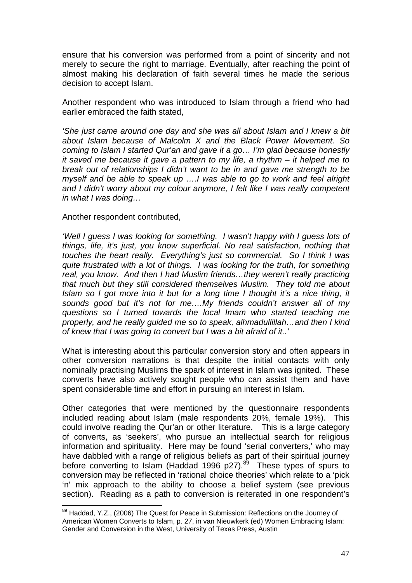ensure that his conversion was performed from a point of sincerity and not merely to secure the right to marriage. Eventually, after reaching the point of almost making his declaration of faith several times he made the serious decision to accept Islam.

Another respondent who was introduced to Islam through a friend who had earlier embraced the faith stated,

*'She just came around one day and she was all about Islam and I knew a bit about Islam because of Malcolm X and the Black Power Movement. So coming to Islam I started Qur'an and gave it a go… I'm glad because honestly it saved me because it gave a pattern to my life, a rhythm – it helped me to break out of relationships I didn't want to be in and gave me strength to be myself and be able to speak up ….I was able to go to work and feel alright and I didn't worry about my colour anymore, I felt like I was really competent in what I was doing…* 

#### Another respondent contributed,

1

*'Well I guess I was looking for something. I wasn't happy with I guess lots of things, life, it's just, you know superficial. No real satisfaction, nothing that touches the heart really. Everything's just so commercial. So I think I was quite frustrated with a lot of things. I was looking for the truth, for something real, you know. And then I had Muslim friends…they weren't really practicing that much but they still considered themselves Muslim. They told me about Islam so I got more into it but for a long time I thought it's a nice thing, it sounds good but it's not for me….My friends couldn't answer all of my questions so I turned towards the local Imam who started teaching me properly, and he really guided me so to speak, alhmadullillah…and then I kind of knew that I was going to convert but I was a bit afraid of it..'* 

What is interesting about this particular conversion story and often appears in other conversion narrations is that despite the initial contacts with only nominally practising Muslims the spark of interest in Islam was ignited. These converts have also actively sought people who can assist them and have spent considerable time and effort in pursuing an interest in Islam.

Other categories that were mentioned by the questionnaire respondents included reading about Islam (male respondents 20%, female 19%). This could involve reading the Qur'an or other literature. This is a large category of converts, as 'seekers', who pursue an intellectual search for religious information and spirituality. Here may be found 'serial converters,' who may have dabbled with a range of religious beliefs as part of their spiritual journey before converting to Islam (Haddad 1996 p27).<sup>89</sup> These types of spurs to conversion may be reflected in 'rational choice theories' which relate to a 'pick 'n' mix approach to the ability to choose a belief system (see previous section). Reading as a path to conversion is reiterated in one respondent's

<sup>&</sup>lt;sup>89</sup> Haddad, Y.Z., (2006) The Quest for Peace in Submission: Reflections on the Journey of American Women Converts to Islam, p. 27, in van Nieuwkerk (ed) Women Embracing Islam: Gender and Conversion in the West, University of Texas Press, Austin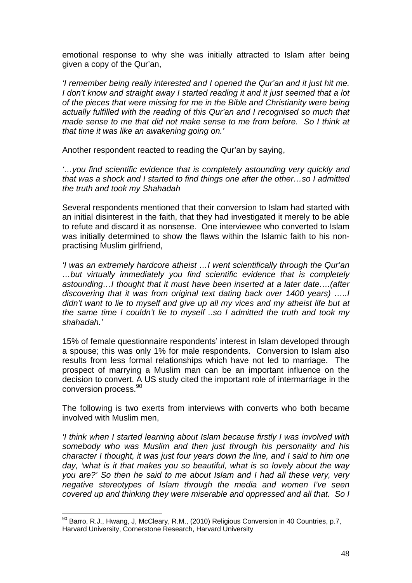emotional response to why she was initially attracted to Islam after being given a copy of the Qur'an,

*'I remember being really interested and I opened the Qur'an and it just hit me. I don't know and straight away I started reading it and it just seemed that a lot of the pieces that were missing for me in the Bible and Christianity were being actually fulfilled with the reading of this Qur'an and I recognised so much that made sense to me that did not make sense to me from before. So I think at that time it was like an awakening going on.'* 

Another respondent reacted to reading the Qur'an by saying,

*'…you find scientific evidence that is completely astounding very quickly and that was a shock and I started to find things one after the other…so I admitted the truth and took my Shahadah* 

Several respondents mentioned that their conversion to Islam had started with an initial disinterest in the faith, that they had investigated it merely to be able to refute and discard it as nonsense. One interviewee who converted to Islam was initially determined to show the flaws within the Islamic faith to his nonpractising Muslim girlfriend,

*'I was an extremely hardcore atheist …I went scientifically through the Qur'an …but virtually immediately you find scientific evidence that is completely astounding…I thought that it must have been inserted at a later date….(after discovering that it was from original text dating back over 1400 years) …..I didn't want to lie to myself and give up all my vices and my atheist life but at the same time I couldn't lie to myself ..so I admitted the truth and took my shahadah.'* 

15% of female questionnaire respondents' interest in Islam developed through a spouse; this was only 1% for male respondents. Conversion to Islam also results from less formal relationships which have not led to marriage. The prospect of marrying a Muslim man can be an important influence on the decision to convert. A US study cited the important role of intermarriage in the conversion process.<sup>90</sup>

The following is two exerts from interviews with converts who both became involved with Muslim men,

*'I think when I started learning about Islam because firstly I was involved with somebody who was Muslim and then just through his personality and his character I thought, it was just four years down the line, and I said to him one day, 'what is it that makes you so beautiful, what is so lovely about the way you are?' So then he said to me about Islam and I had all these very, very negative stereotypes of Islam through the media and women I've seen covered up and thinking they were miserable and oppressed and all that. So I* 

<sup>&</sup>lt;u>.</u>  $90$  Barro, R.J., Hwang, J. McCleary, R.M., (2010) Religious Conversion in 40 Countries, p.7, Harvard University, Cornerstone Research, Harvard University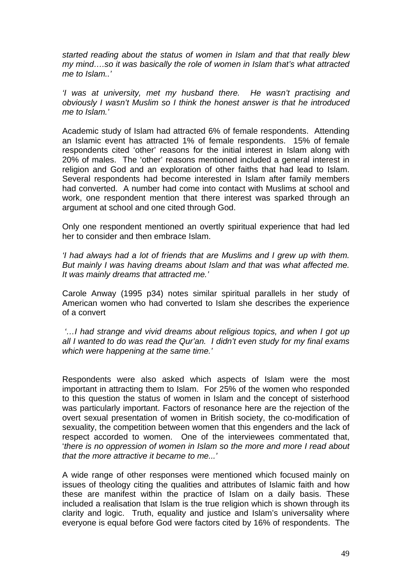*started reading about the status of women in Islam and that that really blew my mind….so it was basically the role of women in Islam that's what attracted me to Islam..'* 

*'I was at university, met my husband there. He wasn't practising and obviously I wasn't Muslim so I think the honest answer is that he introduced me to Islam.'* 

Academic study of Islam had attracted 6% of female respondents. Attending an Islamic event has attracted 1% of female respondents. 15% of female respondents cited 'other' reasons for the initial interest in Islam along with 20% of males. The 'other' reasons mentioned included a general interest in religion and God and an exploration of other faiths that had lead to Islam. Several respondents had become interested in Islam after family members had converted. A number had come into contact with Muslims at school and work, one respondent mention that there interest was sparked through an argument at school and one cited through God.

Only one respondent mentioned an overtly spiritual experience that had led her to consider and then embrace Islam.

*'I had always had a lot of friends that are Muslims and I grew up with them. But mainly I was having dreams about Islam and that was what affected me. It was mainly dreams that attracted me.'* 

Carole Anway (1995 p34) notes similar spiritual parallels in her study of American women who had converted to Islam she describes the experience of a convert

*'…I had strange and vivid dreams about religious topics, and when I got up all I wanted to do was read the Qur'an. I didn't even study for my final exams which were happening at the same time.'* 

Respondents were also asked which aspects of Islam were the most important in attracting them to Islam. For 25% of the women who responded to this question the status of women in Islam and the concept of sisterhood was particularly important. Factors of resonance here are the rejection of the overt sexual presentation of women in British society, the co-modification of sexuality, the competition between women that this engenders and the lack of respect accorded to women. One of the interviewees commentated that, '*there is no oppression of women in Islam so the more and more I read about that the more attractive it became to me...'*

A wide range of other responses were mentioned which focused mainly on issues of theology citing the qualities and attributes of Islamic faith and how these are manifest within the practice of Islam on a daily basis. These included a realisation that Islam is the true religion which is shown through its clarity and logic. Truth, equality and justice and Islam's universality where everyone is equal before God were factors cited by 16% of respondents. The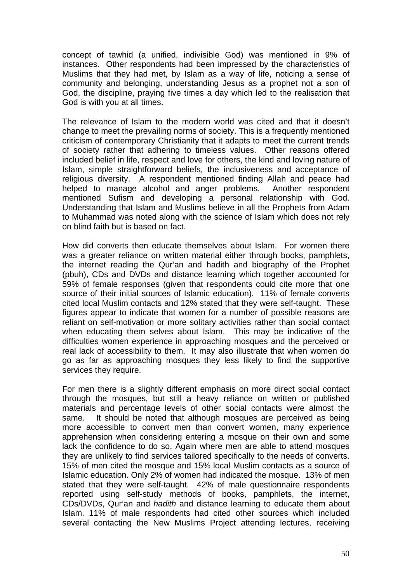concept of tawhid (a unified, indivisible God) was mentioned in 9% of instances. Other respondents had been impressed by the characteristics of Muslims that they had met, by Islam as a way of life, noticing a sense of community and belonging, understanding Jesus as a prophet not a son of God, the discipline, praying five times a day which led to the realisation that God is with you at all times.

The relevance of Islam to the modern world was cited and that it doesn't change to meet the prevailing norms of society. This is a frequently mentioned criticism of contemporary Christianity that it adapts to meet the current trends of society rather that adhering to timeless values. Other reasons offered included belief in life, respect and love for others, the kind and loving nature of Islam, simple straightforward beliefs, the inclusiveness and acceptance of religious diversity. A respondent mentioned finding Allah and peace had helped to manage alcohol and anger problems. Another respondent mentioned Sufism and developing a personal relationship with God. Understanding that Islam and Muslims believe in all the Prophets from Adam to Muhammad was noted along with the science of Islam which does not rely on blind faith but is based on fact.

How did converts then educate themselves about Islam. For women there was a greater reliance on written material either through books, pamphlets, the internet reading the Qur'an and hadith and biography of the Prophet (pbuh), CDs and DVDs and distance learning which together accounted for 59% of female responses (given that respondents could cite more that one source of their initial sources of Islamic education). 11% of female converts cited local Muslim contacts and 12% stated that they were self-taught. These figures appear to indicate that women for a number of possible reasons are reliant on self-motivation or more solitary activities rather than social contact when educating them selves about Islam. This may be indicative of the difficulties women experience in approaching mosques and the perceived or real lack of accessibility to them. It may also illustrate that when women do go as far as approaching mosques they less likely to find the supportive services they require.

For men there is a slightly different emphasis on more direct social contact through the mosques, but still a heavy reliance on written or published materials and percentage levels of other social contacts were almost the same. It should be noted that although mosques are perceived as being more accessible to convert men than convert women, many experience apprehension when considering entering a mosque on their own and some lack the confidence to do so. Again where men are able to attend mosques they are unlikely to find services tailored specifically to the needs of converts. 15% of men cited the mosque and 15% local Muslim contacts as a source of Islamic education. Only 2% of women had indicated the mosque. 13% of men stated that they were self-taught. 42% of male questionnaire respondents reported using self-study methods of books, pamphlets, the internet, CDs/DVDs, Qur'an and *hadith* and distance learning to educate them about Islam. 11% of male respondents had cited other sources which included several contacting the New Muslims Project attending lectures, receiving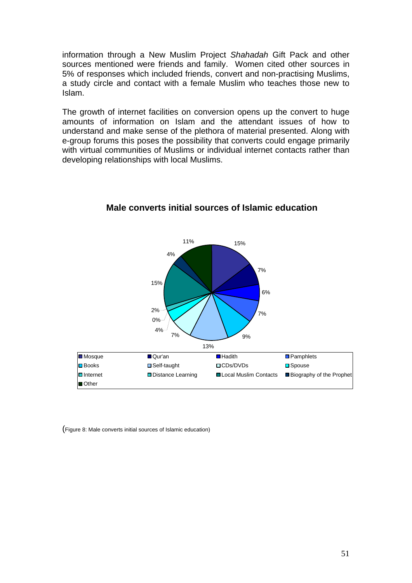information through a New Muslim Project *Shahadah* Gift Pack and other sources mentioned were friends and family. Women cited other sources in 5% of responses which included friends, convert and non-practising Muslims, a study circle and contact with a female Muslim who teaches those new to Islam.

The growth of internet facilities on conversion opens up the convert to huge amounts of information on Islam and the attendant issues of how to understand and make sense of the plethora of material presented. Along with e-group forums this poses the possibility that converts could engage primarily with virtual communities of Muslims or individual internet contacts rather than developing relationships with local Muslims.



## **Male converts initial sources of Islamic education**

(Figure 8: Male converts initial sources of Islamic education)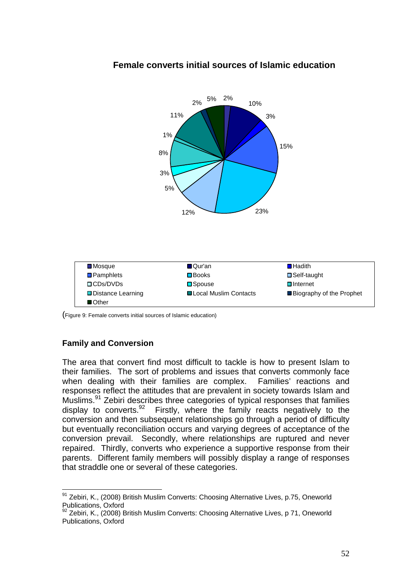

## **Female converts initial sources of Islamic education**

2%

(Figure 9: Female converts initial sources of Islamic education)

## **Family and Conversion**

The area that convert find most difficult to tackle is how to present Islam to their families.The sort of problems and issues that converts commonly face when dealing with their families are complex. Families' reactions and responses reflect the attitudes that are prevalent in society towards Islam and Muslims.91 Zebiri describes three categories of typical responses that families display to converts.<sup>92</sup> Firstly, where the family reacts negatively to the conversion and then subsequent relationships go through a period of difficulty but eventually reconciliation occurs and varying degrees of acceptance of the conversion prevail. Secondly, where relationships are ruptured and never repaired. Thirdly, converts who experience a supportive response from their parents. Different family members will possibly display a range of responses that straddle one or several of these categories.

<sup>&</sup>lt;u>.</u> <sup>91</sup> Zebiri, K., (2008) British Muslim Converts: Choosing Alternative Lives, p.75, Oneworld Publications, Oxford

<sup>92</sup> Zebiri, K., (2008) British Muslim Converts: Choosing Alternative Lives, p 71, Oneworld Publications, Oxford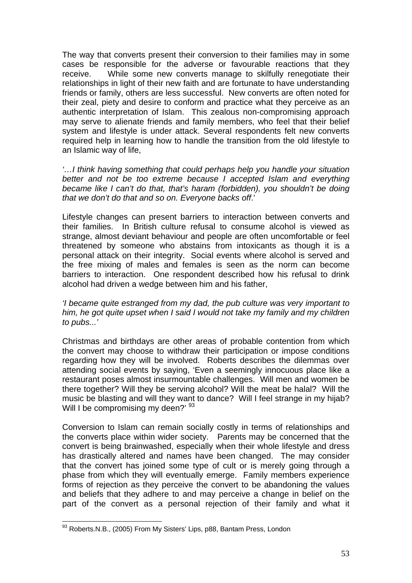The way that converts present their conversion to their families may in some cases be responsible for the adverse or favourable reactions that they receive. While some new converts manage to skilfully renegotiate their relationships in light of their new faith and are fortunate to have understanding friends or family, others are less successful. New converts are often noted for their zeal, piety and desire to conform and practice what they perceive as an authentic interpretation of Islam. This zealous non-compromising approach may serve to alienate friends and family members, who feel that their belief system and lifestyle is under attack. Several respondents felt new converts required help in learning how to handle the transition from the old lifestyle to an Islamic way of life,

*'…I think having something that could perhaps help you handle your situation better and not be too extreme because I accepted Islam and everything became like I can't do that, that's haram (forbidden), you shouldn't be doing that we don't do that and so on. Everyone backs off*.'

Lifestyle changes can present barriers to interaction between converts and their families. In British culture refusal to consume alcohol is viewed as strange, almost deviant behaviour and people are often uncomfortable or feel threatened by someone who abstains from intoxicants as though it is a personal attack on their integrity. Social events where alcohol is served and the free mixing of males and females is seen as the norm can become barriers to interaction. One respondent described how his refusal to drink alcohol had driven a wedge between him and his father,

*'I became quite estranged from my dad, the pub culture was very important to him, he got quite upset when I said I would not take my family and my children to pubs...'* 

Christmas and birthdays are other areas of probable contention from which the convert may choose to withdraw their participation or impose conditions regarding how they will be involved. Roberts describes the dilemmas over attending social events by saying, 'Even a seemingly innocuous place like a restaurant poses almost insurmountable challenges. Will men and women be there together? Will they be serving alcohol? Will the meat be halal? Will the music be blasting and will they want to dance? Will I feel strange in my hijab? Will I be compromising my deen?' <sup>93</sup>

Conversion to Islam can remain socially costly in terms of relationships and the converts place within wider society. Parents may be concerned that the convert is being brainwashed, especially when their whole lifestyle and dress has drastically altered and names have been changed. The may consider that the convert has joined some type of cult or is merely going through a phase from which they will eventually emerge. Family members experience forms of rejection as they perceive the convert to be abandoning the values and beliefs that they adhere to and may perceive a change in belief on the part of the convert as a personal rejection of their family and what it

 $^{93}$  Roberts.N.B., (2005) From My Sisters' Lips, p88, Bantam Press, London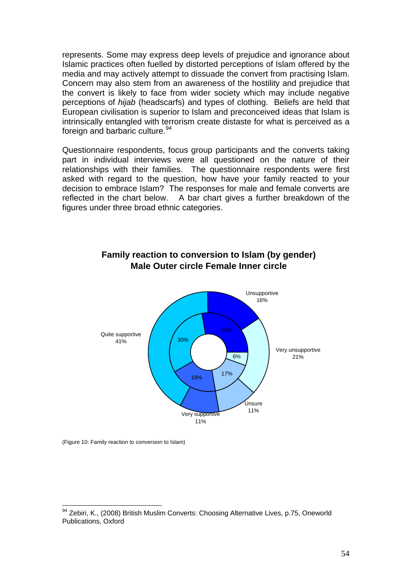represents. Some may express deep levels of prejudice and ignorance about Islamic practices often fuelled by distorted perceptions of Islam offered by the media and may actively attempt to dissuade the convert from practising Islam. Concern may also stem from an awareness of the hostility and prejudice that the convert is likely to face from wider society which may include negative perceptions of *hijab* (headscarfs) and types of clothing. Beliefs are held that European civilisation is superior to Islam and preconceived ideas that Islam is intrinsically entangled with terrorism create distaste for what is perceived as a foreign and barbaric culture.<sup>94</sup>

Questionnaire respondents, focus group participants and the converts taking part in individual interviews were all questioned on the nature of their relationships with their families. The questionnaire respondents were first asked with regard to the question, how have your family reacted to your decision to embrace Islam? The responses for male and female converts are reflected in the chart below. A bar chart gives a further breakdown of the figures under three broad ethnic categories.



## **Family reaction to conversion to Islam (by gender) Male Outer circle Female Inner circle**

(Figure 10: Family reaction to conversion to Islam)

<sup>94</sup> Zebiri, K., (2008) British Muslim Converts: Choosing Alternative Lives, p.75, Oneworld Publications, Oxford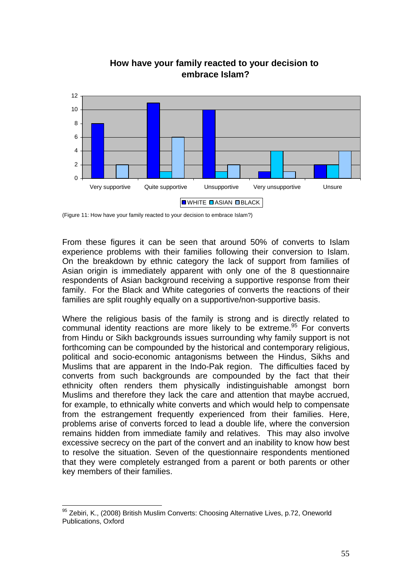

**How have your family reacted to your decision to embrace Islam?**

(Figure 11: How have your family reacted to your decision to embrace Islam?)

From these figures it can be seen that around 50% of converts to Islam experience problems with their families following their conversion to Islam. On the breakdown by ethnic category the lack of support from families of Asian origin is immediately apparent with only one of the 8 questionnaire respondents of Asian background receiving a supportive response from their family. For the Black and White categories of converts the reactions of their families are split roughly equally on a supportive/non-supportive basis.

Where the religious basis of the family is strong and is directly related to communal identity reactions are more likely to be extreme.<sup>95</sup> For converts from Hindu or Sikh backgrounds issues surrounding why family support is not forthcoming can be compounded by the historical and contemporary religious, political and socio-economic antagonisms between the Hindus, Sikhs and Muslims that are apparent in the Indo-Pak region. The difficulties faced by converts from such backgrounds are compounded by the fact that their ethnicity often renders them physically indistinguishable amongst born Muslims and therefore they lack the care and attention that maybe accrued, for example, to ethnically white converts and which would help to compensate from the estrangement frequently experienced from their families. Here, problems arise of converts forced to lead a double life, where the conversion remains hidden from immediate family and relatives. This may also involve excessive secrecy on the part of the convert and an inability to know how best to resolve the situation. Seven of the questionnaire respondents mentioned that they were completely estranged from a parent or both parents or other key members of their families.

<sup>&</sup>lt;sup>95</sup> Zebiri, K., (2008) British Muslim Converts: Choosing Alternative Lives, p.72, Oneworld Publications, Oxford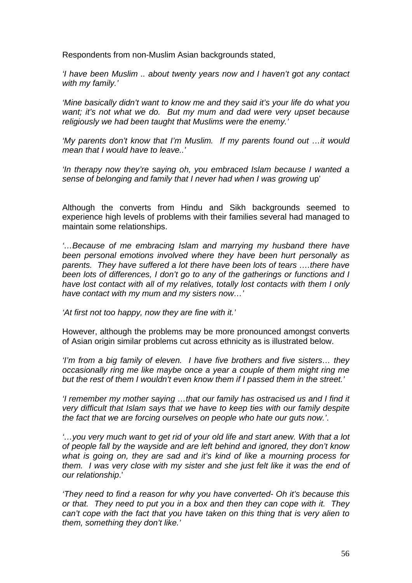Respondents from non-Muslim Asian backgrounds stated,

*'I have been Muslim .. about twenty years now and I haven't got any contact with my family.'* 

*'Mine basically didn't want to know me and they said it's your life do what you want; it's not what we do. But my mum and dad were very upset because religiously we had been taught that Muslims were the enemy.'* 

*'My parents don't know that I'm Muslim. If my parents found out …it would mean that I would have to leave..'* 

*'In therapy now they're saying oh, you embraced Islam because I wanted a sense of belonging and family that I never had when I was growing* up'

Although the converts from Hindu and Sikh backgrounds seemed to experience high levels of problems with their families several had managed to maintain some relationships.

*'…Because of me embracing Islam and marrying my husband there have been personal emotions involved where they have been hurt personally as parents. They have suffered a lot there have been lots of tears ….there have been lots of differences, I don't go to any of the gatherings or functions and I have lost contact with all of my relatives, totally lost contacts with them I only have contact with my mum and my sisters now…'* 

*'At first not too happy, now they are fine with it.'* 

However, although the problems may be more pronounced amongst converts of Asian origin similar problems cut across ethnicity as is illustrated below.

*'I'm from a big family of eleven. I have five brothers and five sisters… they occasionally ring me like maybe once a year a couple of them might ring me but the rest of them I wouldn't even know them if I passed them in the street.'* 

*'I remember my mother saying ...that our family has ostracised us and I find it very difficult that Islam says that we have to keep ties with our family despite the fact that we are forcing ourselves on people who hate our guts now.'*.

*'…you very much want to get rid of your old life and start anew. With that a lot of people fall by the wayside and are left behind and ignored, they don't know what is going on, they are sad and it's kind of like a mourning process for them. I was very close with my sister and she just felt like it was the end of our relationship*.'

*'They need to find a reason for why you have converted- Oh it's because this or that. They need to put you in a box and then they can cope with it. They can't cope with the fact that you have taken on this thing that is very alien to them, something they don't like.'*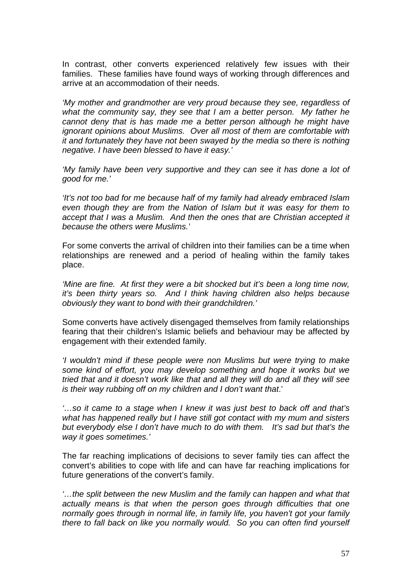In contrast, other converts experienced relatively few issues with their families. These families have found ways of working through differences and arrive at an accommodation of their needs.

*'My mother and grandmother are very proud because they see, regardless of what the community say, they see that I am a better person. My father he cannot deny that is has made me a better person although he might have ignorant opinions about Muslims. Over all most of them are comfortable with it and fortunately they have not been swayed by the media so there is nothing negative. I have been blessed to have it easy.'* 

*'My family have been very supportive and they can see it has done a lot of good for me.'* 

*'It's not too bad for me because half of my family had already embraced Islam even though they are from the Nation of Islam but it was easy for them to accept that I was a Muslim. And then the ones that are Christian accepted it because the others were Muslims.'* 

For some converts the arrival of children into their families can be a time when relationships are renewed and a period of healing within the family takes place.

*'Mine are fine. At first they were a bit shocked but it's been a long time now, it's been thirty years so. And I think having children also helps because obviously they want to bond with their grandchildren.'* 

Some converts have actively disengaged themselves from family relationships fearing that their children's Islamic beliefs and behaviour may be affected by engagement with their extended family.

*'I wouldn't mind if these people were non Muslims but were trying to make some kind of effort, you may develop something and hope it works but we tried that and it doesn't work like that and all they will do and all they will see is their way rubbing off on my children and I don't want that*.'

*'…so it came to a stage when I knew it was just best to back off and that's what has happened really but I have still got contact with my mum and sisters but everybody else I don't have much to do with them. It's sad but that's the way it goes sometimes.'* 

The far reaching implications of decisions to sever family ties can affect the convert's abilities to cope with life and can have far reaching implications for future generations of the convert's family.

*'…the split between the new Muslim and the family can happen and what that actually means is that when the person goes through difficulties that one normally goes through in normal life, in family life, you haven't got your family there to fall back on like you normally would. So you can often find yourself*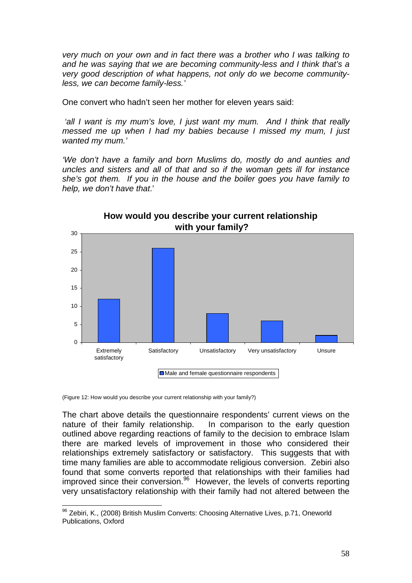*very much on your own and in fact there was a brother who I was talking to and he was saying that we are becoming community-less and I think that's a very good description of what happens, not only do we become communityless, we can become family-less.'*

One convert who hadn't seen her mother for eleven years said:

 *'all I want is my mum's love, I just want my mum. And I think that really messed me up when I had my babies because I missed my mum, I just wanted my mum.'* 

*'We don't have a family and born Muslims do, mostly do and aunties and uncles and sisters and all of that and so if the woman gets ill for instance she's got them. If you in the house and the boiler goes you have family to help, we don't have that*.'



(Figure 12: How would you describe your current relationship with your family?)

The chart above details the questionnaire respondents' current views on the nature of their family relationship. In comparison to the early question outlined above regarding reactions of family to the decision to embrace Islam there are marked levels of improvement in those who considered their relationships extremely satisfactory or satisfactory. This suggests that with time many families are able to accommodate religious conversion. Zebiri also found that some converts reported that relationships with their families had improved since their conversion.<sup>96</sup> However, the levels of converts reporting very unsatisfactory relationship with their family had not altered between the

<sup>1</sup> 96 Zebiri, K., (2008) British Muslim Converts: Choosing Alternative Lives, p.71, Oneworld Publications, Oxford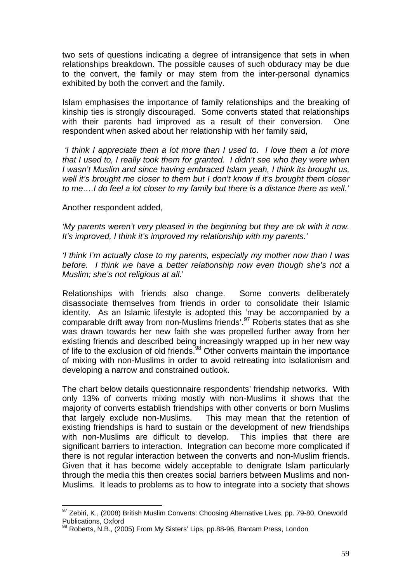two sets of questions indicating a degree of intransigence that sets in when relationships breakdown. The possible causes of such obduracy may be due to the convert, the family or may stem from the inter-personal dynamics exhibited by both the convert and the family.

Islam emphasises the importance of family relationships and the breaking of kinship ties is strongly discouraged. Some converts stated that relationships with their parents had improved as a result of their conversion. One respondent when asked about her relationship with her family said,

 *'I think I appreciate them a lot more than I used to. I love them a lot more that I used to, I really took them for granted. I didn't see who they were when I wasn't Muslim and since having embraced Islam yeah, I think its brought us, well it's brought me closer to them but I don't know if it's brought them closer to me….I do feel a lot closer to my family but there is a distance there as well.'* 

Another respondent added,

1

*'My parents weren't very pleased in the beginning but they are ok with it now. It's improved, I think it's improved my relationship with my parents.'* 

*'I think I'm actually close to my parents, especially my mother now than I was before. I think we have a better relationship now even though she's not a Muslim; she's not religious at all*.'

Relationships with friends also change. Some converts deliberately disassociate themselves from friends in order to consolidate their Islamic identity. As an Islamic lifestyle is adopted this 'may be accompanied by a comparable drift away from non-Muslims friends'.97 Roberts states that as she was drawn towards her new faith she was propelled further away from her existing friends and described being increasingly wrapped up in her new way of life to the exclusion of old friends.98 Other converts maintain the importance of mixing with non-Muslims in order to avoid retreating into isolationism and developing a narrow and constrained outlook.

The chart below details questionnaire respondents' friendship networks. With only 13% of converts mixing mostly with non-Muslims it shows that the majority of converts establish friendships with other converts or born Muslims that largely exclude non-Muslims. This may mean that the retention of existing friendships is hard to sustain or the development of new friendships with non-Muslims are difficult to develop. This implies that there are significant barriers to interaction. Integration can become more complicated if there is not regular interaction between the converts and non-Muslim friends. Given that it has become widely acceptable to denigrate Islam particularly through the media this then creates social barriers between Muslims and non-Muslims. It leads to problems as to how to integrate into a society that shows

 $97$  Zebiri, K., (2008) British Muslim Converts: Choosing Alternative Lives, pp. 79-80, Oneworld Publications, Oxford

<sup>98</sup> Roberts, N.B., (2005) From My Sisters' Lips, pp.88-96, Bantam Press, London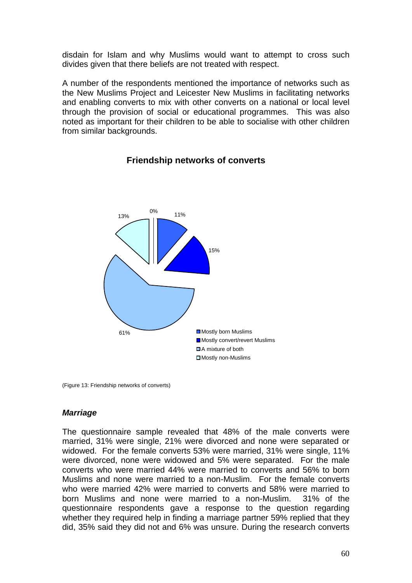disdain for Islam and why Muslims would want to attempt to cross such divides given that there beliefs are not treated with respect.

A number of the respondents mentioned the importance of networks such as the New Muslims Project and Leicester New Muslims in facilitating networks and enabling converts to mix with other converts on a national or local level through the provision of social or educational programmes. This was also noted as important for their children to be able to socialise with other children from similar backgrounds.



#### **Friendship networks of converts**

(Figure 13: Friendship networks of converts)

#### *Marriage*

The questionnaire sample revealed that 48% of the male converts were married, 31% were single, 21% were divorced and none were separated or widowed. For the female converts 53% were married, 31% were single, 11% were divorced, none were widowed and 5% were separated. For the male converts who were married 44% were married to converts and 56% to born Muslims and none were married to a non-Muslim. For the female converts who were married 42% were married to converts and 58% were married to born Muslims and none were married to a non-Muslim. 31% of the questionnaire respondents gave a response to the question regarding whether they required help in finding a marriage partner 59% replied that they did, 35% said they did not and 6% was unsure. During the research converts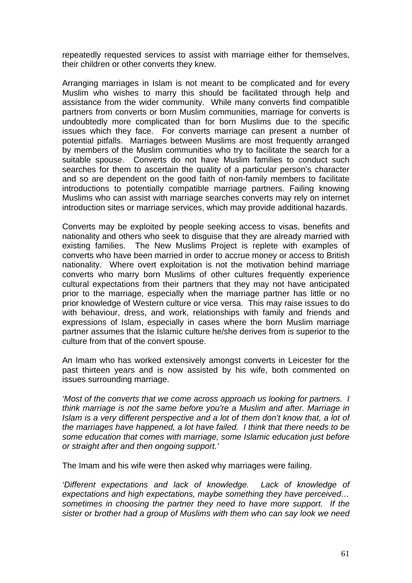repeatedly requested services to assist with marriage either for themselves, their children or other converts they knew.

Arranging marriages in Islam is not meant to be complicated and for every Muslim who wishes to marry this should be facilitated through help and assistance from the wider community. While many converts find compatible partners from converts or born Muslim communities, marriage for converts is undoubtedly more complicated than for born Muslims due to the specific issues which they face. For converts marriage can present a number of potential pitfalls. Marriages between Muslims are most frequently arranged by members of the Muslim communities who try to facilitate the search for a suitable spouse. Converts do not have Muslim families to conduct such searches for them to ascertain the quality of a particular person's character and so are dependent on the good faith of non-family members to facilitate introductions to potentially compatible marriage partners. Failing knowing Muslims who can assist with marriage searches converts may rely on internet introduction sites or marriage services, which may provide additional hazards.

Converts may be exploited by people seeking access to visas, benefits and nationality and others who seek to disguise that they are already married with existing families. The New Muslims Project is replete with examples of converts who have been married in order to accrue money or access to British nationality. Where overt exploitation is not the motivation behind marriage converts who marry born Muslims of other cultures frequently experience cultural expectations from their partners that they may not have anticipated prior to the marriage, especially when the marriage partner has little or no prior knowledge of Western culture or vice versa. This may raise issues to do with behaviour, dress, and work, relationships with family and friends and expressions of Islam, especially in cases where the born Muslim marriage partner assumes that the Islamic culture he/she derives from is superior to the culture from that of the convert spouse.

An Imam who has worked extensively amongst converts in Leicester for the past thirteen years and is now assisted by his wife, both commented on issues surrounding marriage.

*'Most of the converts that we come across approach us looking for partners. I think marriage is not the same before you're a Muslim and after. Marriage in Islam is a very different perspective and a lot of them don't know that, a lot of the marriages have happened, a lot have failed. I think that there needs to be some education that comes with marriage, some Islamic education just before or straight after and then ongoing support.'* 

The Imam and his wife were then asked why marriages were failing.

*'Different expectations and lack of knowledge. Lack of knowledge of expectations and high expectations, maybe something they have perceived… sometimes in choosing the partner they need to have more support. If the sister or brother had a group of Muslims with them who can say look we need*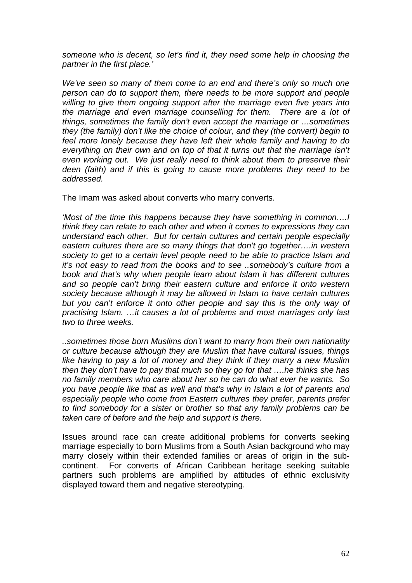*someone who is decent, so let's find it, they need some help in choosing the partner in the first place.'* 

*We've seen so many of them come to an end and there's only so much one person can do to support them, there needs to be more support and people willing to give them ongoing support after the marriage even five years into the marriage and even marriage counselling for them. There are a lot of things, sometimes the family don't even accept the marriage or …sometimes they (the family) don't like the choice of colour, and they (the convert) begin to feel more lonely because they have left their whole family and having to do everything on their own and on top of that it turns out that the marriage isn't even working out. We just really need to think about them to preserve their deen (faith) and if this is going to cause more problems they need to be addressed.* 

The Imam was asked about converts who marry converts.

*'Most of the time this happens because they have something in common….I think they can relate to each other and when it comes to expressions they can understand each other. But for certain cultures and certain people especially eastern cultures there are so many things that don't go together….in western society to get to a certain level people need to be able to practice Islam and it's not easy to read from the books and to see ..somebody's culture from a book and that's why when people learn about Islam it has different cultures and so people can't bring their eastern culture and enforce it onto western society because although it may be allowed in Islam to have certain cultures but you can't enforce it onto other people and say this is the only way of practising Islam. …it causes a lot of problems and most marriages only last two to three weeks.* 

*..sometimes those born Muslims don't want to marry from their own nationality or culture because although they are Muslim that have cultural issues, things like having to pay a lot of money and they think if they marry a new Muslim then they don't have to pay that much so they go for that ….he thinks she has no family members who care about her so he can do what ever he wants. So you have people like that as well and that's why in Islam a lot of parents and especially people who come from Eastern cultures they prefer, parents prefer to find somebody for a sister or brother so that any family problems can be taken care of before and the help and support is there.* 

Issues around race can create additional problems for converts seeking marriage especially to born Muslims from a South Asian background who may marry closely within their extended families or areas of origin in the subcontinent. For converts of African Caribbean heritage seeking suitable partners such problems are amplified by attitudes of ethnic exclusivity displayed toward them and negative stereotyping.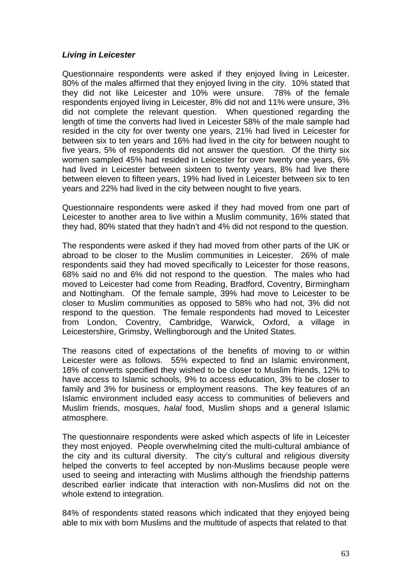#### *Living in Leicester*

Questionnaire respondents were asked if they enjoyed living in Leicester. 80% of the males affirmed that they enjoyed living in the city. 10% stated that they did not like Leicester and 10% were unsure. 78% of the female respondents enjoyed living in Leicester, 8% did not and 11% were unsure, 3% did not complete the relevant question. When questioned regarding the length of time the converts had lived in Leicester 58% of the male sample had resided in the city for over twenty one years, 21% had lived in Leicester for between six to ten years and 16% had lived in the city for between nought to five years, 5% of respondents did not answer the question. Of the thirty six women sampled 45% had resided in Leicester for over twenty one years, 6% had lived in Leicester between sixteen to twenty years, 8% had live there between eleven to fifteen years, 19% had lived in Leicester between six to ten years and 22% had lived in the city between nought to five years.

Questionnaire respondents were asked if they had moved from one part of Leicester to another area to live within a Muslim community, 16% stated that they had, 80% stated that they hadn't and 4% did not respond to the question.

The respondents were asked if they had moved from other parts of the UK or abroad to be closer to the Muslim communities in Leicester. 26% of male respondents said they had moved specifically to Leicester for those reasons, 68% said no and 6% did not respond to the question. The males who had moved to Leicester had come from Reading, Bradford, Coventry, Birmingham and Nottingham. Of the female sample, 39% had move to Leicester to be closer to Muslim communities as opposed to 58% who had not, 3% did not respond to the question. The female respondents had moved to Leicester from London, Coventry, Cambridge, Warwick, Oxford, a village in Leicestershire, Grimsby, Wellingborough and the United States.

The reasons cited of expectations of the benefits of moving to or within Leicester were as follows. 55% expected to find an Islamic environment, 18% of converts specified they wished to be closer to Muslim friends, 12% to have access to Islamic schools, 9% to access education, 3% to be closer to family and 3% for business or employment reasons. The key features of an Islamic environment included easy access to communities of believers and Muslim friends, mosques, *halal* food, Muslim shops and a general Islamic atmosphere.

The questionnaire respondents were asked which aspects of life in Leicester they most enjoyed. People overwhelming cited the multi-cultural ambiance of the city and its cultural diversity. The city's cultural and religious diversity helped the converts to feel accepted by non-Muslims because people were used to seeing and interacting with Muslims although the friendship patterns described earlier indicate that interaction with non-Muslims did not on the whole extend to integration.

84% of respondents stated reasons which indicated that they enjoyed being able to mix with born Muslims and the multitude of aspects that related to that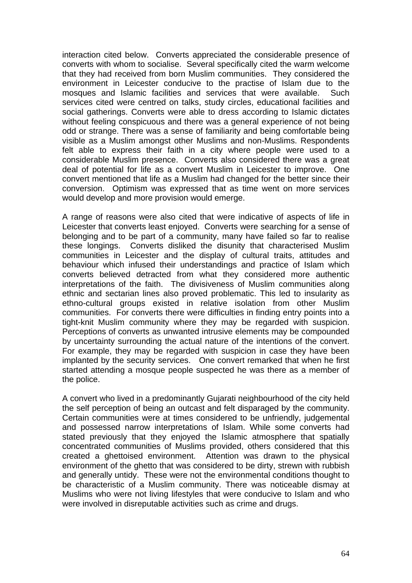interaction cited below. Converts appreciated the considerable presence of converts with whom to socialise. Several specifically cited the warm welcome that they had received from born Muslim communities. They considered the environment in Leicester conducive to the practise of Islam due to the mosques and Islamic facilities and services that were available. Such services cited were centred on talks, study circles, educational facilities and social gatherings. Converts were able to dress according to Islamic dictates without feeling conspicuous and there was a general experience of not being odd or strange. There was a sense of familiarity and being comfortable being visible as a Muslim amongst other Muslims and non-Muslims. Respondents felt able to express their faith in a city where people were used to a considerable Muslim presence. Converts also considered there was a great deal of potential for life as a convert Muslim in Leicester to improve. One convert mentioned that life as a Muslim had changed for the better since their conversion. Optimism was expressed that as time went on more services would develop and more provision would emerge.

A range of reasons were also cited that were indicative of aspects of life in Leicester that converts least enjoyed. Converts were searching for a sense of belonging and to be part of a community, many have failed so far to realise these longings. Converts disliked the disunity that characterised Muslim communities in Leicester and the display of cultural traits, attitudes and behaviour which infused their understandings and practice of Islam which converts believed detracted from what they considered more authentic interpretations of the faith. The divisiveness of Muslim communities along ethnic and sectarian lines also proved problematic. This led to insularity as ethno-cultural groups existed in relative isolation from other Muslim communities. For converts there were difficulties in finding entry points into a tight-knit Muslim community where they may be regarded with suspicion. Perceptions of converts as unwanted intrusive elements may be compounded by uncertainty surrounding the actual nature of the intentions of the convert. For example, they may be regarded with suspicion in case they have been implanted by the security services. One convert remarked that when he first started attending a mosque people suspected he was there as a member of the police.

A convert who lived in a predominantly Gujarati neighbourhood of the city held the self perception of being an outcast and felt disparaged by the community. Certain communities were at times considered to be unfriendly, judgemental and possessed narrow interpretations of Islam. While some converts had stated previously that they enjoyed the Islamic atmosphere that spatially concentrated communities of Muslims provided, others considered that this created a ghettoised environment. Attention was drawn to the physical environment of the ghetto that was considered to be dirty, strewn with rubbish and generally untidy. These were not the environmental conditions thought to be characteristic of a Muslim community. There was noticeable dismay at Muslims who were not living lifestyles that were conducive to Islam and who were involved in disreputable activities such as crime and drugs.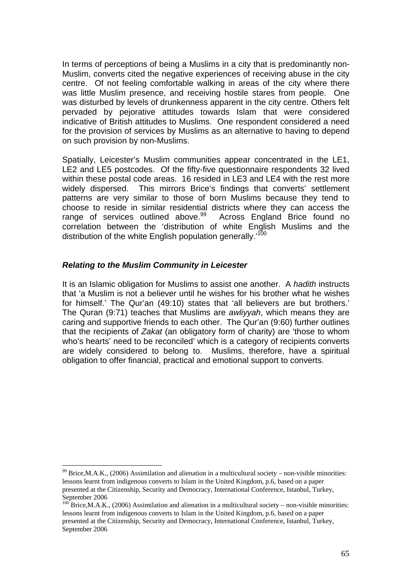In terms of perceptions of being a Muslims in a city that is predominantly non-Muslim, converts cited the negative experiences of receiving abuse in the city centre. Of not feeling comfortable walking in areas of the city where there was little Muslim presence, and receiving hostile stares from people. One was disturbed by levels of drunkenness apparent in the city centre. Others felt pervaded by pejorative attitudes towards Islam that were considered indicative of British attitudes to Muslims. One respondent considered a need for the provision of services by Muslims as an alternative to having to depend on such provision by non-Muslims.

Spatially, Leicester's Muslim communities appear concentrated in the LE1, LE2 and LE5 postcodes. Of the fifty-five questionnaire respondents 32 lived within these postal code areas. 16 resided in LE3 and LE4 with the rest more widely dispersed. This mirrors Brice's findings that converts' settlement patterns are very similar to those of born Muslims because they tend to choose to reside in similar residential districts where they can access the range of services outlined above.<sup>99</sup> Across England Brice found no correlation between the 'distribution of white English Muslims and the distribution of the white English population generally.<sup>100</sup>

#### *Relating to the Muslim Community in Leicester*

<u>.</u>

It is an Islamic obligation for Muslims to assist one another. A *hadith* instructs that 'a Muslim is not a believer until he wishes for his brother what he wishes for himself.' The Qur'an (49:10) states that 'all believers are but brothers.' The Quran (9:71) teaches that Muslims are *awliyyah*, which means they are caring and supportive friends to each other. The Qur'an (9:60) further outlines that the recipients of *Zakat* (an obligatory form of charity) are 'those to whom who's hearts' need to be reconciled' which is a category of recipients converts are widely considered to belong to. Muslims, therefore, have a spiritual obligation to offer financial, practical and emotional support to converts.

 $99$  Brice, M.A.K., (2006) Assimilation and alienation in a multicultural society – non-visible minorities: lessons learnt from indigenous converts to Islam in the United Kingdom, p.6, based on a paper presented at the Citizenship, Security and Democracy, International Conference, Istanbul, Turkey, September 2006

 $100$  Brice, M.A.K., (2006) Assimilation and alienation in a multicultural society – non-visible minorities: lessons learnt from indigenous converts to Islam in the United Kingdom, p.6, based on a paper presented at the Citizenship, Security and Democracy, International Conference, Istanbul, Turkey, September 2006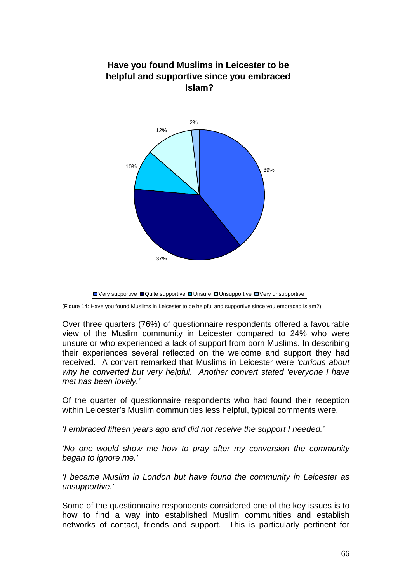

**Have you found Muslims in Leicester to be** 

(Figure 14: Have you found Muslims in Leicester to be helpful and supportive since you embraced Islam?)

Over three quarters (76%) of questionnaire respondents offered a favourable view of the Muslim community in Leicester compared to 24% who were unsure or who experienced a lack of support from born Muslims. In describing their experiences several reflected on the welcome and support they had received. A convert remarked that Muslims in Leicester were *'curious about why he converted but very helpful. Another convert stated 'everyone I have met has been lovely.'* 

Of the quarter of questionnaire respondents who had found their reception within Leicester's Muslim communities less helpful, typical comments were,

*'I embraced fifteen years ago and did not receive the support I needed.'* 

*'No one would show me how to pray after my conversion the community began to ignore me.'* 

*'I became Muslim in London but have found the community in Leicester as unsupportive.'* 

Some of the questionnaire respondents considered one of the key issues is to how to find a way into established Muslim communities and establish networks of contact, friends and support. This is particularly pertinent for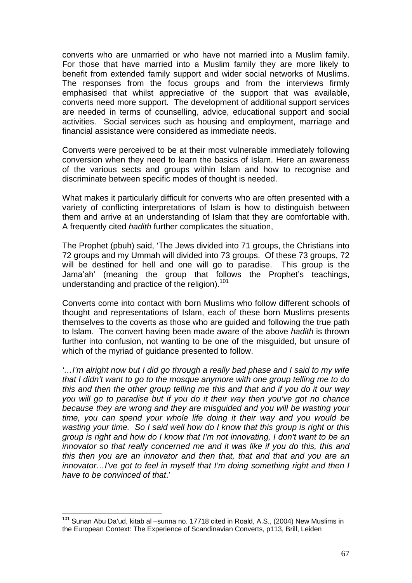converts who are unmarried or who have not married into a Muslim family. For those that have married into a Muslim family they are more likely to benefit from extended family support and wider social networks of Muslims. The responses from the focus groups and from the interviews firmly emphasised that whilst appreciative of the support that was available, converts need more support. The development of additional support services are needed in terms of counselling, advice, educational support and social activities. Social services such as housing and employment, marriage and financial assistance were considered as immediate needs.

Converts were perceived to be at their most vulnerable immediately following conversion when they need to learn the basics of Islam. Here an awareness of the various sects and groups within Islam and how to recognise and discriminate between specific modes of thought is needed.

What makes it particularly difficult for converts who are often presented with a variety of conflicting interpretations of Islam is how to distinguish between them and arrive at an understanding of Islam that they are comfortable with. A frequently cited *hadith* further complicates the situation,

The Prophet (pbuh) said, 'The Jews divided into 71 groups, the Christians into 72 groups and my Ummah will divided into 73 groups. Of these 73 groups, 72 will be destined for hell and one will go to paradise. This group is the Jama'ah' (meaning the group that follows the Prophet's teachings, understanding and practice of the religion).<sup>101</sup>

Converts come into contact with born Muslims who follow different schools of thought and representations of Islam, each of these born Muslims presents themselves to the coverts as those who are guided and following the true path to Islam. The convert having been made aware of the above *hadith* is thrown further into confusion, not wanting to be one of the misguided, but unsure of which of the myriad of guidance presented to follow.

*'…I'm alright now but I did go through a really bad phase and I said to my wife that I didn't want to go to the mosque anymore with one group telling me to do this and then the other group telling me this and that and if you do it our way you will go to paradise but if you do it their way then you've got no chance because they are wrong and they are misguided and you will be wasting your time, you can spend your whole life doing it their way and you would be wasting your time. So I said well how do I know that this group is right or this group is right and how do I know that I'm not innovating, I don't want to be an innovator so that really concerned me and it was like if you do this, this and this then you are an innovator and then that, that and that and you are an innovator…I've got to feel in myself that I'm doing something right and then I have to be convinced of that*.'

<u>.</u>

 $101$  Sunan Abu Da'ud, kitab al –sunna no. 17718 cited in Roald, A.S., (2004) New Muslims in the European Context: The Experience of Scandinavian Converts, p113, Brill, Leiden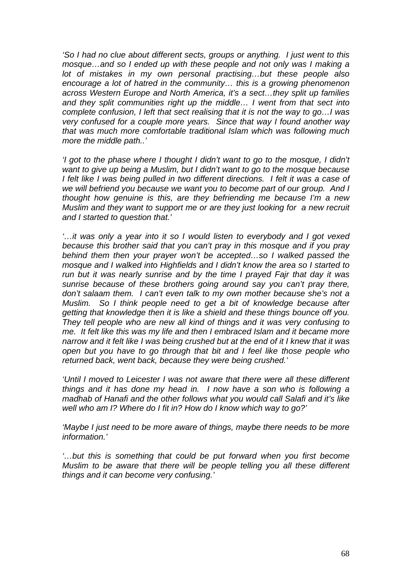*'So I had no clue about different sects, groups or anything. I just went to this mosque…and so I ended up with these people and not only was I making a lot of mistakes in my own personal practising…but these people also encourage a lot of hatred in the community… this is a growing phenomenon across Western Europe and North America, it's a sect…they split up families and they split communities right up the middle… I went from that sect into complete confusion, I left that sect realising that it is not the way to go…I was very confused for a couple more years. Since that way I found another way that was much more comfortable traditional Islam which was following much more the middle path..'*

*'I got to the phase where I thought I didn't want to go to the mosque, I didn't want to give up being a Muslim, but I didn't want to go to the mosque because I felt like I was being pulled in two different directions. I felt it was a case of we will befriend you because we want you to become part of our group. And I thought how genuine is this, are they befriending me because I'm a new Muslim and they want to support me or are they just looking for a new recruit and I started to question that.'*

*'…it was only a year into it so I would listen to everybody and I got vexed because this brother said that you can't pray in this mosque and if you pray behind them then your prayer won't be accepted…so I walked passed the mosque and I walked into Highfields and I didn't know the area so I started to run but it was nearly sunrise and by the time I prayed Fajr that day it was sunrise because of these brothers going around say you can't pray there, don't salaam them. I can't even talk to my own mother because she's not a Muslim. So I think people need to get a bit of knowledge because after getting that knowledge then it is like a shield and these things bounce off you. They tell people who are new all kind of things and it was very confusing to me. It felt like this was my life and then I embraced Islam and it became more narrow and it felt like I was being crushed but at the end of it I knew that it was open but you have to go through that bit and I feel like those people who returned back, went back, because they were being crushed.'*

'Until I moved to Leicester I was not aware that there were all these different *things and it has done my head in. I now have a son who is following a madhab of Hanafi and the other follows what you would call Salafi and it's like well who am I? Where do I fit in? How do I know which way to go?'*

*'Maybe I just need to be more aware of things, maybe there needs to be more information.'*

*'…but this is something that could be put forward when you first become Muslim to be aware that there will be people telling you all these different things and it can become very confusing.'*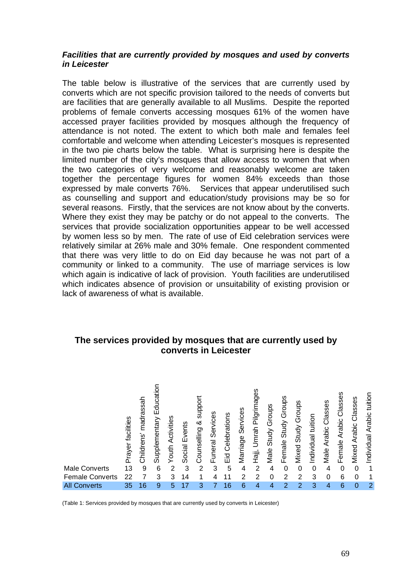#### *Facilities that are currently provided by mosques and used by converts in Leicester*

The table below is illustrative of the services that are currently used by converts which are not specific provision tailored to the needs of converts but are facilities that are generally available to all Muslims. Despite the reported problems of female converts accessing mosques 61% of the women have accessed prayer facilities provided by mosques although the frequency of attendance is not noted. The extent to which both male and females feel comfortable and welcome when attending Leicester's mosques is represented in the two pie charts below the table. What is surprising here is despite the limited number of the city's mosques that allow access to women that when the two categories of very welcome and reasonably welcome are taken together the percentage figures for women 84% exceeds than those expressed by male converts 76%. Services that appear underutilised such as counselling and support and education/study provisions may be so for several reasons. Firstly, that the services are not know about by the converts. Where they exist they may be patchy or do not appeal to the converts. The services that provide socialization opportunities appear to be well accessed by women less so by men. The rate of use of Eid celebration services were relatively similar at 26% male and 30% female. One respondent commented that there was very little to do on Eid day because he was not part of a community or linked to a community. The use of marriage services is low which again is indicative of lack of provision. Youth facilities are underutilised which indicates absence of provision or unsuitability of existing provision or lack of awareness of what is available.

## **The services provided by mosques that are currently used by converts in Leicester**



(Table 1: Services provided by mosques that are currently used by converts in Leicester)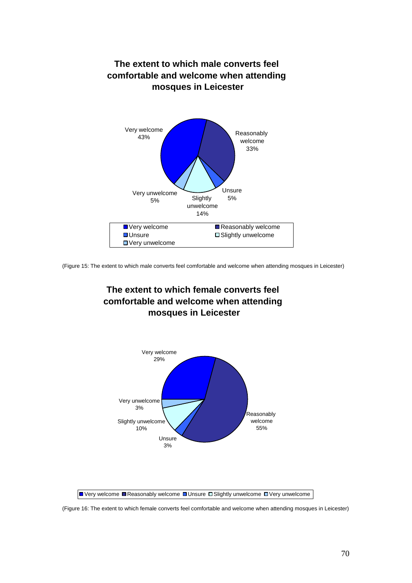

(Figure 15: The extent to which male converts feel comfortable and welcome when attending mosques in Leicester)





(Figure 16: The extent to which female converts feel comfortable and welcome when attending mosques in Leicester)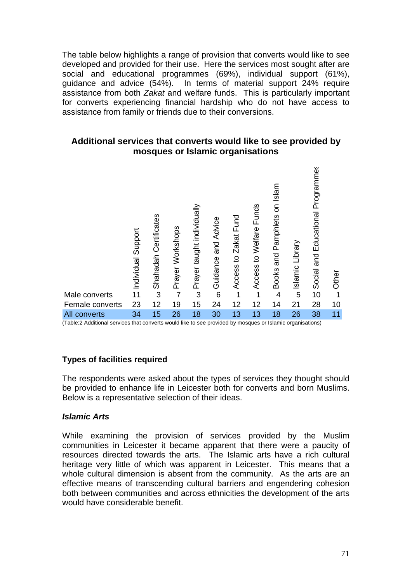The table below highlights a range of provision that converts would like to see developed and provided for their use. Here the services most sought after are social and educational programmes (69%), individual support (61%), guidance and advice (54%). In terms of material support 24% require assistance from both *Zakat* and welfare funds. This is particularly important for converts experiencing financial hardship who do not have access to assistance from family or friends due to their conversions.

## **Additional services that converts would like to see provided by mosques or Islamic organisations**



(Table:2 Additional services that converts would like to see provided by mosques or Islamic organisations)

## **Types of facilities required**

The respondents were asked about the types of services they thought should be provided to enhance life in Leicester both for converts and born Muslims. Below is a representative selection of their ideas.

## *Islamic Arts*

While examining the provision of services provided by the Muslim communities in Leicester it became apparent that there were a paucity of resources directed towards the arts. The Islamic arts have a rich cultural heritage very little of which was apparent in Leicester. This means that a whole cultural dimension is absent from the community. As the arts are an effective means of transcending cultural barriers and engendering cohesion both between communities and across ethnicities the development of the arts would have considerable benefit.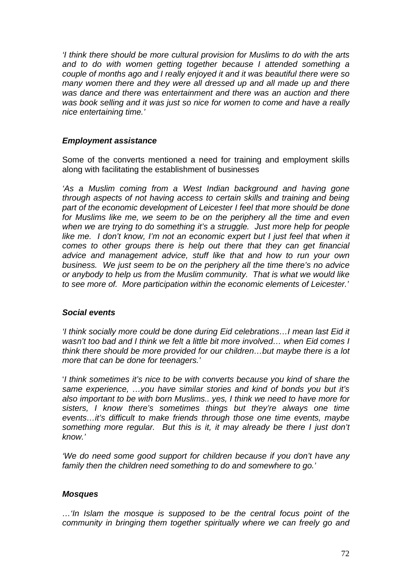*'I think there should be more cultural provision for Muslims to do with the arts and to do with women getting together because I attended something a couple of months ago and I really enjoyed it and it was beautiful there were so*  many women there and they were all dressed up and all made up and there *was dance and there was entertainment and there was an auction and there was book selling and it was just so nice for women to come and have a really nice entertaining time.'*

## *Employment assistance*

Some of the converts mentioned a need for training and employment skills along with facilitating the establishment of businesses

*'As a Muslim coming from a West Indian background and having gone through aspects of not having access to certain skills and training and being part of the economic development of Leicester I feel that more should be done for Muslims like me, we seem to be on the periphery all the time and even when we are trying to do something it's a struggle. Just more help for people like me. I don't know, I'm not an economic expert but I just feel that when it comes to other groups there is help out there that they can get financial advice and management advice, stuff like that and how to run your own business. We just seem to be on the periphery all the time there's no advice or anybody to help us from the Muslim community. That is what we would like to see more of. More participation within the economic elements of Leicester.'*

## *Social events*

*'I think socially more could be done during Eid celebrations…I mean last Eid it*  wasn't too bad and I think we felt a little bit more involved... when Eid comes I *think there should be more provided for our children…but maybe there is a lot more that can be done for teenagers.'*

'*I think sometimes it's nice to be with converts because you kind of share the same experience, …you have similar stories and kind of bonds you but it's also important to be with born Muslims.. yes, I think we need to have more for sisters, I know there's sometimes things but they're always one time events…it's difficult to make friends through those one time events, maybe something more regular. But this is it, it may already be there I just don't know.'*

*'We do need some good support for children because if you don't have any family then the children need something to do and somewhere to go.'*

## *Mosques*

*…'In Islam the mosque is supposed to be the central focus point of the community in bringing them together spiritually where we can freely go and*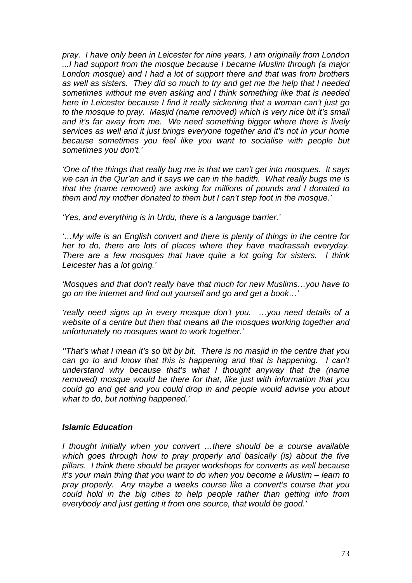*pray. I have only been in Leicester for nine years, I am originally from London ...I had support from the mosque because I became Muslim through (a major London mosque) and I had a lot of support there and that was from brothers as well as sisters. They did so much to try and get me the help that I needed sometimes without me even asking and I think something like that is needed here in Leicester because I find it really sickening that a woman can't just go to the mosque to pray. Masjid (name removed) which is very nice bit it's small and it's far away from me. We need something bigger where there is lively services as well and it just brings everyone together and it's not in your home because sometimes you feel like you want to socialise with people but sometimes you don't.'*

*'One of the things that really bug me is that we can't get into mosques. It says we can in the Qur'an and it says we can in the hadith. What really bugs me is that the (name removed) are asking for millions of pounds and I donated to them and my mother donated to them but I can't step foot in the mosque.'*

*'Yes, and everything is in Urdu, there is a language barrier.'*

*'…My wife is an English convert and there is plenty of things in the centre for her to do, there are lots of places where they have madrassah everyday. There are a few mosques that have quite a lot going for sisters. I think Leicester has a lot going.'* 

*'Mosques and that don't really have that much for new Muslims…you have to go on the internet and find out yourself and go and get a book…'*

*'really need signs up in every mosque don't you. …you need details of a website of a centre but then that means all the mosques working together and unfortunately no mosques want to work together.'*

*''That's what I mean it's so bit by bit. There is no masjid in the centre that you can go to and know that this is happening and that is happening. I can't understand why because that's what I thought anyway that the (name removed) mosque would be there for that, like just with information that you could go and get and you could drop in and people would advise you about what to do, but nothing happened.'*

## *Islamic Education*

*I thought initially when you convert …there should be a course available which goes through how to pray properly and basically (is) about the five pillars. I think there should be prayer workshops for converts as well because it's your main thing that you want to do when you become a Muslim – learn to pray properly. Any maybe a weeks course like a convert's course that you could hold in the big cities to help people rather than getting info from everybody and just getting it from one source, that would be good.'*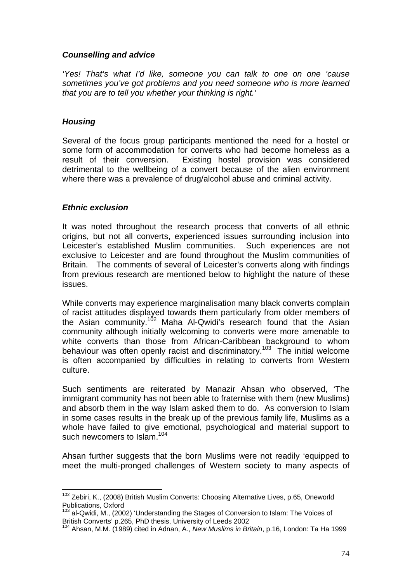## *Counselling and advice*

*'Yes! That's what I'd like, someone you can talk to one on one 'cause sometimes you've got problems and you need someone who is more learned that you are to tell you whether your thinking is right.'*

## *Housing*

Several of the focus group participants mentioned the need for a hostel or some form of accommodation for converts who had become homeless as a result of their conversion. Existing hostel provision was considered detrimental to the wellbeing of a convert because of the alien environment where there was a prevalence of drug/alcohol abuse and criminal activity.

## *Ethnic exclusion*

<u>.</u>

It was noted throughout the research process that converts of all ethnic origins, but not all converts, experienced issues surrounding inclusion into Leicester's established Muslim communities. Such experiences are not exclusive to Leicester and are found throughout the Muslim communities of Britain. The comments of several of Leicester's converts along with findings from previous research are mentioned below to highlight the nature of these issues.

While converts may experience marginalisation many black converts complain of racist attitudes displayed towards them particularly from older members of the Asian community.<sup>102</sup> Maha Al-Qwidi's research found that the Asian community although initially welcoming to converts were more amenable to white converts than those from African-Caribbean background to whom behaviour was often openly racist and discriminatory.<sup>103</sup> The initial welcome is often accompanied by difficulties in relating to converts from Western culture.

Such sentiments are reiterated by Manazir Ahsan who observed, 'The immigrant community has not been able to fraternise with them (new Muslims) and absorb them in the way Islam asked them to do. As conversion to Islam in some cases results in the break up of the previous family life, Muslims as a whole have failed to give emotional, psychological and material support to such newcomers to Islam.<sup>104</sup>

Ahsan further suggests that the born Muslims were not readily 'equipped to meet the multi-pronged challenges of Western society to many aspects of

<sup>&</sup>lt;sup>102</sup> Zebiri, K., (2008) British Muslim Converts: Choosing Alternative Lives, p.65, Oneworld Publications, Oxford

 $\frac{103}{103}$  al-Qwidi, M., (2002) 'Understanding the Stages of Conversion to Islam: The Voices of British Converts' p.265. PhD thesis. University of Leeds 2002

<sup>&</sup>lt;sup>104</sup> Ahsan, M.M. (1989) cited in Adnan, A., *New Muslims in Britain*, p.16, London: Ta Ha 1999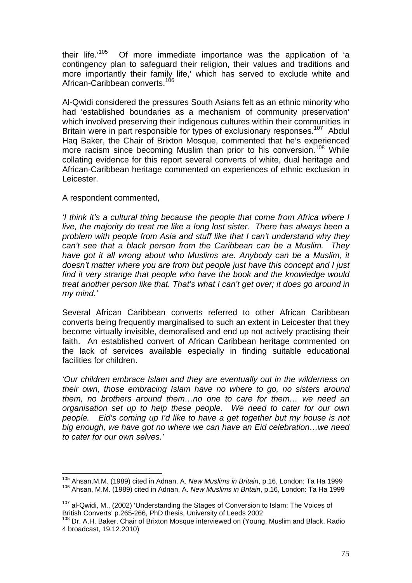their life.<sup> $105$ </sup> Of more immediate importance was the application of 'a contingency plan to safeguard their religion, their values and traditions and more importantly their family life,' which has served to exclude white and African-Caribbean converts.<sup>106</sup>

Al-Qwidi considered the pressures South Asians felt as an ethnic minority who had 'established boundaries as a mechanism of community preservation' which involved preserving their indigenous cultures within their communities in Britain were in part responsible for types of exclusionary responses.<sup>107</sup> Abdul Haq Baker, the Chair of Brixton Mosque, commented that he's experienced more racism since becoming Muslim than prior to his conversion.<sup>108</sup> While collating evidence for this report several converts of white, dual heritage and African-Caribbean heritage commented on experiences of ethnic exclusion in Leicester.

### A respondent commented,

*'I think it's a cultural thing because the people that come from Africa where I live, the majority do treat me like a long lost sister. There has always been a problem with people from Asia and stuff like that I can't understand why they can't see that a black person from the Caribbean can be a Muslim. They have got it all wrong about who Muslims are. Anybody can be a Muslim, it doesn't matter where you are from but people just have this concept and I just find it very strange that people who have the book and the knowledge would treat another person like that. That's what I can't get over; it does go around in my mind.'* 

Several African Caribbean converts referred to other African Caribbean converts being frequently marginalised to such an extent in Leicester that they become virtually invisible, demoralised and end up not actively practising their faith. An established convert of African Caribbean heritage commented on the lack of services available especially in finding suitable educational facilities for children.

*'Our children embrace Islam and they are eventually out in the wilderness on their own, those embracing Islam have no where to go, no sisters around them, no brothers around them…no one to care for them… we need an organisation set up to help these people. We need to cater for our own people. Eid's coming up I'd like to have a get together but my house is not big enough, we have got no where we can have an Eid celebration…we need to cater for our own selves.'* 

<sup>&</sup>lt;sup>105</sup> Ahsan, M.M. (1989) cited in Adnan, A. New Muslims in Britain, p.16, London: Ta Ha 1999 <sup>106</sup> Ahsan, M.M. (1989) cited in Adnan, A. *New Muslims in Britain*, p.16, London: Ta Ha 1999

 $107$  al-Qwidi, M., (2002) 'Understanding the Stages of Conversion to Islam: The Voices of British Converts' p.265-266. PhD thesis. University of Leeds 2002

<sup>&</sup>lt;sup>108</sup> Dr. A.H. Baker, Chair of Brixton Mosque interviewed on (Young, Muslim and Black, Radio 4 broadcast, 19.12.2010)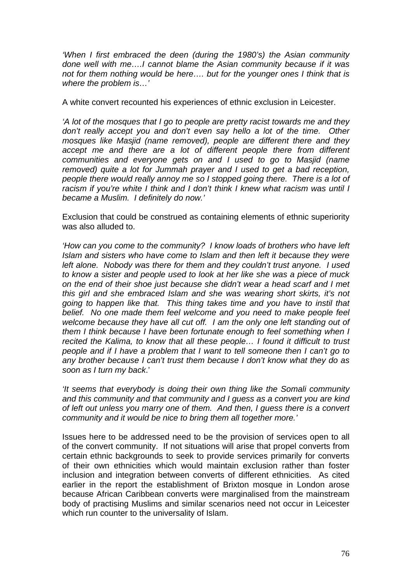*'When I first embraced the deen (during the 1980's) the Asian community done well with me….I cannot blame the Asian community because if it was not for them nothing would be here…. but for the younger ones I think that is where the problem is…'* 

A white convert recounted his experiences of ethnic exclusion in Leicester.

*'A lot of the mosques that I go to people are pretty racist towards me and they don't really accept you and don't even say hello a lot of the time. Other mosques like Masjid (name removed), people are different there and they accept me and there are a lot of different people there from different communities and everyone gets on and I used to go to Masjid (name removed) quite a lot for Jummah prayer and I used to get a bad reception, people there would really annoy me so I stopped going there. There is a lot of racism if you're white I think and I don't think I knew what racism was until I became a Muslim. I definitely do now.'*

Exclusion that could be construed as containing elements of ethnic superiority was also alluded to.

*'How can you come to the community? I know loads of brothers who have left Islam and sisters who have come to Islam and then left it because they were left alone. Nobody was there for them and they couldn't trust anyone. I used to know a sister and people used to look at her like she was a piece of muck on the end of their shoe just because she didn't wear a head scarf and I met this girl and she embraced Islam and she was wearing short skirts, it's not going to happen like that. This thing takes time and you have to instil that belief. No one made them feel welcome and you need to make people feel welcome because they have all cut off. I am the only one left standing out of them I think because I have been fortunate enough to feel something when I recited the Kalima, to know that all these people… I found it difficult to trust people and if I have a problem that I want to tell someone then I can't go to any brother because I can't trust them because I don't know what they do as soon as I turn my back*.'

*'It seems that everybody is doing their own thing like the Somali community and this community and that community and I guess as a convert you are kind of left out unless you marry one of them. And then, I guess there is a convert community and it would be nice to bring them all together more.'*

Issues here to be addressed need to be the provision of services open to all of the convert community. If not situations will arise that propel converts from certain ethnic backgrounds to seek to provide services primarily for converts of their own ethnicities which would maintain exclusion rather than foster inclusion and integration between converts of different ethnicities. As cited earlier in the report the establishment of Brixton mosque in London arose because African Caribbean converts were marginalised from the mainstream body of practising Muslims and similar scenarios need not occur in Leicester which run counter to the universality of Islam.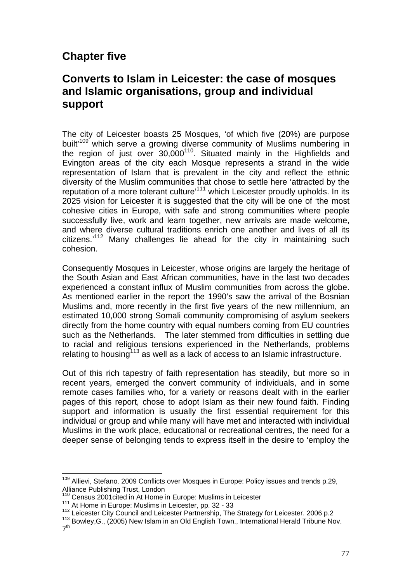# **Chapter five**

## **Converts to Islam in Leicester: the case of mosques and Islamic organisations, group and individual support**

The city of Leicester boasts 25 Mosques, 'of which five (20%) are purpose built<sup>109</sup> which serve a growing diverse community of Muslims numbering in the region of just over  $30,000^{110}$ . Situated mainly in the Highfields and Evington areas of the city each Mosque represents a strand in the wide representation of Islam that is prevalent in the city and reflect the ethnic diversity of the Muslim communities that chose to settle here 'attracted by the reputation of a more tolerant culture'111 which Leicester proudly upholds. In its 2025 vision for Leicester it is suggested that the city will be one of 'the most cohesive cities in Europe, with safe and strong communities where people successfully live, work and learn together, new arrivals are made welcome, and where diverse cultural traditions enrich one another and lives of all its citizens.'112 Many challenges lie ahead for the city in maintaining such cohesion.

Consequently Mosques in Leicester, whose origins are largely the heritage of the South Asian and East African communities, have in the last two decades experienced a constant influx of Muslim communities from across the globe. As mentioned earlier in the report the 1990's saw the arrival of the Bosnian Muslims and, more recently in the first five years of the new millennium, an estimated 10,000 strong Somali community compromising of asylum seekers directly from the home country with equal numbers coming from EU countries such as the Netherlands. The later stemmed from difficulties in settling due to racial and religious tensions experienced in the Netherlands, problems relating to housing<sup>113</sup> as well as a lack of access to an Islamic infrastructure.

Out of this rich tapestry of faith representation has steadily, but more so in recent years, emerged the convert community of individuals, and in some remote cases families who, for a variety or reasons dealt with in the earlier pages of this report, chose to adopt Islam as their new found faith. Finding support and information is usually the first essential requirement for this individual or group and while many will have met and interacted with individual Muslims in the work place, educational or recreational centres, the need for a deeper sense of belonging tends to express itself in the desire to 'employ the

1

<sup>&</sup>lt;sup>109</sup> Allievi, Stefano. 2009 Conflicts over Mosques in Europe: Policy issues and trends p.29, Alliance Publishing Trust, London<br><sup>110</sup> Census 2001cited in At Home in Europe: Muslims in Leicester

<sup>&</sup>lt;sup>111</sup> At Home in Europe: Muslims in Leicester, pp. 32 - 33<br><sup>112</sup> Leicester City Council and Leicester Partnership, The Strategy for Leicester. 2006 p.2<br><sup>113</sup> Bowley,G., (2005) New Islam in an Old English Town., Internation

 $7<sup>th</sup>$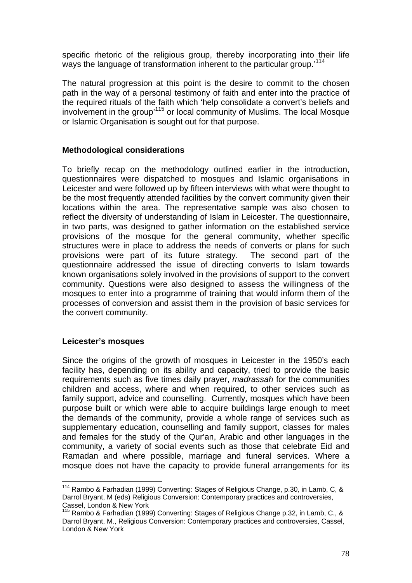specific rhetoric of the religious group, thereby incorporating into their life ways the language of transformation inherent to the particular group.'<sup>114</sup>

The natural progression at this point is the desire to commit to the chosen path in the way of a personal testimony of faith and enter into the practice of the required rituals of the faith which 'help consolidate a convert's beliefs and involvement in the group'115 or local community of Muslims. The local Mosque or Islamic Organisation is sought out for that purpose.

## **Methodological considerations**

To briefly recap on the methodology outlined earlier in the introduction, questionnaires were dispatched to mosques and Islamic organisations in Leicester and were followed up by fifteen interviews with what were thought to be the most frequently attended facilities by the convert community given their locations within the area. The representative sample was also chosen to reflect the diversity of understanding of Islam in Leicester. The questionnaire, in two parts, was designed to gather information on the established service provisions of the mosque for the general community, whether specific structures were in place to address the needs of converts or plans for such provisions were part of its future strategy. The second part of the questionnaire addressed the issue of directing converts to Islam towards known organisations solely involved in the provisions of support to the convert community. Questions were also designed to assess the willingness of the mosques to enter into a programme of training that would inform them of the processes of conversion and assist them in the provision of basic services for the convert community.

#### **Leicester's mosques**

1

Since the origins of the growth of mosques in Leicester in the 1950's each facility has, depending on its ability and capacity, tried to provide the basic requirements such as five times daily prayer, *madrassah* for the communities children and access, where and when required, to other services such as family support, advice and counselling. Currently, mosques which have been purpose built or which were able to acquire buildings large enough to meet the demands of the community, provide a whole range of services such as supplementary education, counselling and family support, classes for males and females for the study of the Qur'an, Arabic and other languages in the community, a variety of social events such as those that celebrate Eid and Ramadan and where possible, marriage and funeral services. Where a mosque does not have the capacity to provide funeral arrangements for its

 $114$  Rambo & Farhadian (1999) Converting: Stages of Religious Change, p.30, in Lamb, C, & Darrol Bryant, M (eds) Religious Conversion: Contemporary practices and controversies, Cassel, London & New York

<sup>115</sup> Rambo & Farhadian (1999) Converting: Stages of Religious Change p.32, in Lamb, C., & Darrol Bryant, M., Religious Conversion: Contemporary practices and controversies, Cassel, London & New York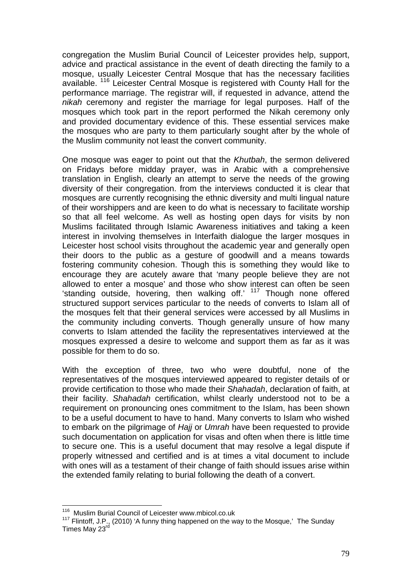congregation the Muslim Burial Council of Leicester provides help, support, advice and practical assistance in the event of death directing the family to a mosque, usually Leicester Central Mosque that has the necessary facilities available. 116 Leicester Central Mosque is registered with County Hall for the performance marriage. The registrar will, if requested in advance, attend the *nikah* ceremony and register the marriage for legal purposes. Half of the mosques which took part in the report performed the Nikah ceremony only and provided documentary evidence of this. These essential services make the mosques who are party to them particularly sought after by the whole of the Muslim community not least the convert community.

One mosque was eager to point out that the *Khutbah*, the sermon delivered on Fridays before midday prayer, was in Arabic with a comprehensive translation in English, clearly an attempt to serve the needs of the growing diversity of their congregation. from the interviews conducted it is clear that mosques are currently recognising the ethnic diversity and multi lingual nature of their worshippers and are keen to do what is necessary to facilitate worship so that all feel welcome. As well as hosting open days for visits by non Muslims facilitated through Islamic Awareness initiatives and taking a keen interest in involving themselves in Interfaith dialogue the larger mosques in Leicester host school visits throughout the academic year and generally open their doors to the public as a gesture of goodwill and a means towards fostering community cohesion. Though this is something they would like to encourage they are acutely aware that 'many people believe they are not allowed to enter a mosque' and those who show interest can often be seen 'standing outside, hovering, then walking off.' 117 Though none offered structured support services particular to the needs of converts to Islam all of the mosques felt that their general services were accessed by all Muslims in the community including converts. Though generally unsure of how many converts to Islam attended the facility the representatives interviewed at the mosques expressed a desire to welcome and support them as far as it was possible for them to do so.

With the exception of three, two who were doubtful, none of the representatives of the mosques interviewed appeared to register details of or provide certification to those who made their *Shahadah*, declaration of faith, at their facility. *Shahadah* certification, whilst clearly understood not to be a requirement on pronouncing ones commitment to the Islam, has been shown to be a useful document to have to hand. Many converts to Islam who wished to embark on the pilgrimage of *Hajj* or *Umrah* have been requested to provide such documentation on application for visas and often when there is little time to secure one. This is a useful document that may resolve a legal dispute if properly witnessed and certified and is at times a vital document to include with ones will as a testament of their change of faith should issues arise within the extended family relating to burial following the death of a convert.

<sup>1</sup> <sup>116</sup> Muslim Burial Council of Leicester www.mbicol.co.uk

<sup>117</sup> Flintoff, J.P., (2010) 'A funny thing happened on the way to the Mosque,' The Sunday Times May  $23<sup>′</sup>$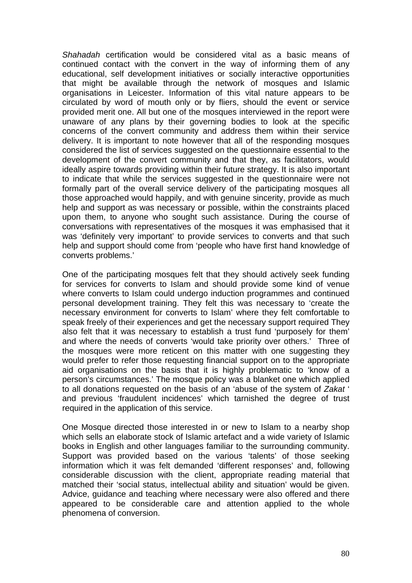*Shahadah* certification would be considered vital as a basic means of continued contact with the convert in the way of informing them of any educational, self development initiatives or socially interactive opportunities that might be available through the network of mosques and Islamic organisations in Leicester. Information of this vital nature appears to be circulated by word of mouth only or by fliers, should the event or service provided merit one. All but one of the mosques interviewed in the report were unaware of any plans by their governing bodies to look at the specific concerns of the convert community and address them within their service delivery. It is important to note however that all of the responding mosques considered the list of services suggested on the questionnaire essential to the development of the convert community and that they, as facilitators, would ideally aspire towards providing within their future strategy. It is also important to indicate that while the services suggested in the questionnaire were not formally part of the overall service delivery of the participating mosques all those approached would happily, and with genuine sincerity, provide as much help and support as was necessary or possible, within the constraints placed upon them, to anyone who sought such assistance. During the course of conversations with representatives of the mosques it was emphasised that it was 'definitely very important' to provide services to converts and that such help and support should come from 'people who have first hand knowledge of converts problems.'

One of the participating mosques felt that they should actively seek funding for services for converts to Islam and should provide some kind of venue where converts to Islam could undergo induction programmes and continued personal development training. They felt this was necessary to 'create the necessary environment for converts to Islam' where they felt comfortable to speak freely of their experiences and get the necessary support required They also felt that it was necessary to establish a trust fund 'purposely for them' and where the needs of converts 'would take priority over others.' Three of the mosques were more reticent on this matter with one suggesting they would prefer to refer those requesting financial support on to the appropriate aid organisations on the basis that it is highly problematic to 'know of a person's circumstances.' The mosque policy was a blanket one which applied to all donations requested on the basis of an 'abuse of the system of *Zakat* ' and previous 'fraudulent incidences' which tarnished the degree of trust required in the application of this service.

One Mosque directed those interested in or new to Islam to a nearby shop which sells an elaborate stock of Islamic artefact and a wide variety of Islamic books in English and other languages familiar to the surrounding community. Support was provided based on the various 'talents' of those seeking information which it was felt demanded 'different responses' and, following considerable discussion with the client, appropriate reading material that matched their 'social status, intellectual ability and situation' would be given. Advice, guidance and teaching where necessary were also offered and there appeared to be considerable care and attention applied to the whole phenomena of conversion.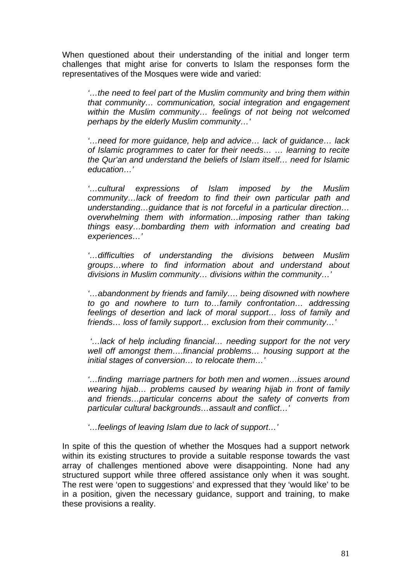When questioned about their understanding of the initial and longer term challenges that might arise for converts to Islam the responses form the representatives of the Mosques were wide and varied:

*'…the need to feel part of the Muslim community and bring them within that community… communication, social integration and engagement within the Muslim community… feelings of not being not welcomed perhaps by the elderly Muslim community…'* 

*'…need for more guidance, help and advice… lack of guidance… lack of Islamic programmes to cater for their needs… … learning to recite the Qur'an and understand the beliefs of Islam itself… need for Islamic education…'* 

*'…cultural expressions of Islam imposed by the Muslim community…lack of freedom to find their own particular path and understanding…guidance that is not forceful in a particular direction… overwhelming them with information…imposing rather than taking things easy…bombarding them with information and creating bad experiences…'* 

*'…difficulties of understanding the divisions between Muslim groups…where to find information about and understand about divisions in Muslim community… divisions within the community…'* 

*'…abandonment by friends and family…. being disowned with nowhere to go and nowhere to turn to…family confrontation… addressing feelings of desertion and lack of moral support… loss of family and friends… loss of family support… exclusion from their community…'* 

 *'…lack of help including financial… needing support for the not very well off amongst them….financial problems… housing support at the initial stages of conversion… to relocate them…'* 

*'…finding marriage partners for both men and women…issues around wearing hijab… problems caused by wearing hijab in front of family and friends…particular concerns about the safety of converts from particular cultural backgrounds…assault and conflict…'* 

*'…feelings of leaving Islam due to lack of support…'* 

In spite of this the question of whether the Mosques had a support network within its existing structures to provide a suitable response towards the vast array of challenges mentioned above were disappointing. None had any structured support while three offered assistance only when it was sought. The rest were 'open to suggestions' and expressed that they 'would like' to be in a position, given the necessary guidance, support and training, to make these provisions a reality.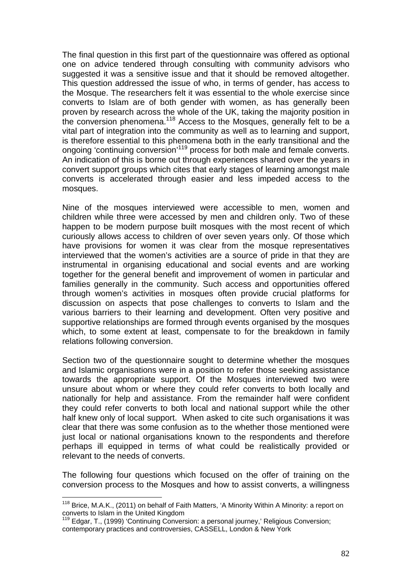The final question in this first part of the questionnaire was offered as optional one on advice tendered through consulting with community advisors who suggested it was a sensitive issue and that it should be removed altogether. This question addressed the issue of who, in terms of gender, has access to the Mosque. The researchers felt it was essential to the whole exercise since converts to Islam are of both gender with women, as has generally been proven by research across the whole of the UK, taking the majority position in the conversion phenomena.<sup>118</sup> Access to the Mosques, generally felt to be a vital part of integration into the community as well as to learning and support, is therefore essential to this phenomena both in the early transitional and the ongoing 'continuing conversion'119 process for both male and female converts. An indication of this is borne out through experiences shared over the years in convert support groups which cites that early stages of learning amongst male converts is accelerated through easier and less impeded access to the mosques.

Nine of the mosques interviewed were accessible to men, women and children while three were accessed by men and children only. Two of these happen to be modern purpose built mosques with the most recent of which curiously allows access to children of over seven years only. Of those which have provisions for women it was clear from the mosque representatives interviewed that the women's activities are a source of pride in that they are instrumental in organising educational and social events and are working together for the general benefit and improvement of women in particular and families generally in the community. Such access and opportunities offered through women's activities in mosques often provide crucial platforms for discussion on aspects that pose challenges to converts to Islam and the various barriers to their learning and development. Often very positive and supportive relationships are formed through events organised by the mosques which, to some extent at least, compensate to for the breakdown in family relations following conversion.

Section two of the questionnaire sought to determine whether the mosques and Islamic organisations were in a position to refer those seeking assistance towards the appropriate support. Of the Mosques interviewed two were unsure about whom or where they could refer converts to both locally and nationally for help and assistance. From the remainder half were confident they could refer converts to both local and national support while the other half knew only of local support. When asked to cite such organisations it was clear that there was some confusion as to the whether those mentioned were just local or national organisations known to the respondents and therefore perhaps ill equipped in terms of what could be realistically provided or relevant to the needs of converts.

The following four questions which focused on the offer of training on the conversion process to the Mosques and how to assist converts, a willingness

1

<sup>&</sup>lt;sup>118</sup> Brice, M.A.K., (2011) on behalf of Faith Matters, 'A Minority Within A Minority: a report on converts to Islam in the United Kingdom

 $119$  Edgar, T., (1999) 'Continuing Conversion: a personal journey,' Religious Conversion: contemporary practices and controversies, CASSELL, London & New York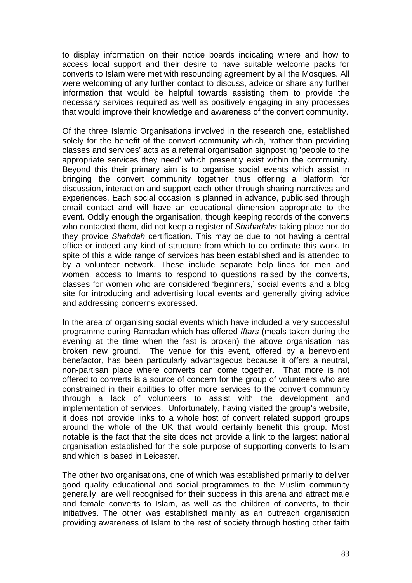to display information on their notice boards indicating where and how to access local support and their desire to have suitable welcome packs for converts to Islam were met with resounding agreement by all the Mosques. All were welcoming of any further contact to discuss, advice or share any further information that would be helpful towards assisting them to provide the necessary services required as well as positively engaging in any processes that would improve their knowledge and awareness of the convert community.

Of the three Islamic Organisations involved in the research one, established solely for the benefit of the convert community which, 'rather than providing classes and services' acts as a referral organisation signposting 'people to the appropriate services they need' which presently exist within the community. Beyond this their primary aim is to organise social events which assist in bringing the convert community together thus offering a platform for discussion, interaction and support each other through sharing narratives and experiences. Each social occasion is planned in advance, publicised through email contact and will have an educational dimension appropriate to the event. Oddly enough the organisation, though keeping records of the converts who contacted them, did not keep a register of *Shahadahs* taking place nor do they provide *Shahdah* certification. This may be due to not having a central office or indeed any kind of structure from which to co ordinate this work. In spite of this a wide range of services has been established and is attended to by a volunteer network. These include separate help lines for men and women, access to Imams to respond to questions raised by the converts, classes for women who are considered 'beginners,' social events and a blog site for introducing and advertising local events and generally giving advice and addressing concerns expressed.

In the area of organising social events which have included a very successful programme during Ramadan which has offered *Iftars* (meals taken during the evening at the time when the fast is broken) the above organisation has broken new ground. The venue for this event, offered by a benevolent benefactor, has been particularly advantageous because it offers a neutral, non-partisan place where converts can come together. That more is not offered to converts is a source of concern for the group of volunteers who are constrained in their abilities to offer more services to the convert community through a lack of volunteers to assist with the development and implementation of services. Unfortunately, having visited the group's website, it does not provide links to a whole host of convert related support groups around the whole of the UK that would certainly benefit this group. Most notable is the fact that the site does not provide a link to the largest national organisation established for the sole purpose of supporting converts to Islam and which is based in Leicester.

The other two organisations, one of which was established primarily to deliver good quality educational and social programmes to the Muslim community generally, are well recognised for their success in this arena and attract male and female converts to Islam, as well as the children of converts, to their initiatives. The other was established mainly as an outreach organisation providing awareness of Islam to the rest of society through hosting other faith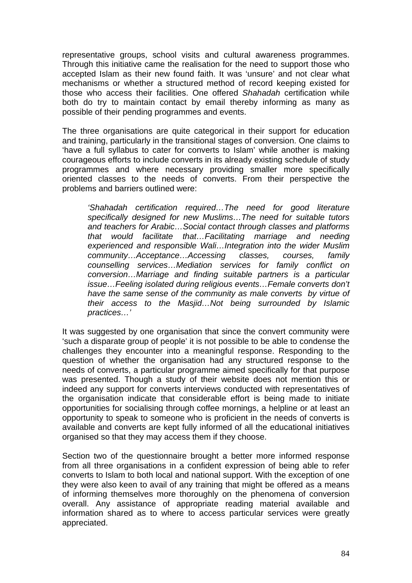representative groups, school visits and cultural awareness programmes. Through this initiative came the realisation for the need to support those who accepted Islam as their new found faith. It was 'unsure' and not clear what mechanisms or whether a structured method of record keeping existed for those who access their facilities. One offered *Shahadah* certification while both do try to maintain contact by email thereby informing as many as possible of their pending programmes and events.

The three organisations are quite categorical in their support for education and training, particularly in the transitional stages of conversion. One claims to 'have a full syllabus to cater for converts to Islam' while another is making courageous efforts to include converts in its already existing schedule of study programmes and where necessary providing smaller more specifically oriented classes to the needs of converts. From their perspective the problems and barriers outlined were:

*'Shahadah certification required…The need for good literature specifically designed for new Muslims…The need for suitable tutors and teachers for Arabic…Social contact through classes and platforms that would facilitate that…Facilitating marriage and needing experienced and responsible Wali…Integration into the wider Muslim community…Acceptance…Accessing classes, courses, family counselling services…Mediation services for family conflict on conversion…Marriage and finding suitable partners is a particular issue…Feeling isolated during religious events…Female converts don't have the same sense of the community as male converts by virtue of their access to the Masjid…Not being surrounded by Islamic practices…'* 

It was suggested by one organisation that since the convert community were 'such a disparate group of people' it is not possible to be able to condense the challenges they encounter into a meaningful response. Responding to the question of whether the organisation had any structured response to the needs of converts, a particular programme aimed specifically for that purpose was presented. Though a study of their website does not mention this or indeed any support for converts interviews conducted with representatives of the organisation indicate that considerable effort is being made to initiate opportunities for socialising through coffee mornings, a helpline or at least an opportunity to speak to someone who is proficient in the needs of converts is available and converts are kept fully informed of all the educational initiatives organised so that they may access them if they choose.

Section two of the questionnaire brought a better more informed response from all three organisations in a confident expression of being able to refer converts to Islam to both local and national support. With the exception of one they were also keen to avail of any training that might be offered as a means of informing themselves more thoroughly on the phenomena of conversion overall. Any assistance of appropriate reading material available and information shared as to where to access particular services were greatly appreciated.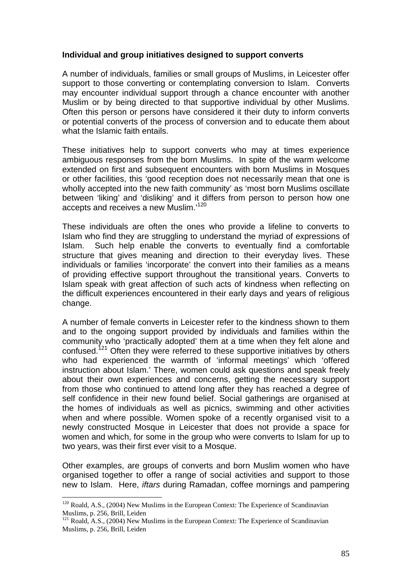### **Individual and group initiatives designed to support converts**

A number of individuals, families or small groups of Muslims, in Leicester offer support to those converting or contemplating conversion to Islam. Converts may encounter individual support through a chance encounter with another Muslim or by being directed to that supportive individual by other Muslims. Often this person or persons have considered it their duty to inform converts or potential converts of the process of conversion and to educate them about what the Islamic faith entails.

These initiatives help to support converts who may at times experience ambiguous responses from the born Muslims. In spite of the warm welcome extended on first and subsequent encounters with born Muslims in Mosques or other facilities, this 'good reception does not necessarily mean that one is wholly accepted into the new faith community' as 'most born Muslims oscillate between 'liking' and 'disliking' and it differs from person to person how one accepts and receives a new Muslim.'120

These individuals are often the ones who provide a lifeline to converts to Islam who find they are struggling to understand the myriad of expressions of Islam. Such help enable the converts to eventually find a comfortable structure that gives meaning and direction to their everyday lives. These individuals or families 'incorporate' the convert into their families as a means of providing effective support throughout the transitional years. Converts to Islam speak with great affection of such acts of kindness when reflecting on the difficult experiences encountered in their early days and years of religious change.

A number of female converts in Leicester refer to the kindness shown to them and to the ongoing support provided by individuals and families within the community who 'practically adopted' them at a time when they felt alone and confused.<sup>121</sup> Often they were referred to these supportive initiatives by others who had experienced the warmth of 'informal meetings' which 'offered instruction about Islam.' There, women could ask questions and speak freely about their own experiences and concerns, getting the necessary support from those who continued to attend long after they has reached a degree of self confidence in their new found belief. Social gatherings are organised at the homes of individuals as well as picnics, swimming and other activities when and where possible. Women spoke of a recently organised visit to a newly constructed Mosque in Leicester that does not provide a space for women and which, for some in the group who were converts to Islam for up to two years, was their first ever visit to a Mosque.

Other examples, are groups of converts and born Muslim women who have organised together to offer a range of social activities and support to those new to Islam. Here, *iftars* during Ramadan, coffee mornings and pampering

1

 $120$  Roald, A.S., (2004) New Muslims in the European Context: The Experience of Scandinavian Muslims, p. 256, Brill, Leiden

<sup>&</sup>lt;sup>121</sup> Roald, A.S., (2004) New Muslims in the European Context: The Experience of Scandinavian Muslims, p. 256, Brill, Leiden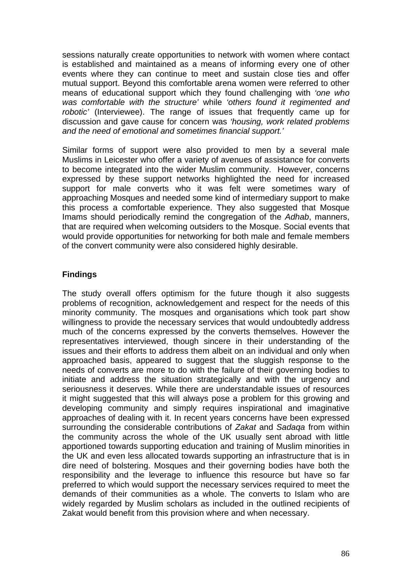sessions naturally create opportunities to network with women where contact is established and maintained as a means of informing every one of other events where they can continue to meet and sustain close ties and offer mutual support. Beyond this comfortable arena women were referred to other means of educational support which they found challenging with *'one who was comfortable with the structure'* while *'others found it regimented and robotic'* (Interviewee). The range of issues that frequently came up for discussion and gave cause for concern was *'housing, work related problems and the need of emotional and sometimes financial support.'*

Similar forms of support were also provided to men by a several male Muslims in Leicester who offer a variety of avenues of assistance for converts to become integrated into the wider Muslim community. However, concerns expressed by these support networks highlighted the need for increased support for male converts who it was felt were sometimes wary of approaching Mosques and needed some kind of intermediary support to make this process a comfortable experience. They also suggested that Mosque Imams should periodically remind the congregation of the *Adhab*, manners, that are required when welcoming outsiders to the Mosque. Social events that would provide opportunities for networking for both male and female members of the convert community were also considered highly desirable.

## **Findings**

The study overall offers optimism for the future though it also suggests problems of recognition, acknowledgement and respect for the needs of this minority community. The mosques and organisations which took part show willingness to provide the necessary services that would undoubtedly address much of the concerns expressed by the converts themselves. However the representatives interviewed, though sincere in their understanding of the issues and their efforts to address them albeit on an individual and only when approached basis, appeared to suggest that the sluggish response to the needs of converts are more to do with the failure of their governing bodies to initiate and address the situation strategically and with the urgency and seriousness it deserves. While there are understandable issues of resources it might suggested that this will always pose a problem for this growing and developing community and simply requires inspirational and imaginative approaches of dealing with it. In recent years concerns have been expressed surrounding the considerable contributions of *Zakat* and *Sadaqa* from within the community across the whole of the UK usually sent abroad with little apportioned towards supporting education and training of Muslim minorities in the UK and even less allocated towards supporting an infrastructure that is in dire need of bolstering. Mosques and their governing bodies have both the responsibility and the leverage to influence this resource but have so far preferred to which would support the necessary services required to meet the demands of their communities as a whole. The converts to Islam who are widely regarded by Muslim scholars as included in the outlined recipients of Zakat would benefit from this provision where and when necessary.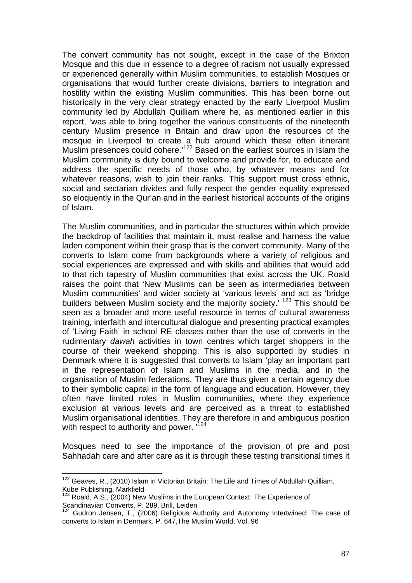The convert community has not sought, except in the case of the Brixton Mosque and this due in essence to a degree of racism not usually expressed or experienced generally within Muslim communities, to establish Mosques or organisations that would further create divisions, barriers to integration and hostility within the existing Muslim communities. This has been borne out historically in the very clear strategy enacted by the early Liverpool Muslim community led by Abdullah Quilliam where he, as mentioned earlier in this report, 'was able to bring together the various constituents of the nineteenth century Muslim presence in Britain and draw upon the resources of the mosque in Liverpool to create a hub around which these often itinerant Muslim presences could cohere.'122 Based on the earliest sources in Islam the Muslim community is duty bound to welcome and provide for, to educate and address the specific needs of those who, by whatever means and for whatever reasons, wish to join their ranks. This support must cross ethnic, social and sectarian divides and fully respect the gender equality expressed so eloquently in the Qur'an and in the earliest historical accounts of the origins of Islam.

The Muslim communities, and in particular the structures within which provide the backdrop of facilities that maintain it, must realise and harness the value laden component within their grasp that is the convert community. Many of the converts to Islam come from backgrounds where a variety of religious and social experiences are expressed and with skills and abilities that would add to that rich tapestry of Muslim communities that exist across the UK. Roald raises the point that 'New Muslims can be seen as intermediaries between Muslim communities' and wider society at 'various levels' and act as 'bridge builders between Muslim society and the majority society.<sup>' 123</sup> This should be seen as a broader and more useful resource in terms of cultural awareness training, interfaith and intercultural dialogue and presenting practical examples of 'Living Faith' in school RE classes rather than the use of converts in the rudimentary *dawah* activities in town centres which target shoppers in the course of their weekend shopping. This is also supported by studies in Denmark where it is suggested that converts to Islam 'play an important part in the representation of Islam and Muslims in the media, and in the organisation of Muslim federations. They are thus given a certain agency due to their symbolic capital in the form of language and education. However, they often have limited roles in Muslim communities, where they experience exclusion at various levels and are perceived as a threat to established Muslim organisational identities. They are therefore in and ambiguous position with respect to authority and power.  $124$ 

Mosques need to see the importance of the provision of pre and post Sahhadah care and after care as it is through these testing transitional times it

<sup>1</sup>  $122$  Geaves, R., (2010) Islam in Victorian Britain: The Life and Times of Abdullah Quilliam, Kube Publishing, Markfield

 $123$  Roald, A.S.,  $(2004)$  New Muslims in the European Context: The Experience of Scandinavian Converts, P. 289, Brill, Leiden

<sup>124</sup> Gudron Jensen, T., (2006) Religious Authority and Autonomy Intertwined: The case of converts to Islam in Denmark. P. 647,The Muslim World, Vol. 96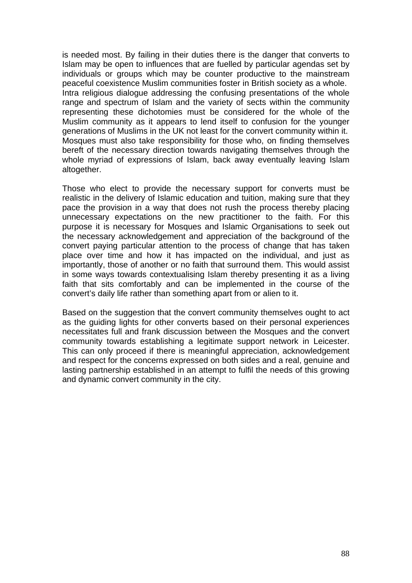is needed most. By failing in their duties there is the danger that converts to Islam may be open to influences that are fuelled by particular agendas set by individuals or groups which may be counter productive to the mainstream peaceful coexistence Muslim communities foster in British society as a whole. Intra religious dialogue addressing the confusing presentations of the whole range and spectrum of Islam and the variety of sects within the community representing these dichotomies must be considered for the whole of the Muslim community as it appears to lend itself to confusion for the younger generations of Muslims in the UK not least for the convert community within it. Mosques must also take responsibility for those who, on finding themselves bereft of the necessary direction towards navigating themselves through the whole myriad of expressions of Islam, back away eventually leaving Islam altogether.

Those who elect to provide the necessary support for converts must be realistic in the delivery of Islamic education and tuition, making sure that they pace the provision in a way that does not rush the process thereby placing unnecessary expectations on the new practitioner to the faith. For this purpose it is necessary for Mosques and Islamic Organisations to seek out the necessary acknowledgement and appreciation of the background of the convert paying particular attention to the process of change that has taken place over time and how it has impacted on the individual, and just as importantly, those of another or no faith that surround them. This would assist in some ways towards contextualising Islam thereby presenting it as a living faith that sits comfortably and can be implemented in the course of the convert's daily life rather than something apart from or alien to it.

Based on the suggestion that the convert community themselves ought to act as the guiding lights for other converts based on their personal experiences necessitates full and frank discussion between the Mosques and the convert community towards establishing a legitimate support network in Leicester. This can only proceed if there is meaningful appreciation, acknowledgement and respect for the concerns expressed on both sides and a real, genuine and lasting partnership established in an attempt to fulfil the needs of this growing and dynamic convert community in the city.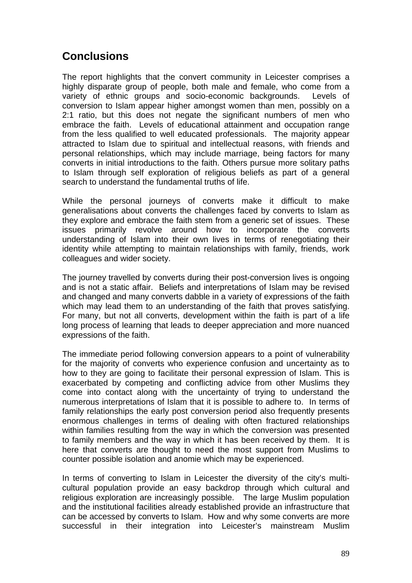# **Conclusions**

The report highlights that the convert community in Leicester comprises a highly disparate group of people, both male and female, who come from a variety of ethnic groups and socio-economic backgrounds. Levels of conversion to Islam appear higher amongst women than men, possibly on a 2:1 ratio, but this does not negate the significant numbers of men who embrace the faith. Levels of educational attainment and occupation range from the less qualified to well educated professionals. The majority appear attracted to Islam due to spiritual and intellectual reasons, with friends and personal relationships, which may include marriage, being factors for many converts in initial introductions to the faith. Others pursue more solitary paths to Islam through self exploration of religious beliefs as part of a general search to understand the fundamental truths of life.

While the personal journeys of converts make it difficult to make generalisations about converts the challenges faced by converts to Islam as they explore and embrace the faith stem from a generic set of issues. These issues primarily revolve around how to incorporate the converts understanding of Islam into their own lives in terms of renegotiating their identity while attempting to maintain relationships with family, friends, work colleagues and wider society.

The journey travelled by converts during their post-conversion lives is ongoing and is not a static affair. Beliefs and interpretations of Islam may be revised and changed and many converts dabble in a variety of expressions of the faith which may lead them to an understanding of the faith that proves satisfying. For many, but not all converts, development within the faith is part of a life long process of learning that leads to deeper appreciation and more nuanced expressions of the faith.

The immediate period following conversion appears to a point of vulnerability for the majority of converts who experience confusion and uncertainty as to how to they are going to facilitate their personal expression of Islam. This is exacerbated by competing and conflicting advice from other Muslims they come into contact along with the uncertainty of trying to understand the numerous interpretations of Islam that it is possible to adhere to. In terms of family relationships the early post conversion period also frequently presents enormous challenges in terms of dealing with often fractured relationships within families resulting from the way in which the conversion was presented to family members and the way in which it has been received by them. It is here that converts are thought to need the most support from Muslims to counter possible isolation and anomie which may be experienced.

In terms of converting to Islam in Leicester the diversity of the city's multicultural population provide an easy backdrop through which cultural and religious exploration are increasingly possible. The large Muslim population and the institutional facilities already established provide an infrastructure that can be accessed by converts to Islam. How and why some converts are more successful in their integration into Leicester's mainstream Muslim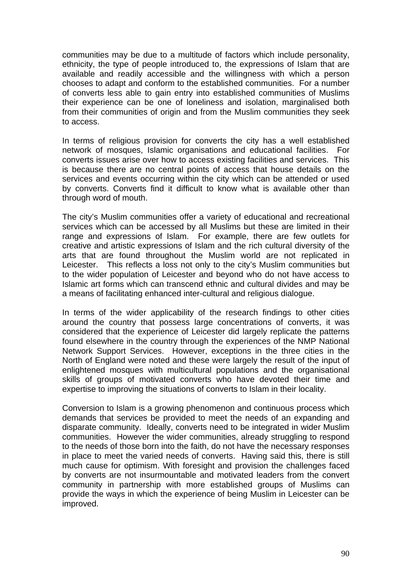communities may be due to a multitude of factors which include personality, ethnicity, the type of people introduced to, the expressions of Islam that are available and readily accessible and the willingness with which a person chooses to adapt and conform to the established communities. For a number of converts less able to gain entry into established communities of Muslims their experience can be one of loneliness and isolation, marginalised both from their communities of origin and from the Muslim communities they seek to access.

In terms of religious provision for converts the city has a well established network of mosques, Islamic organisations and educational facilities. For converts issues arise over how to access existing facilities and services. This is because there are no central points of access that house details on the services and events occurring within the city which can be attended or used by converts. Converts find it difficult to know what is available other than through word of mouth.

The city's Muslim communities offer a variety of educational and recreational services which can be accessed by all Muslims but these are limited in their range and expressions of Islam. For example, there are few outlets for creative and artistic expressions of Islam and the rich cultural diversity of the arts that are found throughout the Muslim world are not replicated in Leicester. This reflects a loss not only to the city's Muslim communities but to the wider population of Leicester and beyond who do not have access to Islamic art forms which can transcend ethnic and cultural divides and may be a means of facilitating enhanced inter-cultural and religious dialogue.

In terms of the wider applicability of the research findings to other cities around the country that possess large concentrations of converts, it was considered that the experience of Leicester did largely replicate the patterns found elsewhere in the country through the experiences of the NMP National Network Support Services. However, exceptions in the three cities in the North of England were noted and these were largely the result of the input of enlightened mosques with multicultural populations and the organisational skills of groups of motivated converts who have devoted their time and expertise to improving the situations of converts to Islam in their locality.

Conversion to Islam is a growing phenomenon and continuous process which demands that services be provided to meet the needs of an expanding and disparate community. Ideally, converts need to be integrated in wider Muslim communities. However the wider communities, already struggling to respond to the needs of those born into the faith, do not have the necessary responses in place to meet the varied needs of converts. Having said this, there is still much cause for optimism. With foresight and provision the challenges faced by converts are not insurmountable and motivated leaders from the convert community in partnership with more established groups of Muslims can provide the ways in which the experience of being Muslim in Leicester can be improved.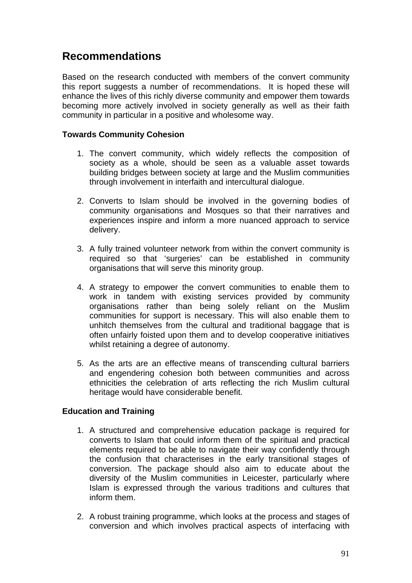## **Recommendations**

Based on the research conducted with members of the convert community this report suggests a number of recommendations. It is hoped these will enhance the lives of this richly diverse community and empower them towards becoming more actively involved in society generally as well as their faith community in particular in a positive and wholesome way.

## **Towards Community Cohesion**

- 1. The convert community, which widely reflects the composition of society as a whole, should be seen as a valuable asset towards building bridges between society at large and the Muslim communities through involvement in interfaith and intercultural dialogue.
- 2. Converts to Islam should be involved in the governing bodies of community organisations and Mosques so that their narratives and experiences inspire and inform a more nuanced approach to service delivery.
- 3. A fully trained volunteer network from within the convert community is required so that 'surgeries' can be established in community organisations that will serve this minority group.
- 4. A strategy to empower the convert communities to enable them to work in tandem with existing services provided by community organisations rather than being solely reliant on the Muslim communities for support is necessary. This will also enable them to unhitch themselves from the cultural and traditional baggage that is often unfairly foisted upon them and to develop cooperative initiatives whilst retaining a degree of autonomy.
- 5. As the arts are an effective means of transcending cultural barriers and engendering cohesion both between communities and across ethnicities the celebration of arts reflecting the rich Muslim cultural heritage would have considerable benefit.

## **Education and Training**

- 1. A structured and comprehensive education package is required for converts to Islam that could inform them of the spiritual and practical elements required to be able to navigate their way confidently through the confusion that characterises in the early transitional stages of conversion. The package should also aim to educate about the diversity of the Muslim communities in Leicester, particularly where Islam is expressed through the various traditions and cultures that inform them.
- 2. A robust training programme, which looks at the process and stages of conversion and which involves practical aspects of interfacing with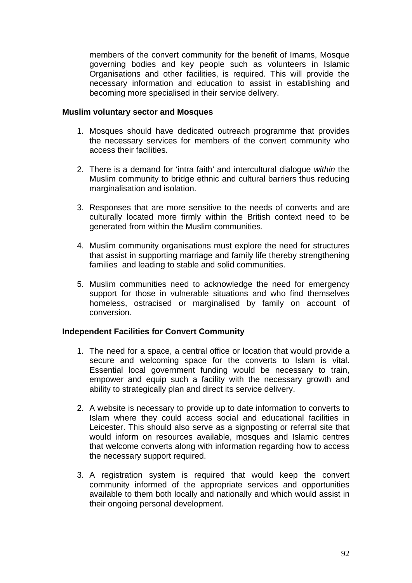members of the convert community for the benefit of Imams, Mosque governing bodies and key people such as volunteers in Islamic Organisations and other facilities, is required. This will provide the necessary information and education to assist in establishing and becoming more specialised in their service delivery.

### **Muslim voluntary sector and Mosques**

- 1. Mosques should have dedicated outreach programme that provides the necessary services for members of the convert community who access their facilities.
- 2. There is a demand for 'intra faith' and intercultural dialogue *within* the Muslim community to bridge ethnic and cultural barriers thus reducing marginalisation and isolation.
- 3. Responses that are more sensitive to the needs of converts and are culturally located more firmly within the British context need to be generated from within the Muslim communities.
- 4. Muslim community organisations must explore the need for structures that assist in supporting marriage and family life thereby strengthening families and leading to stable and solid communities.
- 5. Muslim communities need to acknowledge the need for emergency support for those in vulnerable situations and who find themselves homeless, ostracised or marginalised by family on account of conversion.

## **Independent Facilities for Convert Community**

- 1. The need for a space, a central office or location that would provide a secure and welcoming space for the converts to Islam is vital. Essential local government funding would be necessary to train, empower and equip such a facility with the necessary growth and ability to strategically plan and direct its service delivery.
- 2. A website is necessary to provide up to date information to converts to Islam where they could access social and educational facilities in Leicester. This should also serve as a signposting or referral site that would inform on resources available, mosques and Islamic centres that welcome converts along with information regarding how to access the necessary support required.
- 3. A registration system is required that would keep the convert community informed of the appropriate services and opportunities available to them both locally and nationally and which would assist in their ongoing personal development.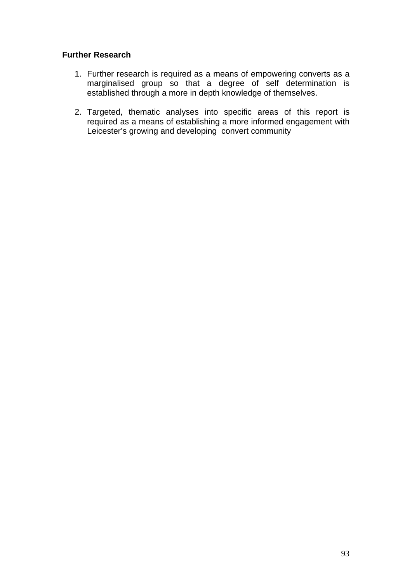## **Further Research**

- 1. Further research is required as a means of empowering converts as a marginalised group so that a degree of self determination is established through a more in depth knowledge of themselves.
- 2. Targeted, thematic analyses into specific areas of this report is required as a means of establishing a more informed engagement with Leicester's growing and developing convert community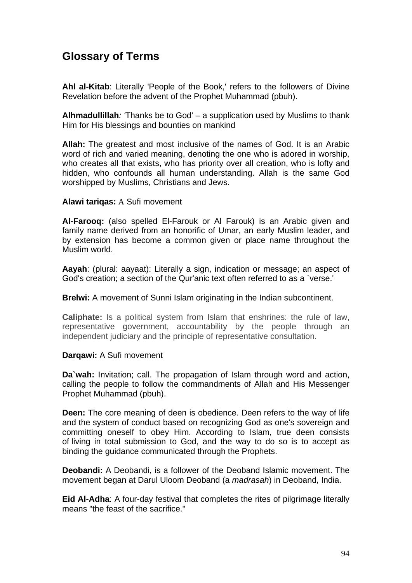# **Glossary of Terms**

**Ahl al-Kitab**: Literally 'People of the Book,' refers to the followers of Divine Revelation before the advent of the Prophet Muhammad (pbuh).

**Alhmadullillah***: '*Thanks be to God' – a supplication used by Muslims to thank Him for His blessings and bounties on mankind

**Allah:** The greatest and most inclusive of the names of God. It is an Arabic word of rich and varied meaning, denoting the one who is adored in worship, who creates all that exists, who has priority over all creation, who is lofty and hidden, who confounds all human understanding. Allah is the same God worshipped by Muslims, Christians and Jews.

### **Alawi tariqas:** A Sufi movement

**Al-Farooq:** (also spelled El-Farouk or Al Farouk) is an Arabic given and family name derived from an honorific of Umar, an early Muslim leader, and by extension has become a common given or place name throughout the Muslim world.

**Aayah**: (plural: aayaat): Literally a sign, indication or message; an aspect of God's creation; a section of the Qur'anic text often referred to as a `verse.'

**Brelwi:** A movement of Sunni Islam originating in the Indian subcontinent.

**Caliphate:** Is a political system from Islam that enshrines: the rule of law, representative government, accountability by the people through an independent judiciary and the principle of representative consultation.

#### **Darqawi:** A Sufi movement

**Da`wah:** Invitation; call. The propagation of Islam through word and action, calling the people to follow the commandments of Allah and His Messenger Prophet Muhammad (pbuh).

**Deen:** The core meaning of deen is obedience. Deen refers to the way of life and the system of conduct based on recognizing God as one's sovereign and committing oneself to obey Him. According to Islam, true deen consists of living in total submission to God, and the way to do so is to accept as binding the guidance communicated through the Prophets.

**Deobandi:** A Deobandi, is a follower of the Deoband Islamic movement. The movement began at Darul Uloom Deoband (a *madrasah*) in Deoband, India.

**Eid Al-Adha**: A four-day festival that completes the rites of pilgrimage literally means "the feast of the sacrifice."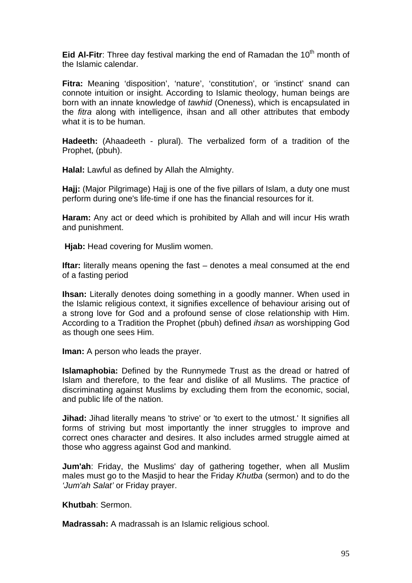**Eid Al-Fitr**: Three day festival marking the end of Ramadan the 10<sup>th</sup> month of the Islamic calendar.

**Fitra:** Meaning 'disposition', 'nature', 'constitution', or 'instinct' snand can connote intuition or insight. According to Islamic theology, human beings are born with an innate knowledge of *tawhid* (Oneness), which is encapsulated in the *fitra* along with intelligence, ihsan and all other attributes that embody what it is to be human.

**Hadeeth:** (Ahaadeeth - plural). The verbalized form of a tradition of the Prophet, (pbuh).

**Halal:** Lawful as defined by Allah the Almighty.

**Hajj:** (Major Pilgrimage) Hajj is one of the five pillars of Islam, a duty one must perform during one's life-time if one has the financial resources for it.

**Haram:** Any act or deed which is prohibited by Allah and will incur His wrath and punishment.

**Hjab:** Head covering for Muslim women.

**Iftar:** literally means opening the fast – denotes a meal consumed at the end of a fasting period

**Ihsan:** Literally denotes doing something in a goodly manner. When used in the Islamic religious context, it signifies excellence of behaviour arising out of a strong love for God and a profound sense of close relationship with Him. According to a Tradition the Prophet (pbuh) defined *ihsan* as worshipping God as though one sees Him.

**Iman:** A person who leads the prayer.

**Islamaphobia:** Defined by the Runnymede Trust as the dread or hatred of Islam and therefore, to the fear and dislike of all Muslims. The practice of discriminating against Muslims by excluding them from the economic, social, and public life of the nation.

**Jihad:** Jihad literally means 'to strive' or 'to exert to the utmost.' It signifies all forms of striving but most importantly the inner struggles to improve and correct ones character and desires. It also includes armed struggle aimed at those who aggress against God and mankind.

**Jum'ah**: Friday, the Muslims' day of gathering together, when all Muslim males must go to the Masjid to hear the Friday *Khutba* (sermon) and to do the *'Jum'ah Salat'* or Friday prayer.

**Khutbah**: Sermon.

**Madrassah:** A madrassah is an Islamic religious school.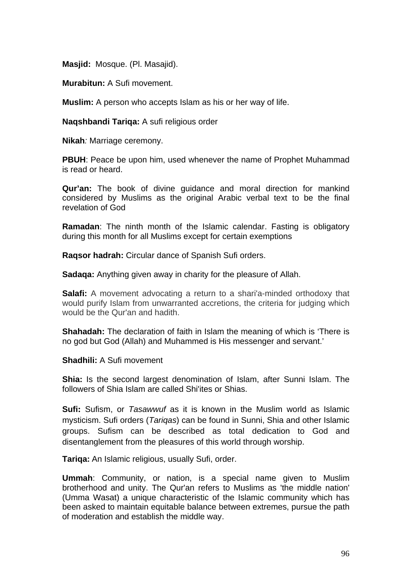**Masjid:** Mosque. (Pl. Masajid).

**Murabitun:** A Sufi movement.

**Muslim:** A person who accepts Islam as his or her way of life.

**Naqshbandi Tariqa:** A sufi religious order

**Nikah***:* Marriage ceremony.

**PBUH**: Peace be upon him, used whenever the name of Prophet Muhammad is read or heard.

**Qur'an:** The book of divine guidance and moral direction for mankind considered by Muslims as the original Arabic verbal text to be the final revelation of God

**Ramadan**: The ninth month of the Islamic calendar. Fasting is obligatory during this month for all Muslims except for certain exemptions

**Raqsor hadrah:** Circular dance of Spanish Sufi orders.

**Sadaqa:** Anything given away in charity for the pleasure of Allah.

**Salafi:** A movement advocating a return to a shari'a-minded orthodoxy that would purify Islam from unwarranted accretions, the criteria for judging which would be the Qur'an and hadith.

**Shahadah:** The declaration of faith in Islam the meaning of which is 'There is no god but God (Allah) and Muhammed is His messenger and servant.'

**Shadhili:** A Sufi movement

**Shia:** Is the second largest denomination of Islam, after Sunni Islam. The followers of Shia Islam are called Shi'ites or Shias.

**Sufi:** Sufism, or *Tasawwuf* as it is known in the Muslim world as Islamic mysticism. Sufi orders (*Tariqas*) can be found in Sunni, Shia and other Islamic groups. Sufism can be described as total dedication to God and disentanglement from the pleasures of this world through worship.

**Tariqa:** An Islamic religious, usually Sufi, order.

**Ummah**: Community, or nation, is a special name given to Muslim brotherhood and unity. The Qur'an refers to Muslims as 'the middle nation' (Umma Wasat) a unique characteristic of the Islamic community which has been asked to maintain equitable balance between extremes, pursue the path of moderation and establish the middle way.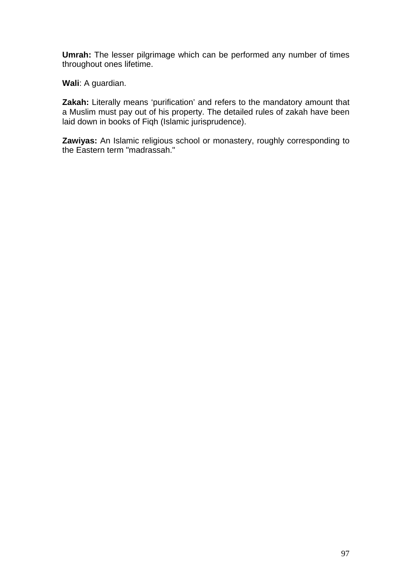**Umrah:** The lesser pilgrimage which can be performed any number of times throughout ones lifetime.

**Wali**: A guardian.

**Zakah:** Literally means 'purification' and refers to the mandatory amount that a Muslim must pay out of his property. The detailed rules of zakah have been laid down in books of Fiqh (Islamic jurisprudence).

**Zawiyas:** An Islamic religious school or monastery, roughly corresponding to the Eastern term "madrassah."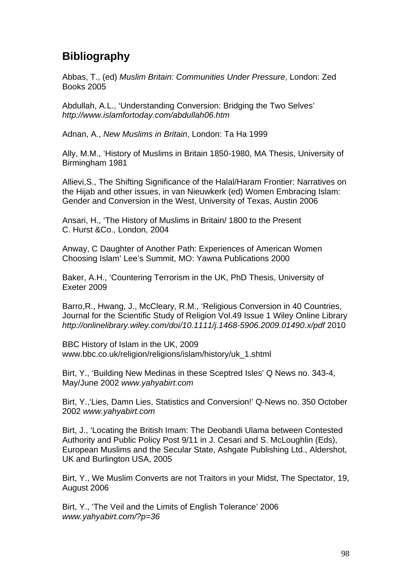# **Bibliography**

Abbas, T., (ed) *Muslim Britain: Communities Under Pressure*, London: Zed Books 2005

Abdullah, A.L., 'Understanding Conversion: Bridging the Two Selves' *http://www.islamfortoday.com/abdullah06.htm* 

Adnan, A., *New Muslims in Britain*, London: Ta Ha 1999

Ally, M.M., 'History of Muslims in Britain 1850-1980, MA Thesis, University of Birmingham 1981

Allievi,S., The Shifting Significance of the Halal/Haram Frontier: Narratives on the Hijab and other issues, in van Nieuwkerk (ed) Women Embracing Islam: Gender and Conversion in the West, University of Texas, Austin 2006

Ansari, H., 'The History of Muslims in Britain/ 1800 to the Present C. Hurst &Co., London, 2004

Anway, C Daughter of Another Path: Experiences of American Women Choosing Islam' Lee's Summit, MO: Yawna Publications 2000

Baker, A.H., 'Countering Terrorism in the UK, PhD Thesis, University of Exeter 2009

Barro,R., Hwang, J., McCleary, R.M., 'Religious Conversion in 40 Countries, Journal for the Scientific Study of Religion Vol.49 Issue 1 Wiley Online Library *http://onlinelibrary.wiley.com/doi/10.1111/j.1468-5906.2009.01490.x/pdf* 2010

BBC History of Islam in the UK, 2009 www.bbc.co.uk/religion/religions/islam/history/uk\_1.shtml

Birt, Y., 'Building New Medinas in these Sceptred Isles' Q News no. 343-4, May/June 2002 *www.yahyabirt.com*

Birt, Y.,'Lies, Damn Lies, Statistics and Conversion!' Q-News no. 350 October 2002 *www.yahyabirt.com*

Birt, J., 'Locating the British Imam: The Deobandi Ulama between Contested Authority and Public Policy Post 9/11 in J. Cesari and S. McLoughlin (Eds), European Muslims and the Secular State, Ashgate Publishing Ltd., Aldershot, UK and Burlington USA, 2005

Birt, Y., We Muslim Converts are not Traitors in your Midst, The Spectator, 19, August 2006

Birt, Y., 'The Veil and the Limits of English Tolerance' 2006 *www.yahyabirt.com/?p=36*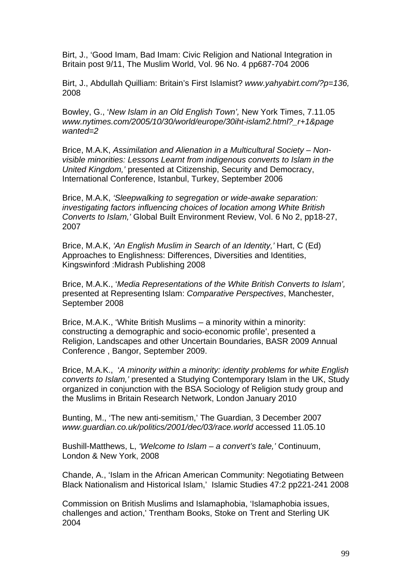Birt, J., 'Good Imam, Bad Imam: Civic Religion and National Integration in Britain post 9/11, The Muslim World, Vol. 96 No. 4 pp687-704 2006

Birt, J., Abdullah Quilliam: Britain's First Islamist? *www.yahyabirt.com/?p=136,*  2008

Bowley, G., '*New Islam in an Old English Town',* New York Times, 7.11.05 *www.nytimes.com/2005/10/30/world/europe/30iht-islam2.html?\_r+1&page wanted=2* 

Brice, M.A.K, *Assimilation and Alienation in a Multicultural Society – Nonvisible minorities: Lessons Learnt from indigenous converts to Islam in the United Kingdom,'* presented at Citizenship, Security and Democracy, International Conference, Istanbul, Turkey, September 2006

Brice, M.A.K, *'Sleepwalking to segregation or wide-awake separation: investigating factors influencing choices of location among White British Converts to Islam,'* Global Built Environment Review, Vol. 6 No 2, pp18-27, 2007

Brice, M.A.K, *'An English Muslim in Search of an Identity,'* Hart, C (Ed) Approaches to Englishness: Differences, Diversities and Identities, Kingswinford :Midrash Publishing 2008

Brice, M.A.K., '*Media Representations of the White British Converts to Islam',*  presented at Representing Islam: *Comparative Perspectives*, Manchester, September 2008

Brice, M.A.K., 'White British Muslims – a minority within a minority: constructing a demographic and socio-economic profile', presented a Religion, Landscapes and other Uncertain Boundaries, BASR 2009 Annual Conference , Bangor, September 2009.

Brice, M.A.K., '*A minority within a minority: identity problems for white English converts to Islam,'* presented a Studying Contemporary Islam in the UK, Study organized in conjunction with the BSA Sociology of Religion study group and the Muslims in Britain Research Network, London January 2010

Bunting, M., 'The new anti-semitism,' The Guardian, 3 December 2007 *www.guardian.co.uk/politics/2001/dec/03/race.world* accessed 11.05.10

Bushill-Matthews, L, *'Welcome to Islam – a convert's tale,'* Continuum, London & New York, 2008

Chande, A., 'Islam in the African American Community: Negotiating Between Black Nationalism and Historical Islam,' Islamic Studies 47:2 pp221-241 2008

Commission on British Muslims and Islamaphobia, 'Islamaphobia issues, challenges and action,' Trentham Books, Stoke on Trent and Sterling UK 2004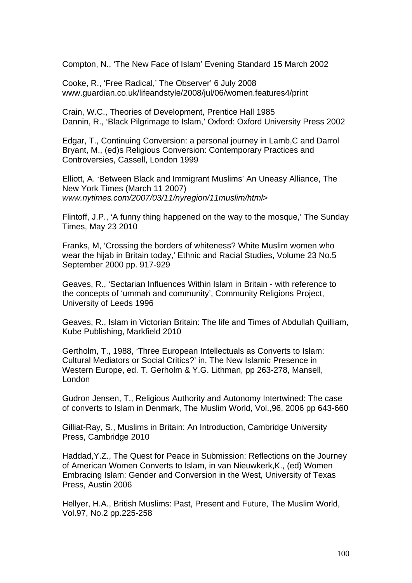Compton, N., 'The New Face of Islam' Evening Standard 15 March 2002

Cooke, R., 'Free Radical,' The Observer' 6 July 2008 www.guardian.co.uk/lifeandstyle/2008/jul/06/women.features4/print

Crain, W.C., Theories of Development, Prentice Hall 1985 Dannin, R., 'Black Pilgrimage to Islam,' Oxford: Oxford University Press 2002

Edgar, T., Continuing Conversion: a personal journey in Lamb,C and Darrol Bryant, M., (ed)s Religious Conversion: Contemporary Practices and Controversies, Cassell, London 1999

Elliott, A. 'Between Black and Immigrant Muslims' An Uneasy Alliance, The New York Times (March 11 2007) *www.nytimes.com/2007/03/11/nyregion/11muslim/html*>

Flintoff, J.P., 'A funny thing happened on the way to the mosque,' The Sunday Times, May 23 2010

Franks, M, 'Crossing the borders of whiteness? White Muslim women who wear the hijab in Britain today,' Ethnic and Racial Studies, Volume 23 No.5 September 2000 pp. 917-929

Geaves, R., 'Sectarian Influences Within Islam in Britain - with reference to the concepts of 'ummah and community', Community Religions Project, University of Leeds 1996

Geaves, R., Islam in Victorian Britain: The life and Times of Abdullah Quilliam, Kube Publishing, Markfield 2010

Gertholm, T., 1988, 'Three European Intellectuals as Converts to Islam: Cultural Mediators or Social Critics?' in, The New Islamic Presence in Western Europe, ed. T. Gerholm & Y.G. Lithman, pp 263-278, Mansell, London

Gudron Jensen, T., Religious Authority and Autonomy Intertwined: The case of converts to Islam in Denmark, The Muslim World, Vol.,96, 2006 pp 643-660

Gilliat-Ray, S., Muslims in Britain: An Introduction, Cambridge University Press, Cambridge 2010

Haddad,Y.Z., The Quest for Peace in Submission: Reflections on the Journey of American Women Converts to Islam, in van Nieuwkerk,K., (ed) Women Embracing Islam: Gender and Conversion in the West, University of Texas Press, Austin 2006

Hellyer, H.A., British Muslims: Past, Present and Future, The Muslim World, Vol.97, No.2 pp.225-258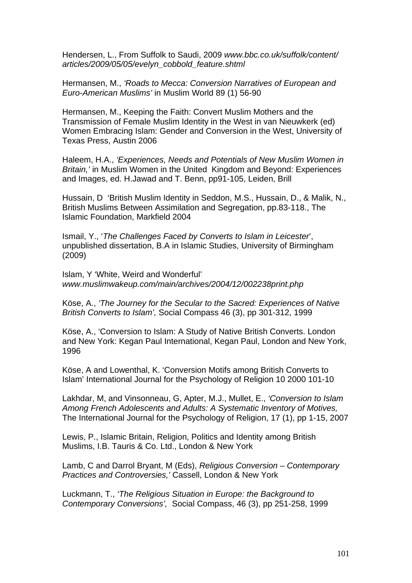Hendersen, L., From Suffolk to Saudi, 2009 *www.bbc.co.uk/suffolk/content/ articles/2009/05/05/evelyn\_cobbold\_feature.shtml* 

Hermansen, M., *'Roads to Mecca: Conversion Narratives of European and Euro-American Muslims'* in Muslim World 89 (1) 56-90

Hermansen, M., Keeping the Faith: Convert Muslim Mothers and the Transmission of Female Muslim Identity in the West in van Nieuwkerk (ed) Women Embracing Islam: Gender and Conversion in the West, University of Texas Press, Austin 2006

Haleem, H.A., *'Experiences, Needs and Potentials of New Muslim Women in Britain,'* in Muslim Women in the United Kingdom and Beyond: Experiences and Images, ed. H.Jawad and T. Benn, pp91-105, Leiden, Brill

Hussain, D 'British Muslim Identity in Seddon, M.S., Hussain, D., & Malik, N., British Muslims Between Assimilation and Segregation, pp.83-118., The Islamic Foundation, Markfield 2004

Ismail, Y., '*The Challenges Faced by Converts to Islam in Leicester*', unpublished dissertation, B.A in Islamic Studies, University of Birmingham (2009)

Islam, Y 'White, Weird and Wonderful' *www.muslimwakeup.com/main/archives/2004/12/002238print.php*

Köse, A., *'The Journey for the Secular to the Sacred: Experiences of Native British Converts to Islam',* Social Compass 46 (3), pp 301-312, 1999

Köse, A., 'Conversion to Islam: A Study of Native British Converts. London and New York: Kegan Paul International, Kegan Paul, London and New York, 1996

Köse, A and Lowenthal, K. 'Conversion Motifs among British Converts to Islam' International Journal for the Psychology of Religion 10 2000 101-10

Lakhdar, M, and Vinsonneau, G, Apter, M.J., Mullet, E., *'Conversion to Islam Among French Adolescents and Adults: A Systematic Inventory of Motives,*  The International Journal for the Psychology of Religion, 17 (1), pp 1-15, 2007

Lewis, P., Islamic Britain, Religion, Politics and Identity among British Muslims, I.B. Tauris & Co. Ltd., London & New York

Lamb, C and Darrol Bryant, M (Eds), *Religious Conversion – Contemporary Practices and Controversies,'* Cassell, London & New York

Luckmann, T., *'The Religious Situation in Europe: the Background to Contemporary Conversions',* Social Compass, 46 (3), pp 251-258, 1999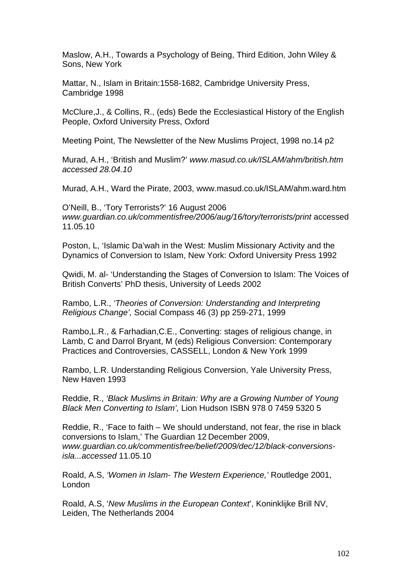Maslow, A.H., Towards a Psychology of Being, Third Edition, John Wiley & Sons, New York

Mattar, N., Islam in Britain:1558-1682, Cambridge University Press, Cambridge 1998

McClure,J., & Collins, R., (eds) Bede the Ecclesiastical History of the English People, Oxford University Press, Oxford

Meeting Point, The Newsletter of the New Muslims Project, 1998 no.14 p2

Murad, A.H., 'British and Muslim?' *www.masud.co.uk/ISLAM/ahm/british.htm accessed 28.04.10*

Murad, A.H., Ward the Pirate, 2003, www.masud.co.uk/ISLAM/ahm.ward.htm

O'Neill, B., 'Tory Terrorists?' 16 August 2006 *www.guardian.co.uk/commentisfree/2006/aug/16/tory/terrorists/print* accessed 11.05.10

Poston, L, 'Islamic Da'wah in the West: Muslim Missionary Activity and the Dynamics of Conversion to Islam, New York: Oxford University Press 1992

Qwidi, M. al- 'Understanding the Stages of Conversion to Islam: The Voices of British Converts' PhD thesis, University of Leeds 2002

Rambo, L.R., *'Theories of Conversion: Understanding and Interpreting Religious Change',* Social Compass 46 (3) pp 259-271, 1999

Rambo,L.R., & Farhadian,C.E., Converting: stages of religious change, in Lamb, C and Darrol Bryant, M (eds) Religious Conversion: Contemporary Practices and Controversies, CASSELL, London & New York 1999

Rambo, L.R. Understanding Religious Conversion, Yale University Press, New Haven 1993

Reddie, R., *'Black Muslims in Britain: Why are a Growing Number of Young Black Men Converting to Islam',* Lion Hudson ISBN 978 0 7459 5320 5

Reddie, R., 'Face to faith – We should understand, not fear, the rise in black conversions to Islam,' The Guardian 12 December 2009, *www.guardian.co.uk/commentisfree/belief/2009/dec/12/black-conversionsisla...accessed* 11.05.10

Roald, A.S, *'Women in Islam- The Western Experience,'* Routledge 2001, London

Roald, A.S, '*New Muslims in the European Context*', Koninklijke Brill NV, Leiden, The Netherlands 2004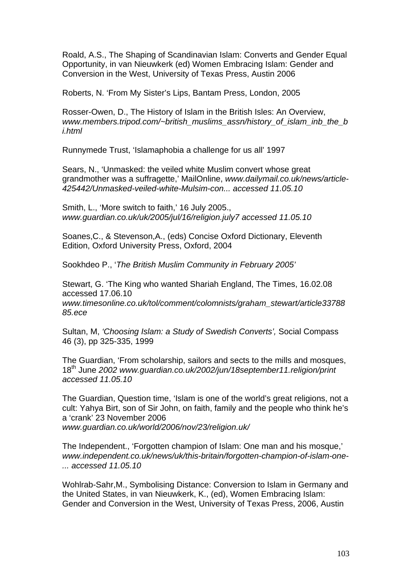Roald, A.S., The Shaping of Scandinavian Islam: Converts and Gender Equal Opportunity, in van Nieuwkerk (ed) Women Embracing Islam: Gender and Conversion in the West, University of Texas Press, Austin 2006

Roberts, N. 'From My Sister's Lips, Bantam Press, London, 2005

Rosser-Owen, D., The History of Islam in the British Isles: An Overview, *www.members.tripod.com/~british\_muslims\_assn/history\_of\_islam\_inb\_the\_b i.html*

Runnymede Trust, 'Islamaphobia a challenge for us all' 1997

Sears, N., 'Unmasked: the veiled white Muslim convert whose great grandmother was a suffragette,' MailOnline, *www.dailymail.co.uk/news/article-425442/Unmasked-veiled-white-Mulsim-con... accessed 11.05.10*

Smith, L., 'More switch to faith,' 16 July 2005., *www.guardian.co.uk/uk/2005/jul/16/religion.july7 accessed 11.05.10*

Soanes,C., & Stevenson,A., (eds) Concise Oxford Dictionary, Eleventh Edition, Oxford University Press, Oxford, 2004

Sookhdeo P., '*The British Muslim Community in February 2005'* 

Stewart, G. 'The King who wanted Shariah England, The Times, 16.02.08 accessed 17.06.10 *www.timesonline.co.uk/tol/comment/colomnists/graham\_stewart/article33788 85.ece* 

Sultan, M, *'Choosing Islam: a Study of Swedish Converts',* Social Compass 46 (3), pp 325-335, 1999

The Guardian, 'From scholarship, sailors and sects to the mills and mosques, 18th June *2002 www.guardian.co.uk/2002/jun/18september11.religion/print accessed 11.05.10* 

The Guardian, Question time, 'Islam is one of the world's great religions, not a cult: Yahya Birt, son of Sir John, on faith, family and the people who think he's a 'crank' 23 November 2006 *www.guardian.co.uk/world/2006/nov/23/religion.uk/* 

The Independent., 'Forgotten champion of Islam: One man and his mosque,' *www.independent.co.uk/news/uk/this-britain/forgotten-champion-of-islam-one- ... accessed 11.05.10*

Wohlrab-Sahr,M., Symbolising Distance: Conversion to Islam in Germany and the United States, in van Nieuwkerk, K., (ed), Women Embracing Islam: Gender and Conversion in the West, University of Texas Press, 2006, Austin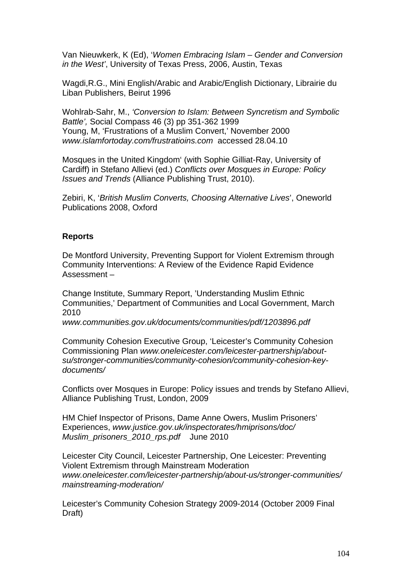Van Nieuwkerk, K (Ed), '*Women Embracing Islam – Gender and Conversion in the West'*, University of Texas Press, 2006, Austin, Texas

Wagdi,R.G., Mini English/Arabic and Arabic/English Dictionary, Librairie du Liban Publishers, Beirut 1996

Wohlrab-Sahr, M., *'Conversion to Islam: Between Syncretism and Symbolic Battle',* Social Compass 46 (3) pp 351-362 1999 Young, M, 'Frustrations of a Muslim Convert,' November 2000 *www.islamfortoday.com/frustratioins.com* accessed 28.04.10

Mosques in the United Kingdom' (with Sophie Gilliat-Ray, University of Cardiff) in Stefano Allievi (ed.) *Conflicts over Mosques in Europe: Policy Issues and Trends* (Alliance Publishing Trust, 2010).

Zebiri, K, '*British Muslim Converts, Choosing Alternative Lives*', Oneworld Publications 2008, Oxford

### **Reports**

De Montford University, Preventing Support for Violent Extremism through Community Interventions: A Review of the Evidence Rapid Evidence Assessment –

Change Institute, Summary Report, 'Understanding Muslim Ethnic Communities,' Department of Communities and Local Government, March 2010

*www.communities.gov.uk/documents/communities/pdf/1203896.pdf* 

Community Cohesion Executive Group, 'Leicester's Community Cohesion Commissioning Plan *www.oneleicester.com/leicester-partnership/aboutsu/stronger-communities/community-cohesion/community-cohesion-keydocuments/* 

Conflicts over Mosques in Europe: Policy issues and trends by Stefano Allievi, Alliance Publishing Trust, London, 2009

HM Chief Inspector of Prisons, Dame Anne Owers, Muslim Prisoners' Experiences, *www.justice.gov.uk/inspectorates/hmiprisons/doc/ Muslim\_prisoners\_2010\_rps.pdf* June 2010

Leicester City Council, Leicester Partnership, One Leicester: Preventing Violent Extremism through Mainstream Moderation *www.oneleicester.com/leicester-partnership/about-us/stronger-communities/ mainstreaming-moderation/* 

Leicester's Community Cohesion Strategy 2009-2014 (October 2009 Final Draft)